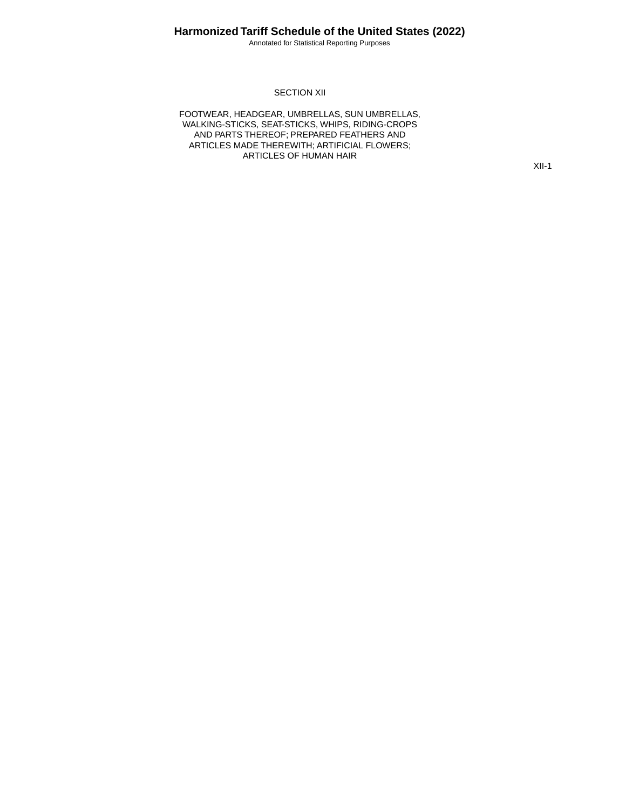Annotated for Statistical Reporting Purposes

#### SECTION XII

FOOTWEAR, HEADGEAR, UMBRELLAS, SUN UMBRELLAS, WALKING-STICKS, SEAT-STICKS, WHIPS, RIDING-CROPS AND PARTS THEREOF; PREPARED FEATHERS AND ARTICLES MADE THEREWITH; ARTIFICIAL FLOWERS; ARTICLES OF HUMAN HAIR

XII-1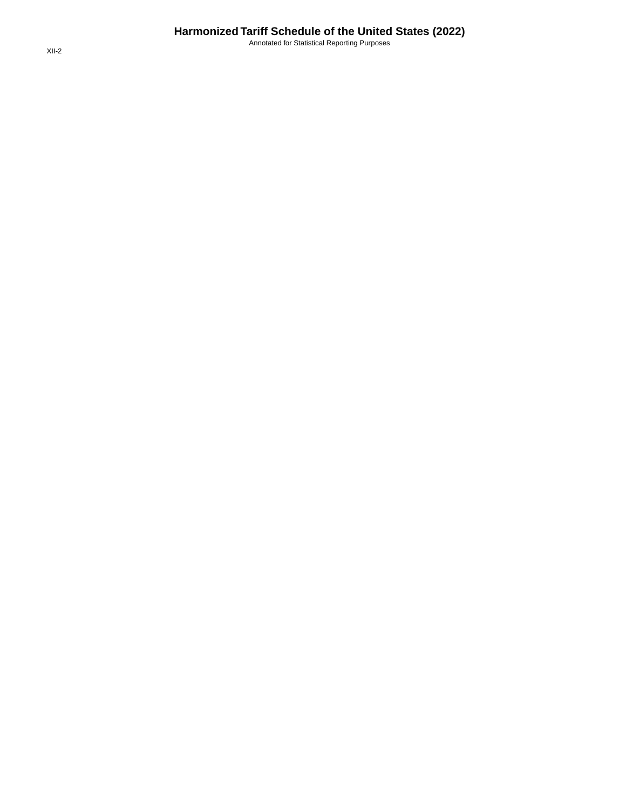Annotated for Statistical Reporting Purposes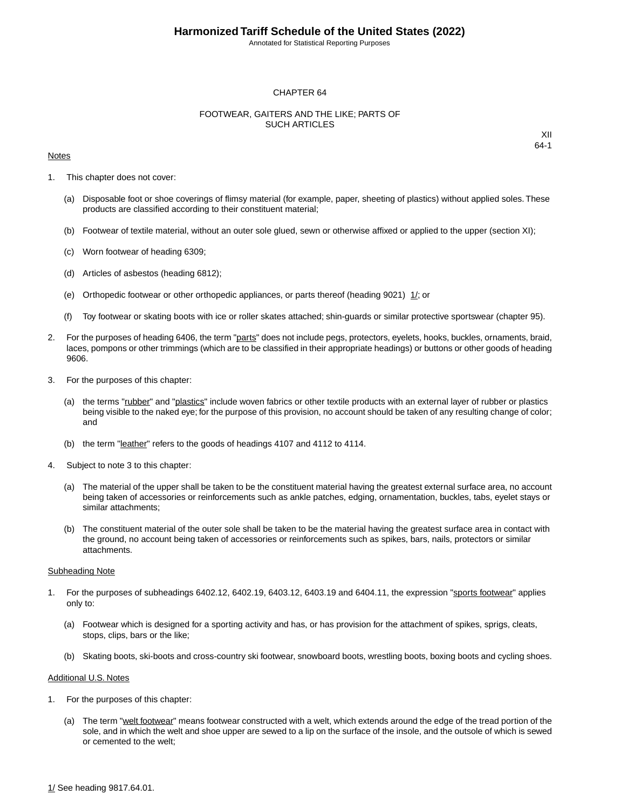Annotated for Statistical Reporting Purposes

#### CHAPTER 64

#### FOOTWEAR, GAITERS AND THE LIKE; PARTS OF SUCH ARTICLES

#### Notes

XII 64-1

- 1. This chapter does not cover:
	- (a) Disposable foot or shoe coverings of flimsy material (for example, paper, sheeting of plastics) without applied soles. These products are classified according to their constituent material;
	- (b) Footwear of textile material, without an outer sole glued, sewn or otherwise affixed or applied to the upper (section XI);
	- (c) Worn footwear of heading 6309;
	- (d) Articles of asbestos (heading 6812);
	- (e) Orthopedic footwear or other orthopedic appliances, or parts thereof (heading 9021) 1/; or
	- (f) Toy footwear or skating boots with ice or roller skates attached; shin-guards or similar protective sportswear (chapter 95).
- 2. For the purposes of heading 6406, the term "parts" does not include pegs, protectors, eyelets, hooks, buckles, ornaments, braid, laces, pompons or other trimmings (which are to be classified in their appropriate headings) or buttons or other goods of heading 9606.
- 3. For the purposes of this chapter:
	- (a) the terms "rubber" and "plastics" include woven fabrics or other textile products with an external layer of rubber or plastics being visible to the naked eye; for the purpose of this provision, no account should be taken of any resulting change of color; and
	- (b) the term "leather" refers to the goods of headings 4107 and 4112 to 4114.
- 4. Subject to note 3 to this chapter:
	- (a) The material of the upper shall be taken to be the constituent material having the greatest external surface area, no account being taken of accessories or reinforcements such as ankle patches, edging, ornamentation, buckles, tabs, eyelet stays or similar attachments;
	- (b) The constituent material of the outer sole shall be taken to be the material having the greatest surface area in contact with the ground, no account being taken of accessories or reinforcements such as spikes, bars, nails, protectors or similar attachments.

#### Subheading Note

- 1. For the purposes of subheadings 6402.12, 6402.19, 6403.12, 6403.19 and 6404.11, the expression "sports footwear" applies only to:
	- (a) Footwear which is designed for a sporting activity and has, or has provision for the attachment of spikes, sprigs, cleats, stops, clips, bars or the like;
	- (b) Skating boots, ski-boots and cross-country ski footwear, snowboard boots, wrestling boots, boxing boots and cycling shoes.

#### Additional U.S. Notes

- 1. For the purposes of this chapter:
	- (a) The term "welt footwear" means footwear constructed with a welt, which extends around the edge of the tread portion of the sole, and in which the welt and shoe upper are sewed to a lip on the surface of the insole, and the outsole of which is sewed or cemented to the welt;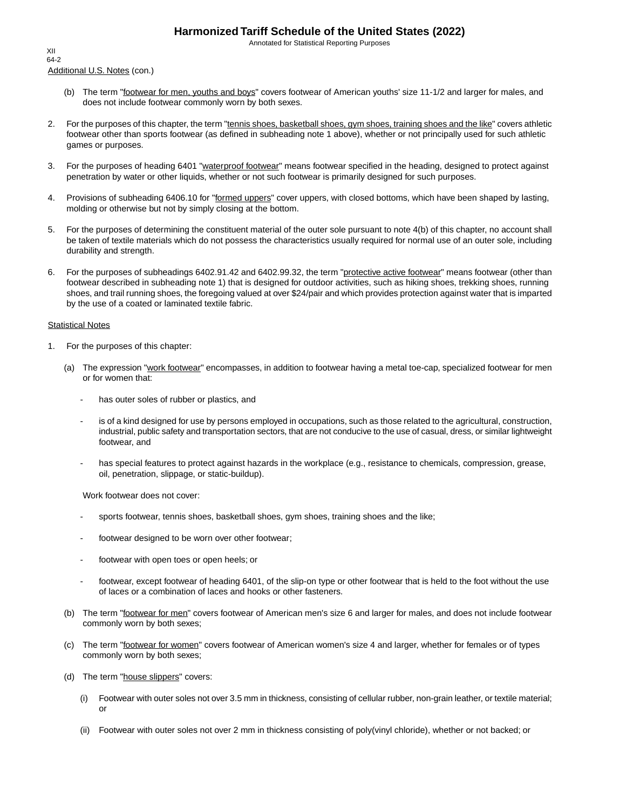Annotated for Statistical Reporting Purposes

Additional U.S. Notes (con.) XII 64-2

- (b) The term "footwear for men, youths and boys" covers footwear of American youths' size 11-1/2 and larger for males, and does not include footwear commonly worn by both sexes.
- 2. For the purposes of this chapter, the term "tennis shoes, basketball shoes, gym shoes, training shoes and the like" covers athletic footwear other than sports footwear (as defined in subheading note 1 above), whether or not principally used for such athletic games or purposes.
- 3. For the purposes of heading 6401 "waterproof footwear" means footwear specified in the heading, designed to protect against penetration by water or other liquids, whether or not such footwear is primarily designed for such purposes.
- 4. Provisions of subheading 6406.10 for "formed uppers" cover uppers, with closed bottoms, which have been shaped by lasting, molding or otherwise but not by simply closing at the bottom.
- 5. For the purposes of determining the constituent material of the outer sole pursuant to note 4(b) of this chapter, no account shall be taken of textile materials which do not possess the characteristics usually required for normal use of an outer sole, including durability and strength.
- 6. For the purposes of subheadings 6402.91.42 and 6402.99.32, the term "protective active footwear" means footwear (other than footwear described in subheading note 1) that is designed for outdoor activities, such as hiking shoes, trekking shoes, running shoes, and trail running shoes, the foregoing valued at over \$24/pair and which provides protection against water that is imparted by the use of a coated or laminated textile fabric.

#### **Statistical Notes**

- 1. For the purposes of this chapter:
	- (a) The expression "work footwear" encompasses, in addition to footwear having a metal toe-cap, specialized footwear for men or for women that:
		- has outer soles of rubber or plastics, and
		- is of a kind designed for use by persons employed in occupations, such as those related to the agricultural, construction, industrial, public safety and transportation sectors, that are not conducive to the use of casual, dress, or similar lightweight footwear, and
		- has special features to protect against hazards in the workplace (e.g., resistance to chemicals, compression, grease, oil, penetration, slippage, or static-buildup).

Work footwear does not cover:

- sports footwear, tennis shoes, basketball shoes, gym shoes, training shoes and the like;
- footwear designed to be worn over other footwear;
- footwear with open toes or open heels; or
- footwear, except footwear of heading 6401, of the slip-on type or other footwear that is held to the foot without the use of laces or a combination of laces and hooks or other fasteners.
- (b) The term "footwear for men" covers footwear of American men's size 6 and larger for males, and does not include footwear commonly worn by both sexes;
- (c) The term "footwear for women" covers footwear of American women's size 4 and larger, whether for females or of types commonly worn by both sexes;
- (d) The term "house slippers" covers:
	- (i) Footwear with outer soles not over 3.5 mm in thickness, consisting of cellular rubber, non-grain leather, or textile material; or
	- (ii) Footwear with outer soles not over 2 mm in thickness consisting of poly(vinyl chloride), whether or not backed; or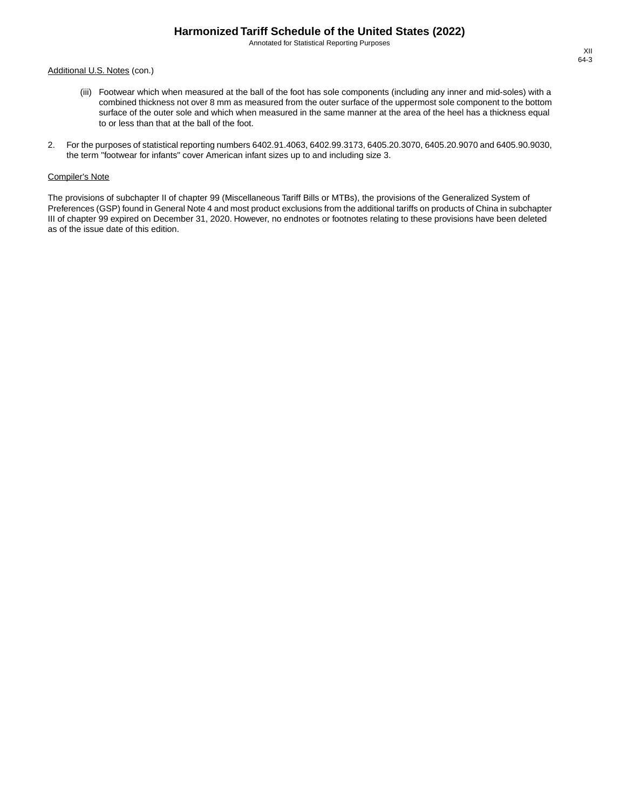Annotated for Statistical Reporting Purposes

#### Additional U.S. Notes (con.)

- (iii) Footwear which when measured at the ball of the foot has sole components (including any inner and mid-soles) with a combined thickness not over 8 mm as measured from the outer surface of the uppermost sole component to the bottom surface of the outer sole and which when measured in the same manner at the area of the heel has a thickness equal to or less than that at the ball of the foot.
- 2. For the purposes of statistical reporting numbers 6402.91.4063, 6402.99.3173, 6405.20.3070, 6405.20.9070 and 6405.90.9030, the term "footwear for infants" cover American infant sizes up to and including size 3.

#### Compiler's Note

The provisions of subchapter II of chapter 99 (Miscellaneous Tariff Bills or MTBs), the provisions of the Generalized System of Preferences (GSP) found in General Note 4 and most product exclusions from the additional tariffs on products of China in subchapter III of chapter 99 expired on December 31, 2020. However, no endnotes or footnotes relating to these provisions have been deleted as of the issue date of this edition.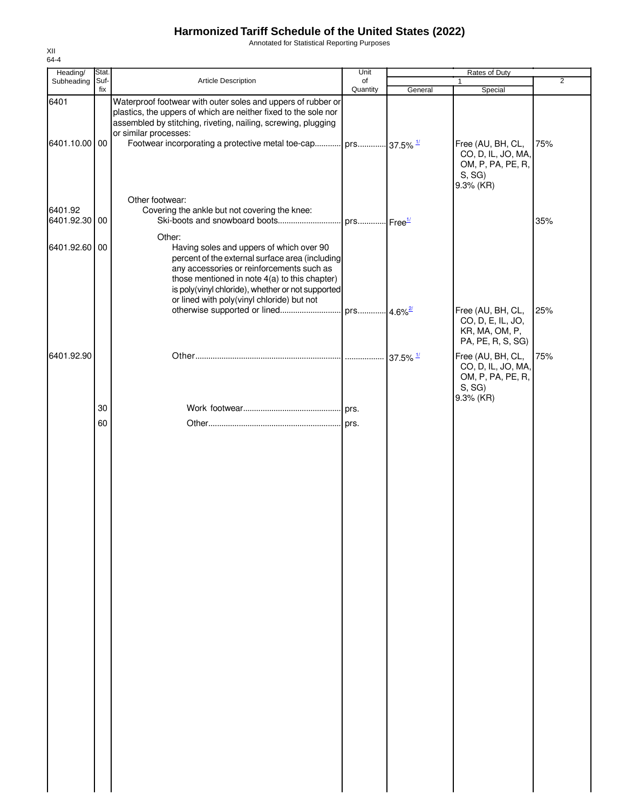Annotated for Statistical Reporting Purposes

| Heading/                 | Stat.       |                                                                                                                                                                                                                                                                                                        | Unit           |         | Rates of Duty                                                                      |                |
|--------------------------|-------------|--------------------------------------------------------------------------------------------------------------------------------------------------------------------------------------------------------------------------------------------------------------------------------------------------------|----------------|---------|------------------------------------------------------------------------------------|----------------|
| Subheading               | Suf-<br>fix | Article Description                                                                                                                                                                                                                                                                                    | of<br>Quantity |         | 1                                                                                  | $\overline{2}$ |
| 6401<br>6401.10.00       | 00          | Waterproof footwear with outer soles and uppers of rubber or<br>plastics, the uppers of which are neither fixed to the sole nor<br>assembled by stitching, riveting, nailing, screwing, plugging<br>or similar processes:<br>Footwear incorporating a protective metal toe-cap   prs   37.5% 1/        |                | General | Special<br>Free (AU, BH, CL,                                                       | 75%            |
|                          |             | Other footwear:                                                                                                                                                                                                                                                                                        |                |         | CO, D, IL, JO, MA,<br>OM, P, PA, PE, R,<br>S, SG<br>9.3% (KR)                      |                |
| 6401.92<br>6401.92.30 00 |             | Covering the ankle but not covering the knee:                                                                                                                                                                                                                                                          |                |         |                                                                                    | 35%            |
| 6401.92.60 00            |             | Other:<br>Having soles and uppers of which over 90<br>percent of the external surface area (including<br>any accessories or reinforcements such as<br>those mentioned in note 4(a) to this chapter)<br>is poly(vinyl chloride), whether or not supported<br>or lined with poly(vinyl chloride) but not |                |         |                                                                                    |                |
|                          |             |                                                                                                                                                                                                                                                                                                        |                |         | Free (AU, BH, CL,<br>CO, D, E, IL, JO,<br>KR, MA, OM, P,<br>PA, PE, R, S, SG)      | 25%            |
| 6401.92.90               |             |                                                                                                                                                                                                                                                                                                        |                |         | Free (AU, BH, CL,<br>CO, D, IL, JO, MA,<br>OM, P, PA, PE, R,<br>S, SG<br>9.3% (KR) | 75%            |
|                          | 30          |                                                                                                                                                                                                                                                                                                        |                |         |                                                                                    |                |
|                          | 60          |                                                                                                                                                                                                                                                                                                        |                |         |                                                                                    |                |
|                          |             |                                                                                                                                                                                                                                                                                                        |                |         |                                                                                    |                |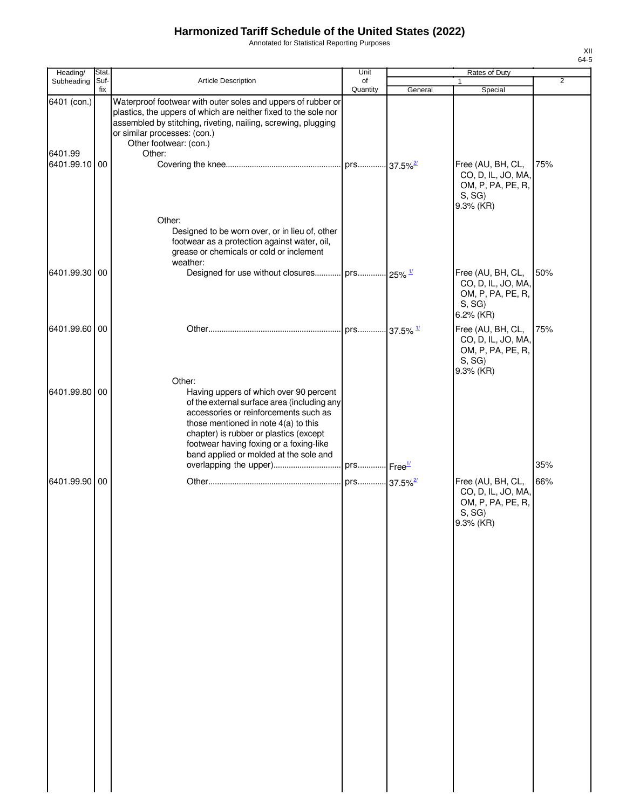Annotated for Statistical Reporting Purposes

| Heading/                 | Stat.       |                                                                                                                                                                                                                                                                                                                 | Unit           |         | Rates of Duty                                                                      |                |
|--------------------------|-------------|-----------------------------------------------------------------------------------------------------------------------------------------------------------------------------------------------------------------------------------------------------------------------------------------------------------------|----------------|---------|------------------------------------------------------------------------------------|----------------|
| Subheading               | Suf-<br>fix | Article Description                                                                                                                                                                                                                                                                                             | of<br>Quantity |         |                                                                                    | $\overline{2}$ |
| 6401 (con.)              |             | Waterproof footwear with outer soles and uppers of rubber or<br>plastics, the uppers of which are neither fixed to the sole nor<br>assembled by stitching, riveting, nailing, screwing, plugging<br>or similar processes: (con.)<br>Other footwear: (con.)                                                      |                | General | Special                                                                            |                |
| 6401.99<br>6401.99.10 00 |             | Other:<br>Other:                                                                                                                                                                                                                                                                                                |                |         | Free (AU, BH, CL,<br>CO, D, IL, JO, MA,<br>OM, P, PA, PE, R,<br>S, SG<br>9.3% (KR) | 75%            |
| 6401.99.30               | 00          | Designed to be worn over, or in lieu of, other<br>footwear as a protection against water, oil,<br>grease or chemicals or cold or inclement<br>weather:<br>Designed for use without closures prs 25% 1/2                                                                                                         |                |         | Free (AU, BH, CL,                                                                  | 50%            |
|                          |             |                                                                                                                                                                                                                                                                                                                 |                |         | CO, D, IL, JO, MA,<br>OM, P, PA, PE, R,<br>S, SG<br>6.2% (KR)                      |                |
| 6401.99.60 00            |             |                                                                                                                                                                                                                                                                                                                 |                |         | Free (AU, BH, CL,<br>CO, D, IL, JO, MA,<br>OM, P, PA, PE, R,<br>S, SG<br>9.3% (KR) | 75%            |
| 6401.99.80 00            |             | Other:<br>Having uppers of which over 90 percent<br>of the external surface area (including any<br>accessories or reinforcements such as<br>those mentioned in note 4(a) to this<br>chapter) is rubber or plastics (except<br>footwear having foxing or a foxing-like<br>band applied or molded at the sole and |                |         |                                                                                    |                |
| 6401.99.90               | 00          |                                                                                                                                                                                                                                                                                                                 |                |         | Free (AU, BH, CL,<br>CO, D, IL, JO, MA,<br>OM, P, PA, PE, R,<br>S, SG<br>9.3% (KR) | 35%<br>66%     |
|                          |             |                                                                                                                                                                                                                                                                                                                 |                |         |                                                                                    |                |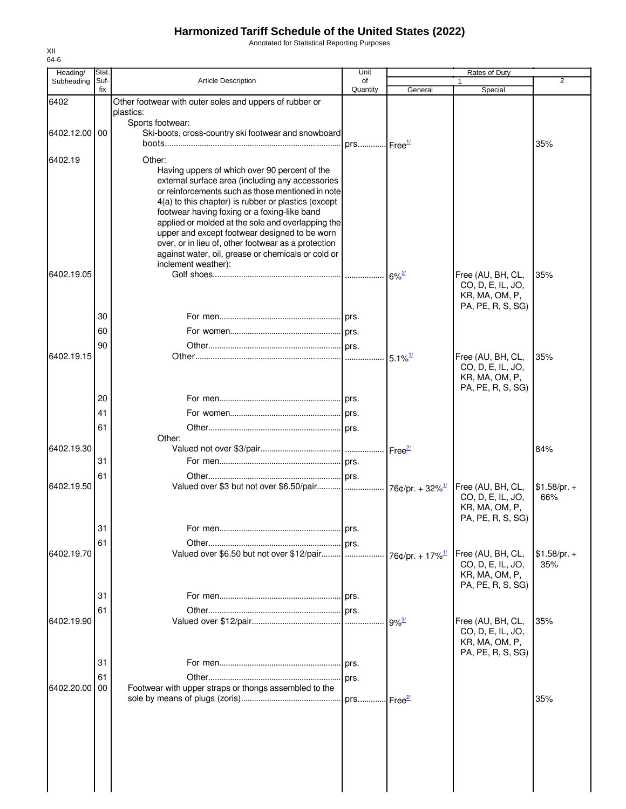Annotated for Statistical Reporting Purposes

| Heading/      | Stat.       |                                                                                                           | Unit                   |                             | Rates of Duty                       |                |
|---------------|-------------|-----------------------------------------------------------------------------------------------------------|------------------------|-----------------------------|-------------------------------------|----------------|
| Subheading    | Suf-<br>fix | <b>Article Description</b>                                                                                | of<br>Quantity         | General                     | 1<br>Special                        | $\overline{2}$ |
| 6402          |             | Other footwear with outer soles and uppers of rubber or                                                   |                        |                             |                                     |                |
|               |             | plastics:                                                                                                 |                        |                             |                                     |                |
|               |             | Sports footwear:                                                                                          |                        |                             |                                     |                |
| 6402.12.00 00 |             | Ski-boots, cross-country ski footwear and snowboard                                                       |                        |                             |                                     |                |
|               |             |                                                                                                           | prs Free <sup>1/</sup> |                             |                                     | 35%            |
| 6402.19       |             | Other:                                                                                                    |                        |                             |                                     |                |
|               |             | Having uppers of which over 90 percent of the                                                             |                        |                             |                                     |                |
|               |             | external surface area (including any accessories<br>or reinforcements such as those mentioned in note     |                        |                             |                                     |                |
|               |             | 4(a) to this chapter) is rubber or plastics (except                                                       |                        |                             |                                     |                |
|               |             | footwear having foxing or a foxing-like band                                                              |                        |                             |                                     |                |
|               |             | applied or molded at the sole and overlapping the                                                         |                        |                             |                                     |                |
|               |             | upper and except footwear designed to be worn                                                             |                        |                             |                                     |                |
|               |             | over, or in lieu of, other footwear as a protection<br>against water, oil, grease or chemicals or cold or |                        |                             |                                     |                |
|               |             | inclement weather):                                                                                       |                        |                             |                                     |                |
| 6402.19.05    |             |                                                                                                           |                        | $6\%$ <sup>2/</sup>         | Free (AU, BH, CL,                   | 35%            |
|               |             |                                                                                                           |                        |                             | CO, D, E, IL, JO,                   |                |
|               |             |                                                                                                           |                        |                             | KR, MA, OM, P,<br>PA, PE, R, S, SG) |                |
|               | 30          |                                                                                                           |                        |                             |                                     |                |
|               | 60          |                                                                                                           |                        |                             |                                     |                |
|               |             |                                                                                                           |                        |                             |                                     |                |
| 6402.19.15    | 90          |                                                                                                           |                        | $5.1\%$ <sup>1/</sup>       | Free (AU, BH, CL,                   | 35%            |
|               |             |                                                                                                           |                        |                             | CO, D, E, IL, JO,                   |                |
|               |             |                                                                                                           |                        |                             | KR, MA, OM, P,                      |                |
|               |             |                                                                                                           |                        |                             | PA, PE, R, S, SG)                   |                |
|               | 20          |                                                                                                           |                        |                             |                                     |                |
|               | 41          |                                                                                                           |                        |                             |                                     |                |
|               | 61          |                                                                                                           |                        |                             |                                     |                |
| 6402.19.30    |             | Other:                                                                                                    |                        | Free <sup>27</sup>          |                                     | 84%            |
|               | 31          |                                                                                                           |                        |                             |                                     |                |
|               | 61          |                                                                                                           |                        |                             |                                     |                |
| 6402.19.50    |             |                                                                                                           |                        |                             | Free (AU, BH, CL,                   | $$1.58/pr. +$  |
|               |             |                                                                                                           |                        |                             | CO, D, E, IL, JO,                   | 66%            |
|               |             |                                                                                                           |                        |                             | KR, MA, OM, P,                      |                |
|               |             |                                                                                                           |                        |                             | PA, PE, R, S, SG)                   |                |
|               | 31          |                                                                                                           | prs.                   |                             |                                     |                |
| 6402.19.70    | 61          |                                                                                                           | prs.                   |                             | Free (AU, BH, CL,                   | $$1.58/pr. +$  |
|               |             |                                                                                                           |                        | 76¢/pr. + 17% <sup>1/</sup> | CO, D, E, IL, JO,                   | 35%            |
|               |             |                                                                                                           |                        |                             | KR, MA, OM, P,                      |                |
|               |             |                                                                                                           |                        |                             | PA, PE, R, S, SG)                   |                |
|               | 31          |                                                                                                           |                        |                             |                                     |                |
|               | 61          |                                                                                                           |                        |                             |                                     |                |
| 6402.19.90    |             |                                                                                                           |                        | $9\%$ <sup>3/</sup>         | Free (AU, BH, CL,                   | 35%            |
|               |             |                                                                                                           |                        |                             | CO, D, E, IL, JO,<br>KR, MA, OM, P, |                |
|               |             |                                                                                                           |                        |                             | PA, PE, R, S, SG)                   |                |
|               | 31          |                                                                                                           | prs.                   |                             |                                     |                |
|               | 61          |                                                                                                           | prs.                   |                             |                                     |                |
| 6402.20.00 00 |             | Footwear with upper straps or thongs assembled to the                                                     |                        |                             |                                     |                |
|               |             |                                                                                                           | prs Free <sup>2/</sup> |                             |                                     | 35%            |
|               |             |                                                                                                           |                        |                             |                                     |                |
|               |             |                                                                                                           |                        |                             |                                     |                |
|               |             |                                                                                                           |                        |                             |                                     |                |
|               |             |                                                                                                           |                        |                             |                                     |                |
|               |             |                                                                                                           |                        |                             |                                     |                |
|               |             |                                                                                                           |                        |                             |                                     |                |
|               |             |                                                                                                           |                        |                             |                                     |                |

XII 64-6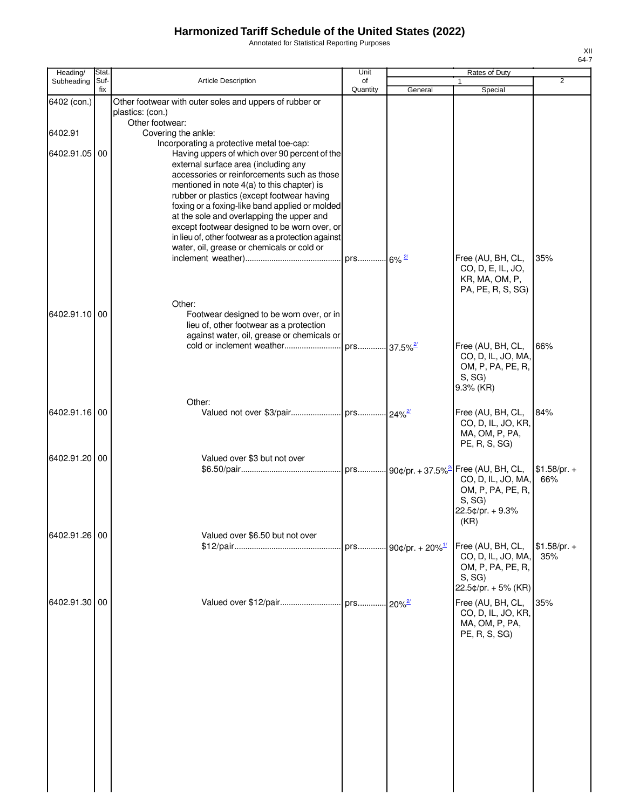Annotated for Statistical Reporting Purposes

| Heading/      | <b>Stat</b> |                                                                                              | Unit     |                                 | Rates of Duty                           |                |
|---------------|-------------|----------------------------------------------------------------------------------------------|----------|---------------------------------|-----------------------------------------|----------------|
| Subheading    | Suf-        | Article Description                                                                          | of       |                                 | 1                                       | $\overline{2}$ |
|               | fix         |                                                                                              | Quantity | General                         | Special                                 |                |
| 6402 (con.)   |             | Other footwear with outer soles and uppers of rubber or<br>plastics: (con.)                  |          |                                 |                                         |                |
|               |             | Other footwear:                                                                              |          |                                 |                                         |                |
| 6402.91       |             | Covering the ankle:                                                                          |          |                                 |                                         |                |
|               |             | Incorporating a protective metal toe-cap:                                                    |          |                                 |                                         |                |
| 6402.91.05    | 00          | Having uppers of which over 90 percent of the                                                |          |                                 |                                         |                |
|               |             | external surface area (including any                                                         |          |                                 |                                         |                |
|               |             | accessories or reinforcements such as those                                                  |          |                                 |                                         |                |
|               |             | mentioned in note 4(a) to this chapter) is                                                   |          |                                 |                                         |                |
|               |             | rubber or plastics (except footwear having<br>foxing or a foxing-like band applied or molded |          |                                 |                                         |                |
|               |             | at the sole and overlapping the upper and                                                    |          |                                 |                                         |                |
|               |             | except footwear designed to be worn over, or                                                 |          |                                 |                                         |                |
|               |             | in lieu of, other footwear as a protection against                                           |          |                                 |                                         |                |
|               |             | water, oil, grease or chemicals or cold or                                                   |          |                                 |                                         |                |
|               |             |                                                                                              |          |                                 | Free (AU, BH, CL,                       | 35%            |
|               |             |                                                                                              |          |                                 | CO, D, E, IL, JO,                       |                |
|               |             |                                                                                              |          |                                 | KR, MA, OM, P,<br>PA, PE, R, S, SG)     |                |
|               |             |                                                                                              |          |                                 |                                         |                |
| 6402.91.10 00 |             | Other:<br>Footwear designed to be worn over, or in                                           |          |                                 |                                         |                |
|               |             | lieu of, other footwear as a protection                                                      |          |                                 |                                         |                |
|               |             | against water, oil, grease or chemicals or                                                   |          |                                 |                                         |                |
|               |             |                                                                                              |          |                                 | Free (AU, BH, CL,                       | 66%            |
|               |             |                                                                                              |          |                                 | CO, D, IL, JO, MA,                      |                |
|               |             |                                                                                              |          |                                 | OM, P, PA, PE, R,                       |                |
|               |             |                                                                                              |          |                                 | S, SG                                   |                |
|               |             |                                                                                              |          |                                 | 9.3% (KR)                               |                |
|               |             | Other:                                                                                       |          |                                 |                                         |                |
| 6402.91.16 00 |             |                                                                                              |          |                                 | Free (AU, BH, CL,<br>CO, D, IL, JO, KR, | 84%            |
|               |             |                                                                                              |          |                                 | MA, OM, P, PA,                          |                |
|               |             |                                                                                              |          |                                 | PE, R, S, SG)                           |                |
| 6402.91.20    | 00          | Valued over \$3 but not over                                                                 |          |                                 |                                         |                |
|               |             |                                                                                              |          |                                 |                                         | $$1.58/pr. +$  |
|               |             |                                                                                              |          |                                 | CO, D, IL, JO, MA,                      | 66%            |
|               |             |                                                                                              |          |                                 | OM, P, PA, PE, R,                       |                |
|               |             |                                                                                              |          |                                 | S, SG                                   |                |
|               |             |                                                                                              |          |                                 | 22.5¢/pr. + 9.3%                        |                |
|               |             |                                                                                              |          |                                 | (KR)                                    |                |
| 6402.91.26 00 |             | Valued over \$6.50 but not over                                                              |          |                                 |                                         |                |
|               |             |                                                                                              |          | prs 90¢/pr. + 20% <sup>1/</sup> | Free (AU, BH, CL,                       | $$1.58/pr. +$  |
|               |             |                                                                                              |          |                                 | CO, D, IL, JO, MA,<br>OM, P, PA, PE, R, | 35%            |
|               |             |                                                                                              |          |                                 | S, SG                                   |                |
|               |             |                                                                                              |          |                                 | $22.5¢/pr. + 5% (KR)$                   |                |
| 6402.91.30 00 |             |                                                                                              |          | . 20% <sup>2/</sup> ا           | Free (AU, BH, CL,                       | 35%            |
|               |             |                                                                                              |          |                                 | CO, D, IL, JO, KR,                      |                |
|               |             |                                                                                              |          |                                 | MA, OM, P, PA,                          |                |
|               |             |                                                                                              |          |                                 | PE, R, S, SG)                           |                |
|               |             |                                                                                              |          |                                 |                                         |                |
|               |             |                                                                                              |          |                                 |                                         |                |
|               |             |                                                                                              |          |                                 |                                         |                |
|               |             |                                                                                              |          |                                 |                                         |                |
|               |             |                                                                                              |          |                                 |                                         |                |
|               |             |                                                                                              |          |                                 |                                         |                |
|               |             |                                                                                              |          |                                 |                                         |                |
|               |             |                                                                                              |          |                                 |                                         |                |
|               |             |                                                                                              |          |                                 |                                         |                |
|               |             |                                                                                              |          |                                 |                                         |                |
|               |             |                                                                                              |          |                                 |                                         |                |
|               |             |                                                                                              |          |                                 |                                         |                |
|               |             |                                                                                              |          |                                 |                                         |                |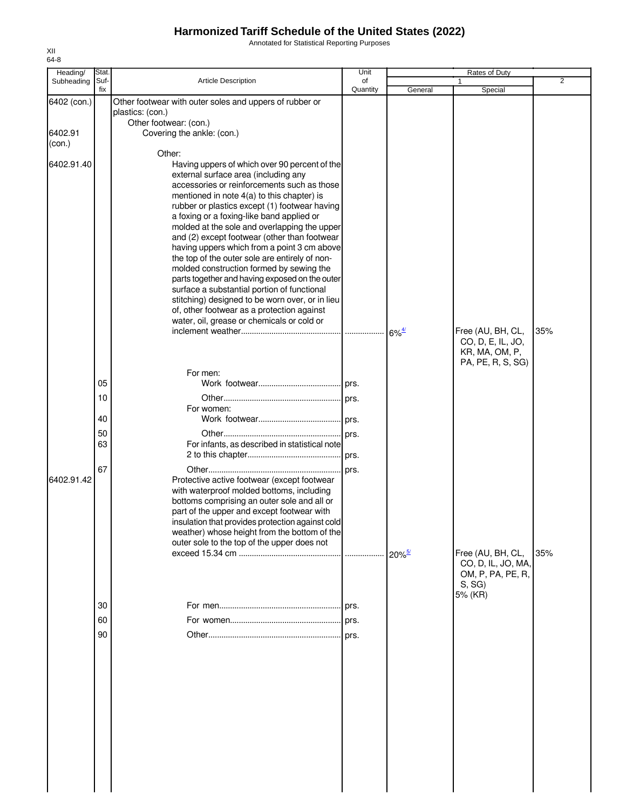Annotated for Statistical Reporting Purposes

| Heading/    | Stat.    |                                                                                                  | Unit     |                      | Rates of Duty                           |                |
|-------------|----------|--------------------------------------------------------------------------------------------------|----------|----------------------|-----------------------------------------|----------------|
| Subheading  | Suf-     | <b>Article Description</b>                                                                       | of       |                      | 1                                       | $\overline{2}$ |
| 6402 (con.) | fix      | Other footwear with outer soles and uppers of rubber or                                          | Quantity | General              | Special                                 |                |
|             |          | plastics: (con.)                                                                                 |          |                      |                                         |                |
| 6402.91     |          | Other footwear: (con.)<br>Covering the ankle: (con.)                                             |          |                      |                                         |                |
| (con.)      |          |                                                                                                  |          |                      |                                         |                |
|             |          | Other:                                                                                           |          |                      |                                         |                |
| 6402.91.40  |          | Having uppers of which over 90 percent of the<br>external surface area (including any            |          |                      |                                         |                |
|             |          | accessories or reinforcements such as those                                                      |          |                      |                                         |                |
|             |          | mentioned in note 4(a) to this chapter) is                                                       |          |                      |                                         |                |
|             |          | rubber or plastics except (1) footwear having<br>a foxing or a foxing-like band applied or       |          |                      |                                         |                |
|             |          | molded at the sole and overlapping the upper                                                     |          |                      |                                         |                |
|             |          | and (2) except footwear (other than footwear                                                     |          |                      |                                         |                |
|             |          | having uppers which from a point 3 cm above<br>the top of the outer sole are entirely of non-    |          |                      |                                         |                |
|             |          | molded construction formed by sewing the                                                         |          |                      |                                         |                |
|             |          | parts together and having exposed on the outer                                                   |          |                      |                                         |                |
|             |          | surface a substantial portion of functional<br>stitching) designed to be worn over, or in lieu   |          |                      |                                         |                |
|             |          | of, other footwear as a protection against                                                       |          |                      |                                         |                |
|             |          | water, oil, grease or chemicals or cold or                                                       |          |                      |                                         |                |
|             |          |                                                                                                  |          | $6\%$ <sup>4/</sup>  | Free (AU, BH, CL,<br>CO, D, E, IL, JO,  | 35%            |
|             |          |                                                                                                  |          |                      | KR, MA, OM, P,                          |                |
|             |          | For men:                                                                                         |          |                      | PA, PE, R, S, SG)                       |                |
|             | 05       |                                                                                                  |          |                      |                                         |                |
|             | 10       |                                                                                                  | prs.     |                      |                                         |                |
|             |          | For women:                                                                                       |          |                      |                                         |                |
|             | 40       |                                                                                                  |          |                      |                                         |                |
|             | 50<br>63 | For infants, as described in statistical note                                                    |          |                      |                                         |                |
|             |          |                                                                                                  | . prs.   |                      |                                         |                |
|             | 67       |                                                                                                  | prs.     |                      |                                         |                |
| 6402.91.42  |          | Protective active footwear (except footwear                                                      |          |                      |                                         |                |
|             |          | with waterproof molded bottoms, including<br>bottoms comprising an outer sole and all or         |          |                      |                                         |                |
|             |          | part of the upper and except footwear with                                                       |          |                      |                                         |                |
|             |          | insulation that provides protection against cold<br>weather) whose height from the bottom of the |          |                      |                                         |                |
|             |          | outer sole to the top of the upper does not                                                      |          |                      |                                         |                |
|             |          |                                                                                                  |          | $20\%$ <sup>5/</sup> | Free (AU, BH, CL,                       | 35%            |
|             |          |                                                                                                  |          |                      | CO, D, IL, JO, MA,<br>OM, P, PA, PE, R, |                |
|             |          |                                                                                                  |          |                      | S, SG                                   |                |
|             | 30       |                                                                                                  |          |                      | 5% (KR)                                 |                |
|             | 60       |                                                                                                  | . ors.   |                      |                                         |                |
|             | 90       |                                                                                                  | .l prs.  |                      |                                         |                |
|             |          |                                                                                                  | prs.     |                      |                                         |                |
|             |          |                                                                                                  |          |                      |                                         |                |
|             |          |                                                                                                  |          |                      |                                         |                |
|             |          |                                                                                                  |          |                      |                                         |                |
|             |          |                                                                                                  |          |                      |                                         |                |
|             |          |                                                                                                  |          |                      |                                         |                |
|             |          |                                                                                                  |          |                      |                                         |                |
|             |          |                                                                                                  |          |                      |                                         |                |
|             |          |                                                                                                  |          |                      |                                         |                |
|             |          |                                                                                                  |          |                      |                                         |                |
|             |          |                                                                                                  |          |                      |                                         |                |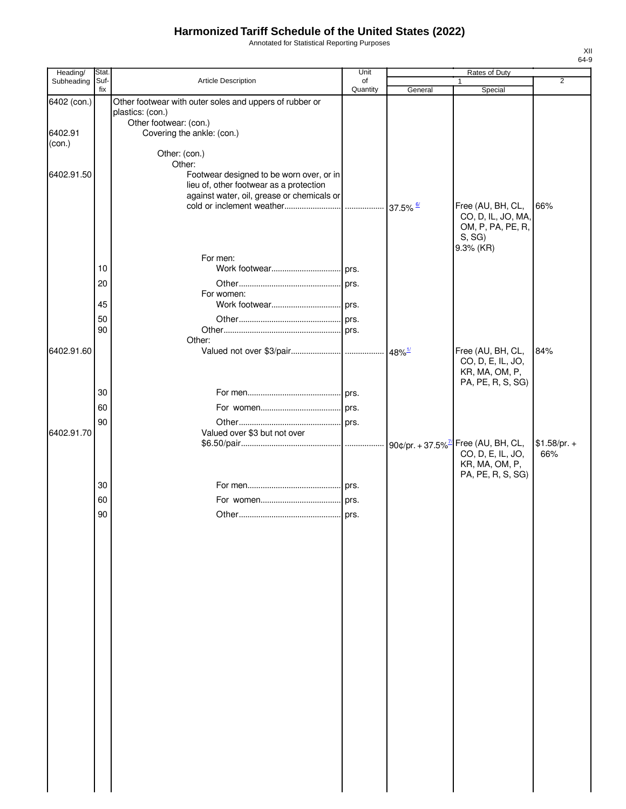Annotated for Statistical Reporting Purposes

| Heading/    | Stat.       |                                                                                     | Unit           |         | Rates of Duty      |                |
|-------------|-------------|-------------------------------------------------------------------------------------|----------------|---------|--------------------|----------------|
| Subheading  | Suf-<br>fix | <b>Article Description</b>                                                          | of<br>Quantity | General | 1<br>Special       | $\overline{2}$ |
| 6402 (con.) |             | Other footwear with outer soles and uppers of rubber or                             |                |         |                    |                |
|             |             | plastics: (con.)                                                                    |                |         |                    |                |
| 6402.91     |             | Other footwear: (con.)                                                              |                |         |                    |                |
| (con.)      |             | Covering the ankle: (con.)                                                          |                |         |                    |                |
|             |             | Other: (con.)                                                                       |                |         |                    |                |
|             |             | Other:                                                                              |                |         |                    |                |
| 6402.91.50  |             | Footwear designed to be worn over, or in<br>lieu of, other footwear as a protection |                |         |                    |                |
|             |             | against water, oil, grease or chemicals or                                          |                |         |                    |                |
|             |             |                                                                                     |                |         | Free (AU, BH, CL,  | 66%            |
|             |             |                                                                                     |                |         | CO, D, IL, JO, MA, |                |
|             |             |                                                                                     |                |         | OM, P, PA, PE, R,  |                |
|             |             |                                                                                     |                |         | S, SG<br>9.3% (KR) |                |
|             |             | For men:                                                                            |                |         |                    |                |
|             | 10          |                                                                                     |                |         |                    |                |
|             | 20          |                                                                                     |                |         |                    |                |
|             |             | For women:                                                                          |                |         |                    |                |
|             | 45          |                                                                                     |                |         |                    |                |
|             | 50          |                                                                                     |                |         |                    |                |
|             | 90          | Other:                                                                              |                |         |                    |                |
| 6402.91.60  |             |                                                                                     |                |         | Free (AU, BH, CL,  | 84%            |
|             |             |                                                                                     |                |         | CO, D, E, IL, JO,  |                |
|             |             |                                                                                     |                |         | KR, MA, OM, P,     |                |
|             | 30          |                                                                                     |                |         | PA, PE, R, S, SG)  |                |
|             | 60          |                                                                                     |                |         |                    |                |
|             |             |                                                                                     |                |         |                    |                |
| 6402.91.70  | 90          | Valued over \$3 but not over                                                        |                |         |                    |                |
|             |             |                                                                                     |                |         |                    | $$1.58/pr. +$  |
|             |             |                                                                                     |                |         | CO, D, E, IL, JO,  | 66%            |
|             |             |                                                                                     |                |         | KR, MA, OM, P,     |                |
|             | 30          |                                                                                     |                |         | PA, PE, R, S, SG)  |                |
|             |             |                                                                                     |                |         |                    |                |
|             | 60          |                                                                                     |                |         |                    |                |
|             | 90          |                                                                                     |                |         |                    |                |
|             |             |                                                                                     |                |         |                    |                |
|             |             |                                                                                     |                |         |                    |                |
|             |             |                                                                                     |                |         |                    |                |
|             |             |                                                                                     |                |         |                    |                |
|             |             |                                                                                     |                |         |                    |                |
|             |             |                                                                                     |                |         |                    |                |
|             |             |                                                                                     |                |         |                    |                |
|             |             |                                                                                     |                |         |                    |                |
|             |             |                                                                                     |                |         |                    |                |
|             |             |                                                                                     |                |         |                    |                |
|             |             |                                                                                     |                |         |                    |                |
|             |             |                                                                                     |                |         |                    |                |
|             |             |                                                                                     |                |         |                    |                |
|             |             |                                                                                     |                |         |                    |                |
|             |             |                                                                                     |                |         |                    |                |
|             |             |                                                                                     |                |         |                    |                |
|             |             |                                                                                     |                |         |                    |                |
|             |             |                                                                                     |                |         |                    |                |
|             |             |                                                                                     |                |         |                    |                |
|             |             |                                                                                     |                |         |                    |                |
|             |             |                                                                                     |                |         |                    |                |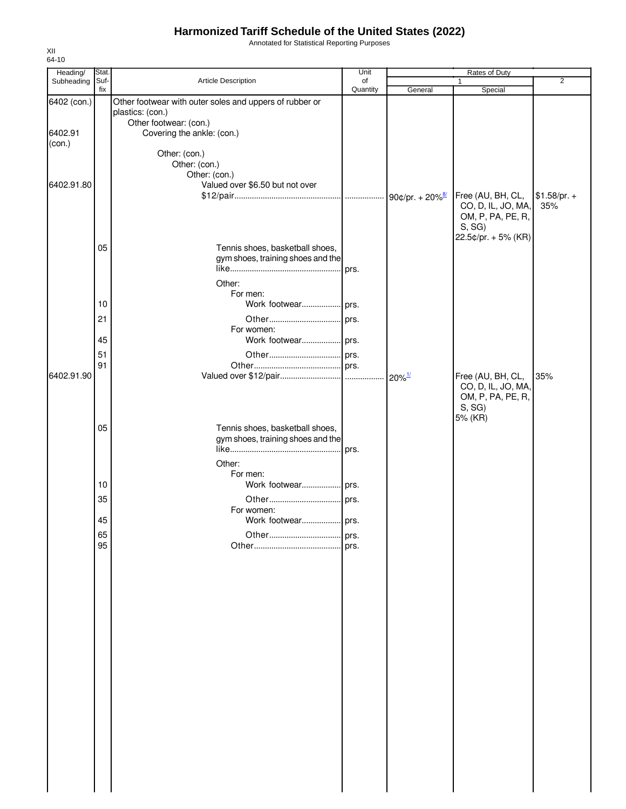Annotated for Statistical Reporting Purposes

| Heading/    | Stat.       |                                                                      | Unit           |         | Rates of Duty              |                |
|-------------|-------------|----------------------------------------------------------------------|----------------|---------|----------------------------|----------------|
| Subheading  | Suf-<br>fix | Article Description                                                  | of<br>Quantity | General | 1<br>Special               | $\overline{2}$ |
| 6402 (con.) |             | Other footwear with outer soles and uppers of rubber or              |                |         |                            |                |
|             |             | plastics: (con.)                                                     |                |         |                            |                |
|             |             | Other footwear: (con.)                                               |                |         |                            |                |
| 6402.91     |             | Covering the ankle: (con.)                                           |                |         |                            |                |
| (con.)      |             |                                                                      |                |         |                            |                |
|             |             | Other: (con.)<br>Other: (con.)                                       |                |         |                            |                |
|             |             | Other: (con.)                                                        |                |         |                            |                |
| 6402.91.80  |             | Valued over \$6.50 but not over                                      |                |         |                            |                |
|             |             |                                                                      |                |         | Free (AU, BH, CL,          | $$1.58/pr. +$  |
|             |             |                                                                      |                |         | CO, D, IL, JO, MA,         | 35%            |
|             |             |                                                                      |                |         | OM, P, PA, PE, R,<br>S, SG |                |
|             |             |                                                                      |                |         | 22.5¢/pr. + 5% (KR)        |                |
|             | 05          | Tennis shoes, basketball shoes,                                      |                |         |                            |                |
|             |             | gym shoes, training shoes and the                                    |                |         |                            |                |
|             |             |                                                                      | prs.           |         |                            |                |
|             |             | Other:                                                               |                |         |                            |                |
|             |             | For men:                                                             |                |         |                            |                |
|             | 10          | Work footwear prs.                                                   |                |         |                            |                |
|             | 21          |                                                                      |                |         |                            |                |
|             |             | For women:                                                           |                |         |                            |                |
|             | 45          | Work footwear prs.                                                   |                |         |                            |                |
|             | 51          |                                                                      |                |         |                            |                |
|             | 91          |                                                                      |                |         |                            |                |
| 6402.91.90  |             |                                                                      |                |         | Free (AU, BH, CL,          | 35%            |
|             |             |                                                                      |                |         | CO, D, IL, JO, MA,         |                |
|             |             |                                                                      |                |         | OM, P, PA, PE, R,          |                |
|             |             |                                                                      |                |         | S, SG                      |                |
|             |             |                                                                      |                |         | 5% (KR)                    |                |
|             | 05          | Tennis shoes, basketball shoes,<br>gym shoes, training shoes and the |                |         |                            |                |
|             |             |                                                                      | prs.           |         |                            |                |
|             |             |                                                                      |                |         |                            |                |
|             |             | Other:<br>For men:                                                   |                |         |                            |                |
|             | 10          | Work footwear prs.                                                   |                |         |                            |                |
|             |             |                                                                      |                |         |                            |                |
|             | 35          | For women:                                                           |                |         |                            |                |
|             | 45          |                                                                      |                |         |                            |                |
|             | 65          |                                                                      | prs.           |         |                            |                |
|             | 95          |                                                                      | prs.           |         |                            |                |
|             |             |                                                                      |                |         |                            |                |
|             |             |                                                                      |                |         |                            |                |
|             |             |                                                                      |                |         |                            |                |
|             |             |                                                                      |                |         |                            |                |
|             |             |                                                                      |                |         |                            |                |
|             |             |                                                                      |                |         |                            |                |
|             |             |                                                                      |                |         |                            |                |
|             |             |                                                                      |                |         |                            |                |
|             |             |                                                                      |                |         |                            |                |
|             |             |                                                                      |                |         |                            |                |
|             |             |                                                                      |                |         |                            |                |
|             |             |                                                                      |                |         |                            |                |
|             |             |                                                                      |                |         |                            |                |
|             |             |                                                                      |                |         |                            |                |
|             |             |                                                                      |                |         |                            |                |
|             |             |                                                                      |                |         |                            |                |
|             |             |                                                                      |                |         |                            |                |
|             |             |                                                                      |                |         |                            |                |
|             |             |                                                                      |                |         |                            |                |
|             |             |                                                                      |                |         |                            |                |
|             |             |                                                                      |                |         |                            |                |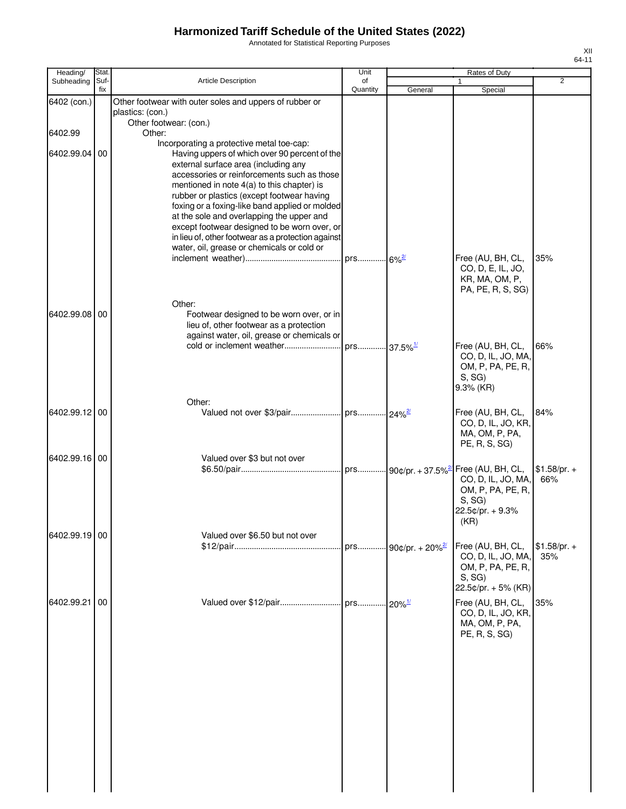Annotated for Statistical Reporting Purposes

| Heading/      | <b>Stat</b> |                                                                                     | Unit     |                                 | Rates of Duty       |                |
|---------------|-------------|-------------------------------------------------------------------------------------|----------|---------------------------------|---------------------|----------------|
| Subheading    | Suf-        | Article Description                                                                 | of       |                                 |                     | $\overline{2}$ |
|               | fix         |                                                                                     | Quantity | General                         | Special             |                |
| 6402 (con.)   |             | Other footwear with outer soles and uppers of rubber or                             |          |                                 |                     |                |
|               |             | plastics: (con.)                                                                    |          |                                 |                     |                |
|               |             | Other footwear: (con.)                                                              |          |                                 |                     |                |
| 6402.99       |             | Other:                                                                              |          |                                 |                     |                |
|               |             | Incorporating a protective metal toe-cap:                                           |          |                                 |                     |                |
| 6402.99.04    | 00          | Having uppers of which over 90 percent of the                                       |          |                                 |                     |                |
|               |             | external surface area (including any<br>accessories or reinforcements such as those |          |                                 |                     |                |
|               |             | mentioned in note 4(a) to this chapter) is                                          |          |                                 |                     |                |
|               |             | rubber or plastics (except footwear having                                          |          |                                 |                     |                |
|               |             | foxing or a foxing-like band applied or molded                                      |          |                                 |                     |                |
|               |             | at the sole and overlapping the upper and                                           |          |                                 |                     |                |
|               |             | except footwear designed to be worn over, or                                        |          |                                 |                     |                |
|               |             | in lieu of, other footwear as a protection against                                  |          |                                 |                     |                |
|               |             | water, oil, grease or chemicals or cold or                                          |          |                                 |                     |                |
|               |             |                                                                                     |          |                                 | Free (AU, BH, CL,   | 35%            |
|               |             |                                                                                     |          |                                 | CO, D, E, IL, JO,   |                |
|               |             |                                                                                     |          |                                 | KR, MA, OM, P,      |                |
|               |             |                                                                                     |          |                                 | PA, PE, R, S, SG)   |                |
|               |             | Other:                                                                              |          |                                 |                     |                |
| 6402.99.08    | 00          | Footwear designed to be worn over, or in                                            |          |                                 |                     |                |
|               |             | lieu of, other footwear as a protection                                             |          |                                 |                     |                |
|               |             | against water, oil, grease or chemicals or                                          |          |                                 |                     |                |
|               |             |                                                                                     |          |                                 | Free (AU, BH, CL,   | 66%            |
|               |             |                                                                                     |          |                                 | CO, D, IL, JO, MA,  |                |
|               |             |                                                                                     |          |                                 | OM, P, PA, PE, R,   |                |
|               |             |                                                                                     |          |                                 | S, SG               |                |
|               |             |                                                                                     |          |                                 | 9.3% (KR)           |                |
|               |             | Other:                                                                              |          |                                 |                     |                |
| 6402.99.12 00 |             |                                                                                     |          |                                 | Free (AU, BH, CL,   | 84%            |
|               |             |                                                                                     |          |                                 | CO, D, IL, JO, KR,  |                |
|               |             |                                                                                     |          |                                 | MA, OM, P, PA,      |                |
|               |             |                                                                                     |          |                                 | PE, R, S, SG)       |                |
| 6402.99.16 00 |             | Valued over \$3 but not over                                                        |          |                                 |                     |                |
|               |             |                                                                                     |          |                                 |                     | $$1.58/pr. +$  |
|               |             |                                                                                     |          |                                 | CO, D, IL, JO, MA,  | 66%            |
|               |             |                                                                                     |          |                                 | OM, P, PA, PE, R,   |                |
|               |             |                                                                                     |          |                                 | S, SG               |                |
|               |             |                                                                                     |          |                                 | 22.5¢/pr. + 9.3%    |                |
|               |             |                                                                                     |          |                                 | (KR)                |                |
| 6402.99.19 00 |             | Valued over \$6.50 but not over                                                     |          |                                 |                     |                |
|               |             |                                                                                     |          | prs 90¢/pr. + 20% <sup>2/</sup> | Free (AU, BH, CL,   | $$1.58/pr. +$  |
|               |             |                                                                                     |          |                                 | CO, D, IL, JO, MA,  | 35%            |
|               |             |                                                                                     |          |                                 | OM, P, PA, PE, R,   |                |
|               |             |                                                                                     |          |                                 | S, SG               |                |
|               |             |                                                                                     |          |                                 | 22.5¢/pr. + 5% (KR) |                |
| 6402.99.21    | 00          |                                                                                     |          |                                 | Free (AU, BH, CL,   | 35%            |
|               |             |                                                                                     |          |                                 | CO, D, IL, JO, KR,  |                |
|               |             |                                                                                     |          |                                 | MA, OM, P, PA,      |                |
|               |             |                                                                                     |          |                                 | PE, R, S, SG)       |                |
|               |             |                                                                                     |          |                                 |                     |                |
|               |             |                                                                                     |          |                                 |                     |                |
|               |             |                                                                                     |          |                                 |                     |                |
|               |             |                                                                                     |          |                                 |                     |                |
|               |             |                                                                                     |          |                                 |                     |                |
|               |             |                                                                                     |          |                                 |                     |                |
|               |             |                                                                                     |          |                                 |                     |                |
|               |             |                                                                                     |          |                                 |                     |                |
|               |             |                                                                                     |          |                                 |                     |                |
|               |             |                                                                                     |          |                                 |                     |                |
|               |             |                                                                                     |          |                                 |                     |                |
|               |             |                                                                                     |          |                                 |                     |                |
|               |             |                                                                                     |          |                                 |                     |                |
|               |             |                                                                                     |          |                                 |                     |                |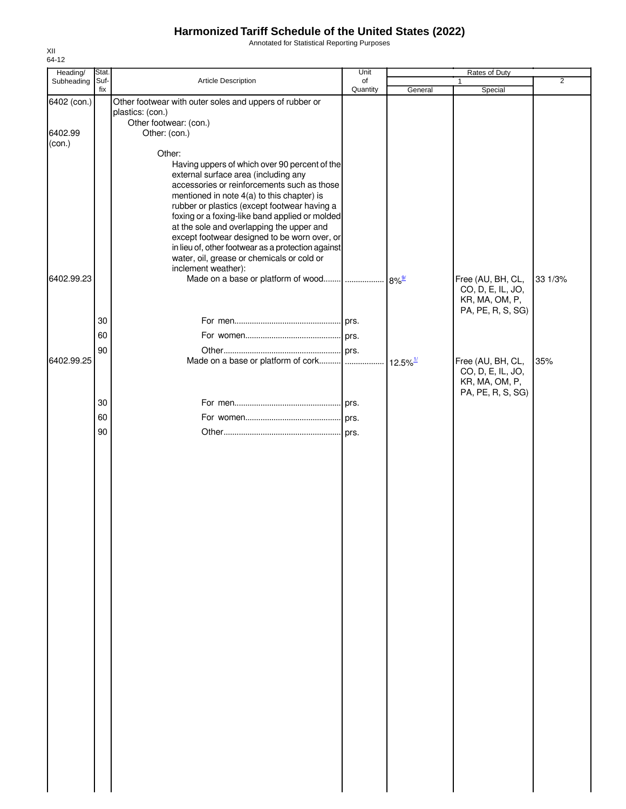Annotated for Statistical Reporting Purposes

| Heading/          | Stat.       |                                                                                                                                                                                                                                                                                                                                                                                                                     | Unit           | Rates of Duty          |                                                                               |                |
|-------------------|-------------|---------------------------------------------------------------------------------------------------------------------------------------------------------------------------------------------------------------------------------------------------------------------------------------------------------------------------------------------------------------------------------------------------------------------|----------------|------------------------|-------------------------------------------------------------------------------|----------------|
| Subheading        | Suf-<br>fix | Article Description                                                                                                                                                                                                                                                                                                                                                                                                 | of<br>Quantity | General                | 1<br>Special                                                                  | $\overline{2}$ |
| 6402 (con.)       |             | Other footwear with outer soles and uppers of rubber or<br>plastics: (con.)<br>Other footwear: (con.)                                                                                                                                                                                                                                                                                                               |                |                        |                                                                               |                |
| 6402.99<br>(con.) |             | Other: (con.)<br>Other:<br>Having uppers of which over 90 percent of the<br>external surface area (including any                                                                                                                                                                                                                                                                                                    |                |                        |                                                                               |                |
| 6402.99.23        |             | accessories or reinforcements such as those<br>mentioned in note 4(a) to this chapter) is<br>rubber or plastics (except footwear having a<br>foxing or a foxing-like band applied or molded<br>at the sole and overlapping the upper and<br>except footwear designed to be worn over, or<br>in lieu of, other footwear as a protection against<br>water, oil, grease or chemicals or cold or<br>inclement weather): |                |                        | Free (AU, BH, CL,                                                             | 33 1/3%        |
|                   |             |                                                                                                                                                                                                                                                                                                                                                                                                                     |                |                        | CO, D, E, IL, JO,<br>KR, MA, OM, P,<br>PA, PE, R, S, SG)                      |                |
|                   | 30          |                                                                                                                                                                                                                                                                                                                                                                                                                     |                |                        |                                                                               |                |
|                   | 60          |                                                                                                                                                                                                                                                                                                                                                                                                                     |                |                        |                                                                               |                |
| 6402.99.25        | 90          |                                                                                                                                                                                                                                                                                                                                                                                                                     |                | $12.5\%$ <sup>1/</sup> | Free (AU, BH, CL,<br>CO, D, E, IL, JO,<br>KR, MA, OM, P,<br>PA, PE, R, S, SG) | 35%            |
|                   | 30          |                                                                                                                                                                                                                                                                                                                                                                                                                     |                |                        |                                                                               |                |
|                   | 60          |                                                                                                                                                                                                                                                                                                                                                                                                                     |                |                        |                                                                               |                |
|                   | 90          |                                                                                                                                                                                                                                                                                                                                                                                                                     |                |                        |                                                                               |                |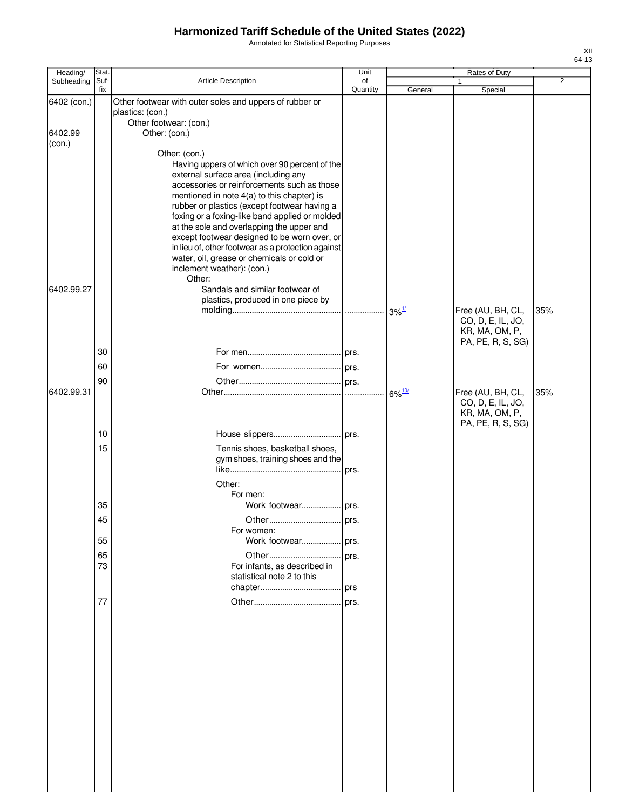Annotated for Statistical Reporting Purposes

| Heading/          | Stat.       |                                                                                                                                                                                                                                                                                                                                                                                                                                                          | Unit           |                      | Rates of Duty                                                                 |                |
|-------------------|-------------|----------------------------------------------------------------------------------------------------------------------------------------------------------------------------------------------------------------------------------------------------------------------------------------------------------------------------------------------------------------------------------------------------------------------------------------------------------|----------------|----------------------|-------------------------------------------------------------------------------|----------------|
| Subheading        | Suf-<br>fix | Article Description                                                                                                                                                                                                                                                                                                                                                                                                                                      | of<br>Quantity | General              | Special                                                                       | $\overline{2}$ |
| 6402 (con.)       |             | Other footwear with outer soles and uppers of rubber or<br>plastics: (con.)                                                                                                                                                                                                                                                                                                                                                                              |                |                      |                                                                               |                |
| 6402.99<br>(con.) |             | Other footwear: (con.)<br>Other: (con.)                                                                                                                                                                                                                                                                                                                                                                                                                  |                |                      |                                                                               |                |
|                   |             | Other: (con.)<br>Having uppers of which over 90 percent of the<br>external surface area (including any<br>accessories or reinforcements such as those<br>mentioned in note 4(a) to this chapter) is<br>rubber or plastics (except footwear having a<br>foxing or a foxing-like band applied or molded<br>at the sole and overlapping the upper and<br>except footwear designed to be worn over, or<br>in lieu of, other footwear as a protection against |                |                      |                                                                               |                |
| 6402.99.27        |             | water, oil, grease or chemicals or cold or<br>inclement weather): (con.)<br>Other:<br>Sandals and similar footwear of                                                                                                                                                                                                                                                                                                                                    |                |                      |                                                                               |                |
|                   |             | plastics, produced in one piece by                                                                                                                                                                                                                                                                                                                                                                                                                       |                | $3\%$ <sup>1/</sup>  | Free (AU, BH, CL,<br>CO, D, E, IL, JO,<br>KR, MA, OM, P,<br>PA, PE, R, S, SG) | 35%            |
|                   | 30<br>60    |                                                                                                                                                                                                                                                                                                                                                                                                                                                          |                |                      |                                                                               |                |
|                   | 90          |                                                                                                                                                                                                                                                                                                                                                                                                                                                          |                |                      |                                                                               |                |
| 6402.99.31        |             |                                                                                                                                                                                                                                                                                                                                                                                                                                                          |                | $6\%$ <sup>10/</sup> | Free (AU, BH, CL,<br>CO, D, E, IL, JO,<br>KR, MA, OM, P,<br>PA, PE, R, S, SG) | 35%            |
|                   | 10          |                                                                                                                                                                                                                                                                                                                                                                                                                                                          |                |                      |                                                                               |                |
|                   | 15          | Tennis shoes, basketball shoes,<br>gym shoes, training shoes and the                                                                                                                                                                                                                                                                                                                                                                                     | prs.           |                      |                                                                               |                |
|                   |             | Other:<br>For men:                                                                                                                                                                                                                                                                                                                                                                                                                                       |                |                      |                                                                               |                |
|                   | 35          |                                                                                                                                                                                                                                                                                                                                                                                                                                                          |                |                      |                                                                               |                |
|                   | 45          |                                                                                                                                                                                                                                                                                                                                                                                                                                                          |                |                      |                                                                               |                |
|                   | 55          | For women:<br>Work footwear prs.                                                                                                                                                                                                                                                                                                                                                                                                                         |                |                      |                                                                               |                |
|                   | 65<br>73    | Other<br>For infants, as described in<br>statistical note 2 to this                                                                                                                                                                                                                                                                                                                                                                                      | prs.           |                      |                                                                               |                |
|                   |             |                                                                                                                                                                                                                                                                                                                                                                                                                                                          |                |                      |                                                                               |                |
|                   | 77          |                                                                                                                                                                                                                                                                                                                                                                                                                                                          |                |                      |                                                                               |                |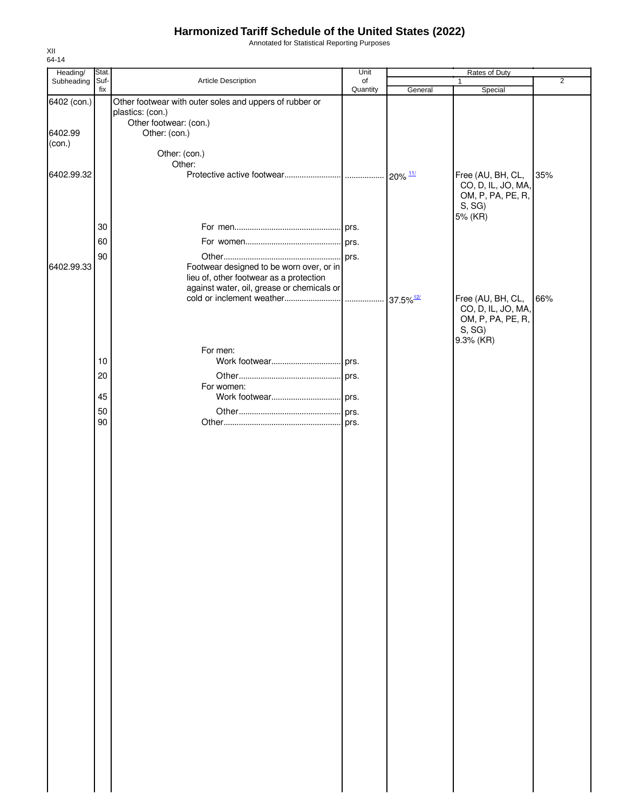Annotated for Statistical Reporting Purposes

| Heading/    | Stat.       |                                                                                     | Unit           | Rates of Duty |                                         |                |  |
|-------------|-------------|-------------------------------------------------------------------------------------|----------------|---------------|-----------------------------------------|----------------|--|
| Subheading  | Suf-<br>fix | Article Description                                                                 | of<br>Quantity | General       | $\mathbf{1}$<br>Special                 | $\overline{2}$ |  |
| 6402 (con.) |             | Other footwear with outer soles and uppers of rubber or                             |                |               |                                         |                |  |
|             |             | plastics: (con.)                                                                    |                |               |                                         |                |  |
| 6402.99     |             | Other footwear: (con.)                                                              |                |               |                                         |                |  |
| (con.)      |             | Other: (con.)                                                                       |                |               |                                         |                |  |
|             |             | Other: (con.)                                                                       |                |               |                                         |                |  |
|             |             | Other:                                                                              |                |               |                                         |                |  |
| 6402.99.32  |             |                                                                                     |                |               | Free (AU, BH, CL,<br>CO, D, IL, JO, MA, | 35%            |  |
|             |             |                                                                                     |                |               | OM, P, PA, PE, R,                       |                |  |
|             |             |                                                                                     |                |               | S, SG                                   |                |  |
|             |             |                                                                                     |                |               | 5% (KR)                                 |                |  |
|             | 30          |                                                                                     |                |               |                                         |                |  |
|             | 60          |                                                                                     |                |               |                                         |                |  |
|             | 90          |                                                                                     |                |               |                                         |                |  |
| 6402.99.33  |             | Footwear designed to be worn over, or in<br>lieu of, other footwear as a protection |                |               |                                         |                |  |
|             |             | against water, oil, grease or chemicals or                                          |                |               |                                         |                |  |
|             |             |                                                                                     |                |               | Free (AU, BH, CL,                       | 66%            |  |
|             |             |                                                                                     |                |               | CO, D, IL, JO, MA,                      |                |  |
|             |             |                                                                                     |                |               | OM, P, PA, PE, R,<br>S, SG              |                |  |
|             |             |                                                                                     |                |               | 9.3% (KR)                               |                |  |
|             |             | For men:                                                                            |                |               |                                         |                |  |
|             | 10          |                                                                                     |                |               |                                         |                |  |
|             | 20          |                                                                                     |                |               |                                         |                |  |
|             | 45          | For women:                                                                          |                |               |                                         |                |  |
|             | 50          |                                                                                     |                |               |                                         |                |  |
|             | 90          |                                                                                     |                |               |                                         |                |  |
|             |             |                                                                                     |                |               |                                         |                |  |
|             |             |                                                                                     |                |               |                                         |                |  |
|             |             |                                                                                     |                |               |                                         |                |  |
|             |             |                                                                                     |                |               |                                         |                |  |
|             |             |                                                                                     |                |               |                                         |                |  |
|             |             |                                                                                     |                |               |                                         |                |  |
|             |             |                                                                                     |                |               |                                         |                |  |
|             |             |                                                                                     |                |               |                                         |                |  |
|             |             |                                                                                     |                |               |                                         |                |  |
|             |             |                                                                                     |                |               |                                         |                |  |
|             |             |                                                                                     |                |               |                                         |                |  |
|             |             |                                                                                     |                |               |                                         |                |  |
|             |             |                                                                                     |                |               |                                         |                |  |
|             |             |                                                                                     |                |               |                                         |                |  |
|             |             |                                                                                     |                |               |                                         |                |  |
|             |             |                                                                                     |                |               |                                         |                |  |
|             |             |                                                                                     |                |               |                                         |                |  |
|             |             |                                                                                     |                |               |                                         |                |  |
|             |             |                                                                                     |                |               |                                         |                |  |
|             |             |                                                                                     |                |               |                                         |                |  |
|             |             |                                                                                     |                |               |                                         |                |  |
|             |             |                                                                                     |                |               |                                         |                |  |
|             |             |                                                                                     |                |               |                                         |                |  |
|             |             |                                                                                     |                |               |                                         |                |  |
|             |             |                                                                                     |                |               |                                         |                |  |
|             |             |                                                                                     |                |               |                                         |                |  |
|             |             |                                                                                     |                |               |                                         |                |  |
|             |             |                                                                                     |                |               |                                         |                |  |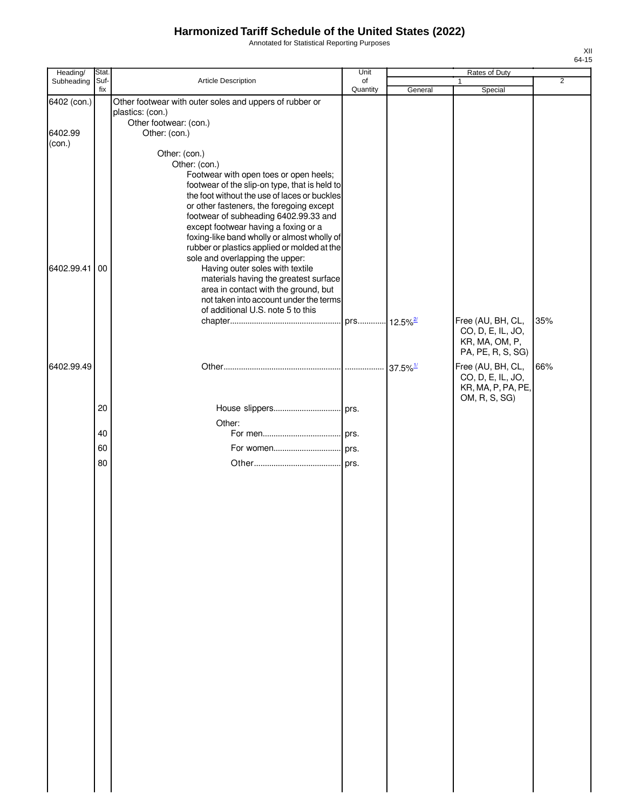Annotated for Statistical Reporting Purposes

| Heading/    | Stat.       |                                                                                   | Unit           |         | Rates of Duty                          |                |
|-------------|-------------|-----------------------------------------------------------------------------------|----------------|---------|----------------------------------------|----------------|
| Subheading  | Suf-<br>fix | Article Description                                                               | of<br>Quantity | General | 1<br>Special                           | $\overline{2}$ |
| 6402 (con.) |             | Other footwear with outer soles and uppers of rubber or                           |                |         |                                        |                |
|             |             | plastics: (con.)                                                                  |                |         |                                        |                |
|             |             | Other footwear: (con.)                                                            |                |         |                                        |                |
| 6402.99     |             | Other: (con.)                                                                     |                |         |                                        |                |
| (con.)      |             |                                                                                   |                |         |                                        |                |
|             |             | Other: (con.)<br>Other: (con.)                                                    |                |         |                                        |                |
|             |             | Footwear with open toes or open heels;                                            |                |         |                                        |                |
|             |             | footwear of the slip-on type, that is held to                                     |                |         |                                        |                |
|             |             | the foot without the use of laces or buckles                                      |                |         |                                        |                |
|             |             | or other fasteners, the foregoing except<br>footwear of subheading 6402.99.33 and |                |         |                                        |                |
|             |             | except footwear having a foxing or a                                              |                |         |                                        |                |
|             |             | foxing-like band wholly or almost wholly of                                       |                |         |                                        |                |
|             |             | rubber or plastics applied or molded at the                                       |                |         |                                        |                |
| 6402.99.41  | 00          | sole and overlapping the upper:                                                   |                |         |                                        |                |
|             |             | Having outer soles with textile<br>materials having the greatest surface          |                |         |                                        |                |
|             |             | area in contact with the ground, but                                              |                |         |                                        |                |
|             |             | not taken into account under the terms                                            |                |         |                                        |                |
|             |             | of additional U.S. note 5 to this                                                 |                |         |                                        |                |
|             |             |                                                                                   |                |         | Free (AU, BH, CL,<br>CO, D, E, IL, JO, | 35%            |
|             |             |                                                                                   |                |         | KR, MA, OM, P,                         |                |
|             |             |                                                                                   |                |         | PA, PE, R, S, SG)                      |                |
| 6402.99.49  |             |                                                                                   |                |         | Free (AU, BH, CL,                      | 66%            |
|             |             |                                                                                   |                |         | CO, D, E, IL, JO,                      |                |
|             |             |                                                                                   |                |         | KR, MA, P, PA, PE,<br>OM, R, S, SG)    |                |
|             | 20          |                                                                                   |                |         |                                        |                |
|             |             | Other:                                                                            |                |         |                                        |                |
|             | 40          |                                                                                   |                |         |                                        |                |
|             | 60          |                                                                                   |                |         |                                        |                |
|             | 80          |                                                                                   |                |         |                                        |                |
|             |             |                                                                                   |                |         |                                        |                |
|             |             |                                                                                   |                |         |                                        |                |
|             |             |                                                                                   |                |         |                                        |                |
|             |             |                                                                                   |                |         |                                        |                |
|             |             |                                                                                   |                |         |                                        |                |
|             |             |                                                                                   |                |         |                                        |                |
|             |             |                                                                                   |                |         |                                        |                |
|             |             |                                                                                   |                |         |                                        |                |
|             |             |                                                                                   |                |         |                                        |                |
|             |             |                                                                                   |                |         |                                        |                |
|             |             |                                                                                   |                |         |                                        |                |
|             |             |                                                                                   |                |         |                                        |                |
|             |             |                                                                                   |                |         |                                        |                |
|             |             |                                                                                   |                |         |                                        |                |
|             |             |                                                                                   |                |         |                                        |                |
|             |             |                                                                                   |                |         |                                        |                |
|             |             |                                                                                   |                |         |                                        |                |
|             |             |                                                                                   |                |         |                                        |                |
|             |             |                                                                                   |                |         |                                        |                |
|             |             |                                                                                   |                |         |                                        |                |
|             |             |                                                                                   |                |         |                                        |                |
|             |             |                                                                                   |                |         |                                        |                |
|             |             |                                                                                   |                |         |                                        |                |
|             |             |                                                                                   |                |         |                                        |                |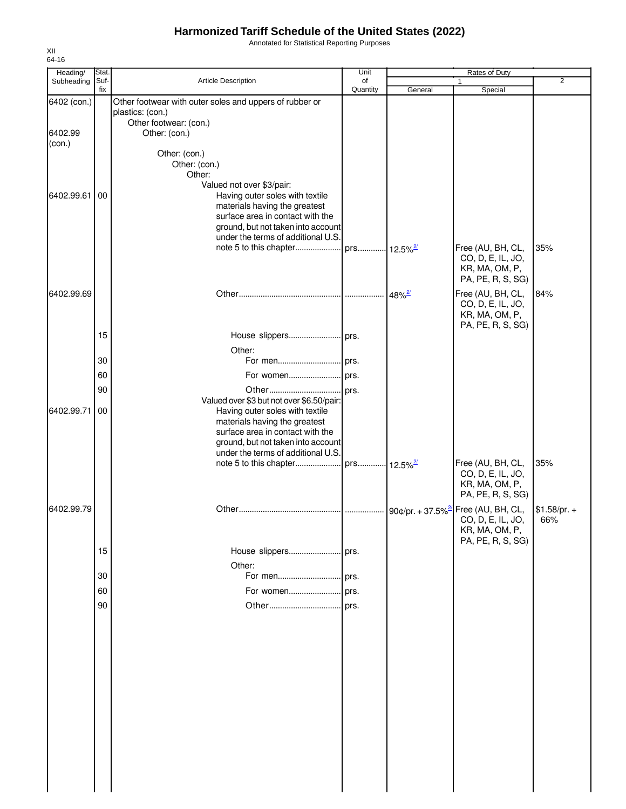Annotated for Statistical Reporting Purposes

| Subheading  | Stat.<br>Suf- | Article Description                                                    | Unit<br>of |         | Rates of Duty                       | $\overline{2}$ |
|-------------|---------------|------------------------------------------------------------------------|------------|---------|-------------------------------------|----------------|
|             | fix           |                                                                        | Quantity   | General | Special                             |                |
| 6402 (con.) |               | Other footwear with outer soles and uppers of rubber or                |            |         |                                     |                |
|             |               | plastics: (con.)                                                       |            |         |                                     |                |
| 6402.99     |               | Other footwear: (con.)<br>Other: (con.)                                |            |         |                                     |                |
| (con.)      |               |                                                                        |            |         |                                     |                |
|             |               | Other: (con.)                                                          |            |         |                                     |                |
|             |               | Other: (con.)                                                          |            |         |                                     |                |
|             |               | Other:                                                                 |            |         |                                     |                |
|             |               | Valued not over \$3/pair:                                              |            |         |                                     |                |
| 6402.99.61  | 00            | Having outer soles with textile<br>materials having the greatest       |            |         |                                     |                |
|             |               | surface area in contact with the                                       |            |         |                                     |                |
|             |               | ground, but not taken into account                                     |            |         |                                     |                |
|             |               | under the terms of additional U.S.                                     |            |         |                                     |                |
|             |               |                                                                        |            |         | Free (AU, BH, CL,                   | 35%            |
|             |               |                                                                        |            |         | CO, D, E, IL, JO,<br>KR, MA, OM, P, |                |
|             |               |                                                                        |            |         | PA, PE, R, S, SG)                   |                |
| 6402.99.69  |               |                                                                        |            |         | Free (AU, BH, CL,                   | 84%            |
|             |               |                                                                        |            |         | CO, D, E, IL, JO,                   |                |
|             |               |                                                                        |            |         | KR, MA, OM, P,                      |                |
|             |               |                                                                        |            |         | PA, PE, R, S, SG)                   |                |
|             | 15            |                                                                        |            |         |                                     |                |
|             |               | Other:                                                                 |            |         |                                     |                |
|             | 30            |                                                                        |            |         |                                     |                |
|             | 60            |                                                                        |            |         |                                     |                |
|             | 90            |                                                                        |            |         |                                     |                |
|             |               | Valued over \$3 but not over \$6.50/pair:                              |            |         |                                     |                |
| 6402.99.71  | 00            | Having outer soles with textile                                        |            |         |                                     |                |
|             |               | materials having the greatest                                          |            |         |                                     |                |
|             |               | surface area in contact with the<br>ground, but not taken into account |            |         |                                     |                |
|             |               | under the terms of additional U.S.                                     |            |         |                                     |                |
|             |               |                                                                        |            |         | Free (AU, BH, CL,                   | 35%            |
|             |               |                                                                        |            |         | CO, D, E, IL, JO,                   |                |
|             |               |                                                                        |            |         | KR, MA, OM, P,                      |                |
|             |               |                                                                        |            |         | PA, PE, R, S, SG)                   |                |
| 6402.99.79  |               |                                                                        |            |         |                                     | $$1.58/pr. +$  |
|             |               |                                                                        |            |         | CO, D, E, IL, JO,<br>KR, MA, OM, P, | 66%            |
|             |               |                                                                        |            |         | PA, PE, R, S, SG)                   |                |
|             | 15            |                                                                        |            |         |                                     |                |
|             |               | Other:                                                                 |            |         |                                     |                |
|             | 30            | For men                                                                | . prs.     |         |                                     |                |
|             | 60            | For women                                                              | prs.       |         |                                     |                |
|             | 90            | Other                                                                  | . prs.     |         |                                     |                |
|             |               |                                                                        |            |         |                                     |                |
|             |               |                                                                        |            |         |                                     |                |
|             |               |                                                                        |            |         |                                     |                |
|             |               |                                                                        |            |         |                                     |                |
|             |               |                                                                        |            |         |                                     |                |
|             |               |                                                                        |            |         |                                     |                |
|             |               |                                                                        |            |         |                                     |                |
|             |               |                                                                        |            |         |                                     |                |
|             |               |                                                                        |            |         |                                     |                |
|             |               |                                                                        |            |         |                                     |                |
|             |               |                                                                        |            |         |                                     |                |
|             |               |                                                                        |            |         |                                     |                |
|             |               |                                                                        |            |         |                                     |                |
|             |               |                                                                        |            |         |                                     |                |
|             |               |                                                                        |            |         |                                     |                |

XII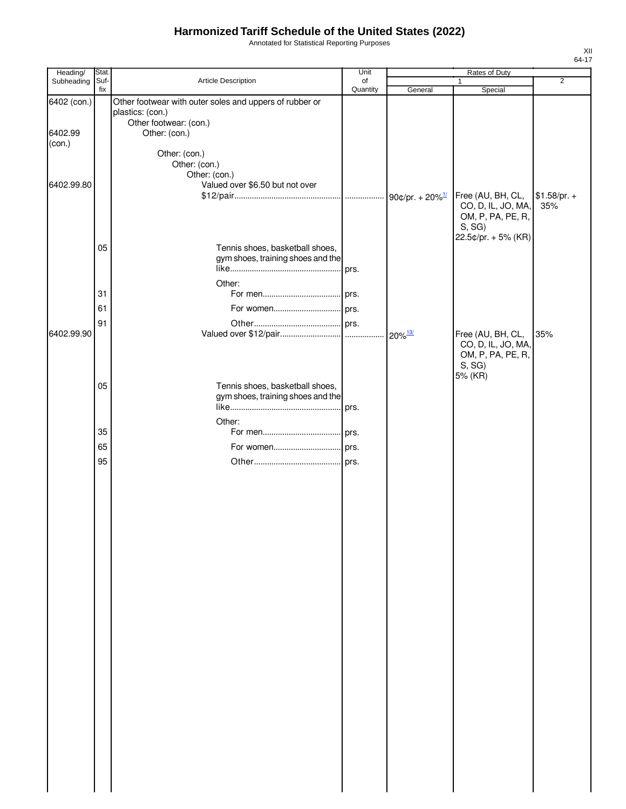Annotated for Statistical Reporting Purposes

| ı |
|---|
|   |

| Heading/    | Stat.       |                                                         | Unit           |                       | Rates of Duty              |                |
|-------------|-------------|---------------------------------------------------------|----------------|-----------------------|----------------------------|----------------|
| Subheading  | Suf-<br>fix | Article Description                                     | of<br>Quantity | General               | 1<br>Special               | $\overline{2}$ |
| 6402 (con.) |             | Other footwear with outer soles and uppers of rubber or |                |                       |                            |                |
|             |             | plastics: (con.)                                        |                |                       |                            |                |
|             |             | Other footwear: (con.)                                  |                |                       |                            |                |
| 6402.99     |             | Other: (con.)                                           |                |                       |                            |                |
| (con.)      |             |                                                         |                |                       |                            |                |
|             |             | Other: (con.)                                           |                |                       |                            |                |
|             |             | Other: (con.)                                           |                |                       |                            |                |
|             |             | Other: (con.)                                           |                |                       |                            |                |
| 6402.99.80  |             | Valued over \$6.50 but not over                         |                |                       |                            |                |
|             |             |                                                         |                |                       | Free (AU, BH, CL,          | $$1.58/pr. +$  |
|             |             |                                                         |                |                       | CO, D, IL, JO, MA,         | 35%            |
|             |             |                                                         |                |                       | OM, P, PA, PE, R,<br>S, SG |                |
|             |             |                                                         |                |                       | 22.5¢/pr. + 5% (KR)        |                |
|             | 05          | Tennis shoes, basketball shoes,                         |                |                       |                            |                |
|             |             | gym shoes, training shoes and the                       |                |                       |                            |                |
|             |             |                                                         |                |                       |                            |                |
|             |             | Other:                                                  |                |                       |                            |                |
|             | 31          |                                                         |                |                       |                            |                |
|             |             |                                                         |                |                       |                            |                |
|             | 61          |                                                         |                |                       |                            |                |
|             | 91          |                                                         |                |                       |                            |                |
| 6402.99.90  |             |                                                         |                | $20\%$ <sup>13/</sup> | Free (AU, BH, CL,          | 35%            |
|             |             |                                                         |                |                       | CO, D, IL, JO, MA,         |                |
|             |             |                                                         |                |                       | OM, P, PA, PE, R,          |                |
|             |             |                                                         |                |                       | S, SG                      |                |
|             | 05          | Tennis shoes, basketball shoes,                         |                |                       | 5% (KR)                    |                |
|             |             | gym shoes, training shoes and the                       |                |                       |                            |                |
|             |             |                                                         | prs.           |                       |                            |                |
|             |             |                                                         |                |                       |                            |                |
|             | 35          | Other:                                                  |                |                       |                            |                |
|             |             |                                                         |                |                       |                            |                |
|             | 65          |                                                         |                |                       |                            |                |
|             | 95          |                                                         |                |                       |                            |                |
|             |             |                                                         |                |                       |                            |                |
|             |             |                                                         |                |                       |                            |                |
|             |             |                                                         |                |                       |                            |                |
|             |             |                                                         |                |                       |                            |                |
|             |             |                                                         |                |                       |                            |                |
|             |             |                                                         |                |                       |                            |                |
|             |             |                                                         |                |                       |                            |                |
|             |             |                                                         |                |                       |                            |                |
|             |             |                                                         |                |                       |                            |                |
|             |             |                                                         |                |                       |                            |                |
|             |             |                                                         |                |                       |                            |                |
|             |             |                                                         |                |                       |                            |                |
|             |             |                                                         |                |                       |                            |                |
|             |             |                                                         |                |                       |                            |                |
|             |             |                                                         |                |                       |                            |                |
|             |             |                                                         |                |                       |                            |                |
|             |             |                                                         |                |                       |                            |                |
|             |             |                                                         |                |                       |                            |                |
|             |             |                                                         |                |                       |                            |                |
|             |             |                                                         |                |                       |                            |                |
|             |             |                                                         |                |                       |                            |                |
|             |             |                                                         |                |                       |                            |                |
|             |             |                                                         |                |                       |                            |                |
|             |             |                                                         |                |                       |                            |                |
|             |             |                                                         |                |                       |                            |                |
|             |             |                                                         |                |                       |                            |                |
|             |             |                                                         |                |                       |                            |                |
|             |             |                                                         |                |                       |                            |                |
|             |             |                                                         |                |                       |                            |                |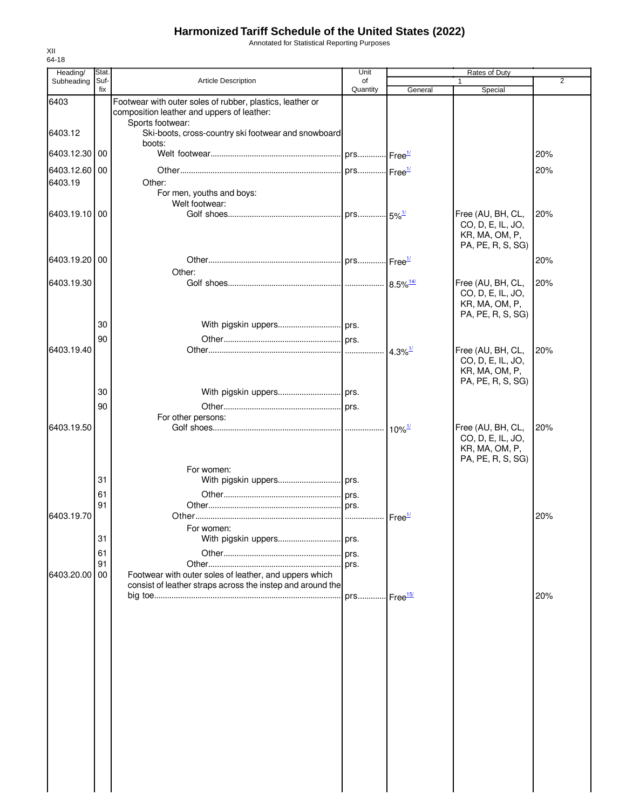Annotated for Statistical Reporting Purposes

| Heading/              | Stat.       |                                                                                                                      | Unit           |                                            | Rates of Duty                                                                 |                |
|-----------------------|-------------|----------------------------------------------------------------------------------------------------------------------|----------------|--------------------------------------------|-------------------------------------------------------------------------------|----------------|
| Subheading            | Suf-<br>fix | Article Description                                                                                                  | of<br>Quantity | General                                    | $\mathbf{1}$<br>Special                                                       | $\overline{2}$ |
| 6403                  |             | Footwear with outer soles of rubber, plastics, leather or<br>composition leather and uppers of leather:              |                |                                            |                                                                               |                |
| 6403.12               |             | Sports footwear:<br>Ski-boots, cross-country ski footwear and snowboard                                              |                |                                            |                                                                               |                |
| 6403.12.30            | 00          | boots:                                                                                                               |                |                                            |                                                                               | 20%            |
| 6403.12.60<br>6403.19 | 00          | Other:<br>For men, youths and boys:                                                                                  |                |                                            |                                                                               | 20%            |
| 6403.19.10 00         |             | Welt footwear:                                                                                                       |                |                                            | Free (AU, BH, CL,<br>CO, D, E, IL, JO,<br>KR, MA, OM, P,<br>PA, PE, R, S, SG) | 20%            |
| 6403.19.20 00         |             |                                                                                                                      |                |                                            |                                                                               | 20%            |
| 6403.19.30            |             | Other:                                                                                                               |                |                                            | Free (AU, BH, CL,<br>CO, D, E, IL, JO,<br>KR, MA, OM, P,<br>PA, PE, R, S, SG) | 20%            |
|                       | 30          |                                                                                                                      |                |                                            |                                                                               |                |
| 6403.19.40            | 90          |                                                                                                                      |                | $4.3\%$ <sup>1/</sup>                      | Free (AU, BH, CL,<br>CO, D, E, IL, JO,<br>KR, MA, OM, P,                      | 20%            |
|                       | 30<br>90    |                                                                                                                      |                |                                            | PA, PE, R, S, SG)                                                             |                |
| 6403.19.50            |             | For other persons:                                                                                                   |                | $10\%$ <sup><math>\frac{1}{2}</math></sup> | Free (AU, BH, CL,<br>CO, D, E, IL, JO,<br>KR, MA, OM, P,                      | 20%            |
|                       | 31          | For women:                                                                                                           |                |                                            | PA, PE, R, S, SG)                                                             |                |
|                       | 61<br>91    |                                                                                                                      |                |                                            |                                                                               |                |
| 6403.19.70            | 31          | For women:<br>With pigskin uppers prs.                                                                               |                |                                            |                                                                               | 20%            |
|                       | 61          |                                                                                                                      |                |                                            |                                                                               |                |
| 6403.20.00            | 91<br>00    | Footwear with outer soles of leather, and uppers which<br>consist of leather straps across the instep and around the |                |                                            |                                                                               |                |
|                       |             |                                                                                                                      |                | Free <sup>15/</sup>                        |                                                                               | 20%            |
|                       |             |                                                                                                                      |                |                                            |                                                                               |                |
|                       |             |                                                                                                                      |                |                                            |                                                                               |                |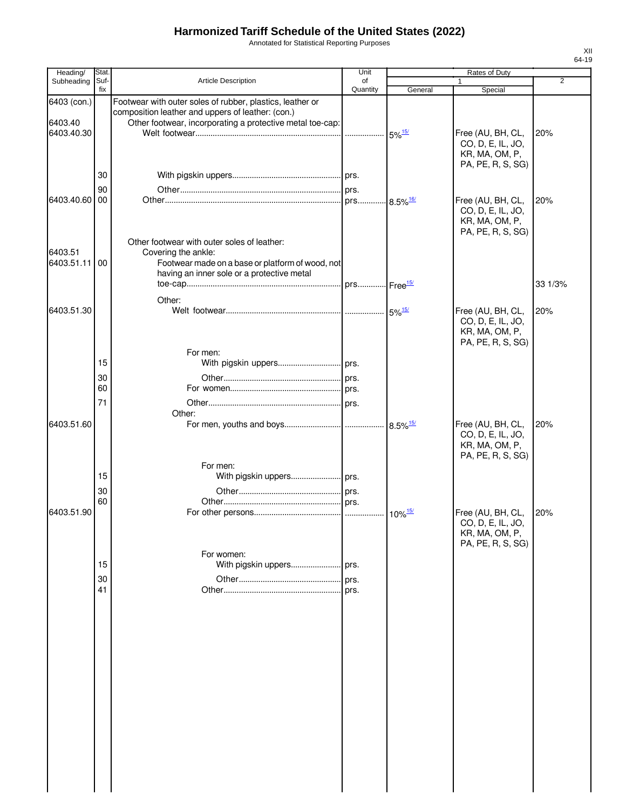Annotated for Statistical Reporting Purposes

| Heading/    | <b>Stat</b> |                                                                                                                | Unit     |                        | Rates of Duty                       |                |
|-------------|-------------|----------------------------------------------------------------------------------------------------------------|----------|------------------------|-------------------------------------|----------------|
| Subheading  | Suf-        | Article Description                                                                                            | of       |                        | 1                                   | $\overline{2}$ |
|             | fix         |                                                                                                                | Quantity | General                | Special                             |                |
| 6403 (con.) |             | Footwear with outer soles of rubber, plastics, leather or<br>composition leather and uppers of leather: (con.) |          |                        |                                     |                |
| 6403.40     |             | Other footwear, incorporating a protective metal toe-cap:                                                      |          |                        |                                     |                |
| 6403.40.30  |             |                                                                                                                | .        | $5\%$ <sup>15/</sup>   | Free (AU, BH, CL,                   | 20%            |
|             |             |                                                                                                                |          |                        | CO, D, E, IL, JO,                   |                |
|             |             |                                                                                                                |          |                        | KR, MA, OM, P,                      |                |
|             |             |                                                                                                                |          |                        | PA, PE, R, S, SG)                   |                |
|             | 30          |                                                                                                                |          |                        |                                     |                |
|             | 90          |                                                                                                                |          |                        |                                     |                |
| 6403.40.60  | 00          |                                                                                                                |          | $8.5\%$ <sup>16/</sup> | Free (AU, BH, CL,                   | 20%            |
|             |             |                                                                                                                |          |                        | CO, D, E, IL, JO,                   |                |
|             |             |                                                                                                                |          |                        | KR, MA, OM, P,                      |                |
|             |             |                                                                                                                |          |                        | PA, PE, R, S, SG)                   |                |
|             |             | Other footwear with outer soles of leather:                                                                    |          |                        |                                     |                |
| 6403.51     |             | Covering the ankle:                                                                                            |          |                        |                                     |                |
| 6403.51.11  | 00          | Footwear made on a base or platform of wood, not<br>having an inner sole or a protective metal                 |          |                        |                                     |                |
|             |             |                                                                                                                |          |                        |                                     | 33 1/3%        |
|             |             |                                                                                                                |          |                        |                                     |                |
|             |             | Other:                                                                                                         |          |                        |                                     |                |
| 6403.51.30  |             |                                                                                                                |          | $5\%$ <sup>15/</sup>   | Free (AU, BH, CL,                   | 20%            |
|             |             |                                                                                                                |          |                        | CO, D, E, IL, JO,                   |                |
|             |             |                                                                                                                |          |                        | KR, MA, OM, P,<br>PA, PE, R, S, SG) |                |
|             |             | For men:                                                                                                       |          |                        |                                     |                |
|             | 15          |                                                                                                                |          |                        |                                     |                |
|             | 30          |                                                                                                                |          |                        |                                     |                |
|             | 60          |                                                                                                                |          |                        |                                     |                |
|             |             |                                                                                                                |          |                        |                                     |                |
|             | 71          |                                                                                                                |          |                        |                                     |                |
| 6403.51.60  |             | Other:                                                                                                         |          | $8.5\%$ <sup>15/</sup> | Free (AU, BH, CL,                   | 20%            |
|             |             |                                                                                                                |          |                        | CO, D, E, IL, JO,                   |                |
|             |             |                                                                                                                |          |                        | KR, MA, OM, P,                      |                |
|             |             |                                                                                                                |          |                        | PA, PE, R, S, SG)                   |                |
|             |             | For men:                                                                                                       |          |                        |                                     |                |
|             | 15          | With pigskin uppers prs.                                                                                       |          |                        |                                     |                |
|             | 30          |                                                                                                                |          |                        |                                     |                |
|             | 60          |                                                                                                                |          |                        |                                     |                |
| 6403.51.90  |             |                                                                                                                |          | $10\%$ <sup>15/</sup>  | Free (AU, BH, CL,                   | 20%            |
|             |             |                                                                                                                |          |                        | CO, D, E, IL, JO,                   |                |
|             |             |                                                                                                                |          |                        | KR, MA, OM, P,                      |                |
|             |             |                                                                                                                |          |                        | PA, PE, R, S, SG)                   |                |
|             |             | For women:                                                                                                     |          |                        |                                     |                |
|             | 15          |                                                                                                                |          |                        |                                     |                |
|             | 30          |                                                                                                                |          |                        |                                     |                |
|             | 41          |                                                                                                                | prs.     |                        |                                     |                |
|             |             |                                                                                                                |          |                        |                                     |                |
|             |             |                                                                                                                |          |                        |                                     |                |
|             |             |                                                                                                                |          |                        |                                     |                |
|             |             |                                                                                                                |          |                        |                                     |                |
|             |             |                                                                                                                |          |                        |                                     |                |
|             |             |                                                                                                                |          |                        |                                     |                |
|             |             |                                                                                                                |          |                        |                                     |                |
|             |             |                                                                                                                |          |                        |                                     |                |
|             |             |                                                                                                                |          |                        |                                     |                |
|             |             |                                                                                                                |          |                        |                                     |                |
|             |             |                                                                                                                |          |                        |                                     |                |
|             |             |                                                                                                                |          |                        |                                     |                |
|             |             |                                                                                                                |          |                        |                                     |                |
|             |             |                                                                                                                |          |                        |                                     |                |
|             |             |                                                                                                                |          |                        |                                     |                |
|             |             |                                                                                                                |          |                        |                                     |                |
|             |             |                                                                                                                |          |                        |                                     |                |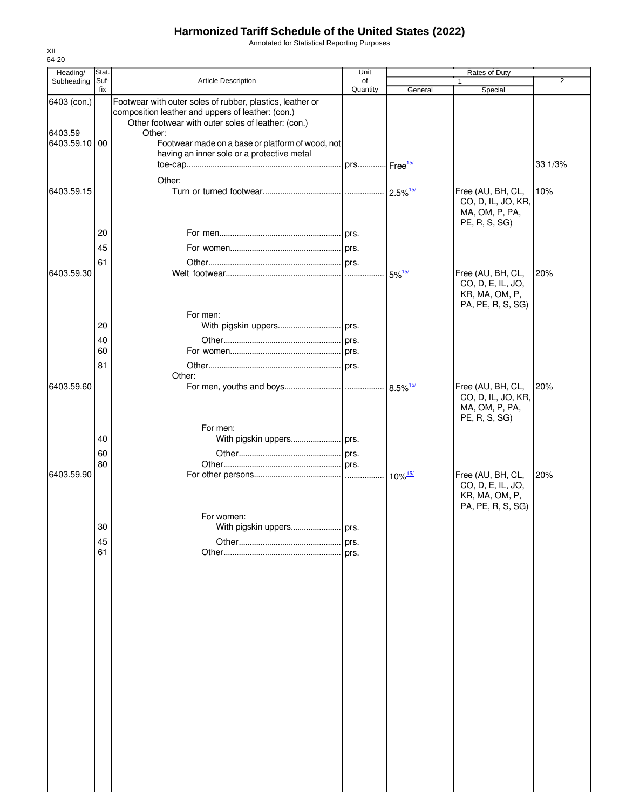Annotated for Statistical Reporting Purposes

| Heading/                                | Stat.       |                                                                                                                                                                                                                                                                                  | Unit           |                      | Rates of Duty                                                                 |         |
|-----------------------------------------|-------------|----------------------------------------------------------------------------------------------------------------------------------------------------------------------------------------------------------------------------------------------------------------------------------|----------------|----------------------|-------------------------------------------------------------------------------|---------|
| Subheading                              | Suf-<br>fix | <b>Article Description</b>                                                                                                                                                                                                                                                       | οf<br>Quantity | General              | 1<br>Special                                                                  | 2       |
| 6403 (con.)<br>6403.59<br>6403.59.10 00 |             | Footwear with outer soles of rubber, plastics, leather or<br>composition leather and uppers of leather: (con.)<br>Other footwear with outer soles of leather: (con.)<br>Other:<br>Footwear made on a base or platform of wood, not<br>having an inner sole or a protective metal |                |                      |                                                                               |         |
|                                         |             |                                                                                                                                                                                                                                                                                  |                |                      |                                                                               | 33 1/3% |
| 6403.59.15                              |             | Other:                                                                                                                                                                                                                                                                           |                |                      | Free (AU, BH, CL,<br>CO, D, IL, JO, KR,<br>MA, OM, P, PA,<br>PE, R, S, SG)    | 10%     |
|                                         | 20          |                                                                                                                                                                                                                                                                                  |                |                      |                                                                               |         |
|                                         | 45          |                                                                                                                                                                                                                                                                                  |                |                      |                                                                               |         |
|                                         | 61          |                                                                                                                                                                                                                                                                                  |                |                      |                                                                               |         |
| 6403.59.30                              |             |                                                                                                                                                                                                                                                                                  |                | $5\%$ <sup>15/</sup> | Free (AU, BH, CL,<br>CO, D, E, IL, JO,<br>KR, MA, OM, P,<br>PA, PE, R, S, SG) | 20%     |
|                                         | 20          | For men:                                                                                                                                                                                                                                                                         |                |                      |                                                                               |         |
|                                         | 40          |                                                                                                                                                                                                                                                                                  |                |                      |                                                                               |         |
|                                         | 60          |                                                                                                                                                                                                                                                                                  |                |                      |                                                                               |         |
|                                         | 81          |                                                                                                                                                                                                                                                                                  |                |                      |                                                                               |         |
|                                         |             | Other:                                                                                                                                                                                                                                                                           |                |                      |                                                                               |         |
| 6403.59.60                              |             |                                                                                                                                                                                                                                                                                  |                |                      | Free (AU, BH, CL,<br>CO, D, IL, JO, KR,<br>MA, OM, P, PA,<br>PE, R, S, SG)    | 20%     |
|                                         | 40          | For men:                                                                                                                                                                                                                                                                         |                |                      |                                                                               |         |
|                                         | 60          |                                                                                                                                                                                                                                                                                  |                |                      |                                                                               |         |
|                                         | 80          |                                                                                                                                                                                                                                                                                  |                |                      |                                                                               |         |
| 6403.59.90                              |             |                                                                                                                                                                                                                                                                                  |                |                      | Free (AU, BH, CL,<br>CO, D, E, IL, JO,<br>KR, MA, OM, P,<br>PA, PE, R, S, SG) | 20%     |
|                                         |             | For women:                                                                                                                                                                                                                                                                       |                |                      |                                                                               |         |
|                                         | 30          | With pigskin uppers                                                                                                                                                                                                                                                              | . prs.         |                      |                                                                               |         |
|                                         | 45<br>61    |                                                                                                                                                                                                                                                                                  | prs.           |                      |                                                                               |         |
|                                         |             |                                                                                                                                                                                                                                                                                  |                |                      |                                                                               |         |
|                                         |             |                                                                                                                                                                                                                                                                                  |                |                      |                                                                               |         |
|                                         |             |                                                                                                                                                                                                                                                                                  |                |                      |                                                                               |         |
|                                         |             |                                                                                                                                                                                                                                                                                  |                |                      |                                                                               |         |
|                                         |             |                                                                                                                                                                                                                                                                                  |                |                      |                                                                               |         |
|                                         |             |                                                                                                                                                                                                                                                                                  |                |                      |                                                                               |         |
|                                         |             |                                                                                                                                                                                                                                                                                  |                |                      |                                                                               |         |
|                                         |             |                                                                                                                                                                                                                                                                                  |                |                      |                                                                               |         |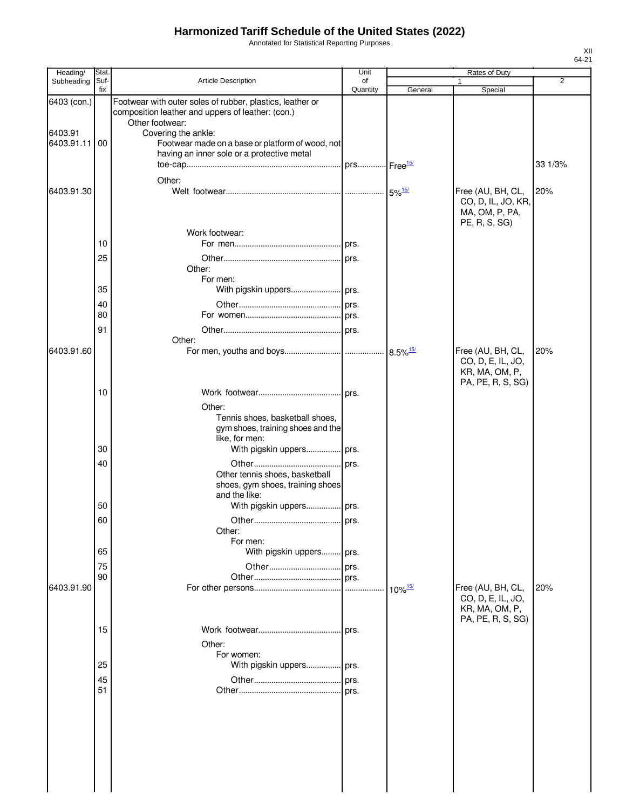Annotated for Statistical Reporting Purposes

| Heading/              | Stat. |                                                                                                                                   | Unit     |                       | Rates of Duty                                                                 |         |
|-----------------------|-------|-----------------------------------------------------------------------------------------------------------------------------------|----------|-----------------------|-------------------------------------------------------------------------------|---------|
| Subheading            | Suf-  | Article Description                                                                                                               | of       |                       | $\mathbf{1}$                                                                  | 2       |
|                       | fix   |                                                                                                                                   | Quantity | General               | Special                                                                       |         |
| 6403 (con.)           |       | Footwear with outer soles of rubber, plastics, leather or<br>composition leather and uppers of leather: (con.)<br>Other footwear: |          |                       |                                                                               |         |
| 6403.91<br>6403.91.11 | 00    | Covering the ankle:<br>Footwear made on a base or platform of wood, not<br>having an inner sole or a protective metal             |          |                       |                                                                               |         |
|                       |       | Other:                                                                                                                            |          |                       |                                                                               | 33 1/3% |
| 6403.91.30            |       |                                                                                                                                   |          |                       | Free (AU, BH, CL,<br>CO, D, IL, JO, KR,<br>MA, OM, P, PA,<br>PE, R, S, SG)    | 20%     |
|                       |       | Work footwear:                                                                                                                    |          |                       |                                                                               |         |
|                       | 10    |                                                                                                                                   |          |                       |                                                                               |         |
|                       | 25    | Other:                                                                                                                            |          |                       |                                                                               |         |
|                       | 35    | For men:                                                                                                                          |          |                       |                                                                               |         |
|                       | 40    |                                                                                                                                   |          |                       |                                                                               |         |
|                       | 80    |                                                                                                                                   |          |                       |                                                                               |         |
|                       | 91    |                                                                                                                                   |          |                       |                                                                               |         |
| 6403.91.60            |       | Other:                                                                                                                            |          |                       | Free (AU, BH, CL,<br>CO, D, E, IL, JO,<br>KR, MA, OM, P,<br>PA, PE, R, S, SG) | 20%     |
|                       | 10    |                                                                                                                                   |          |                       |                                                                               |         |
|                       |       | Other:                                                                                                                            |          |                       |                                                                               |         |
|                       |       | Tennis shoes, basketball shoes,<br>gym shoes, training shoes and the<br>like, for men:                                            |          |                       |                                                                               |         |
|                       | 30    | With pigskin uppers prs.                                                                                                          |          |                       |                                                                               |         |
|                       | 40    | Other tennis shoes, basketball<br>shoes, gym shoes, training shoes<br>and the like:                                               |          |                       |                                                                               |         |
|                       | 50    | With pigskin uppers prs.                                                                                                          |          |                       |                                                                               |         |
|                       | 60    |                                                                                                                                   |          |                       |                                                                               |         |
|                       |       | Other:<br>For men:                                                                                                                |          |                       |                                                                               |         |
|                       | 65    | With pigskin uppers prs.                                                                                                          |          |                       |                                                                               |         |
|                       | 75    |                                                                                                                                   |          |                       |                                                                               |         |
|                       | 90    |                                                                                                                                   | prs.     |                       |                                                                               |         |
| 6403.91.90            |       |                                                                                                                                   |          | $10\%$ <sup>15/</sup> | Free (AU, BH, CL,<br>CO, D, E, IL, JO,<br>KR, MA, OM, P,<br>PA, PE, R, S, SG) | 20%     |
|                       | 15    | Other:                                                                                                                            | prs.     |                       |                                                                               |         |
|                       |       | For women:                                                                                                                        |          |                       |                                                                               |         |
|                       | 25    | With pigskin uppers prs.                                                                                                          |          |                       |                                                                               |         |
|                       | 45    |                                                                                                                                   |          |                       |                                                                               |         |
|                       | 51    |                                                                                                                                   |          |                       |                                                                               |         |
|                       |       |                                                                                                                                   |          |                       |                                                                               |         |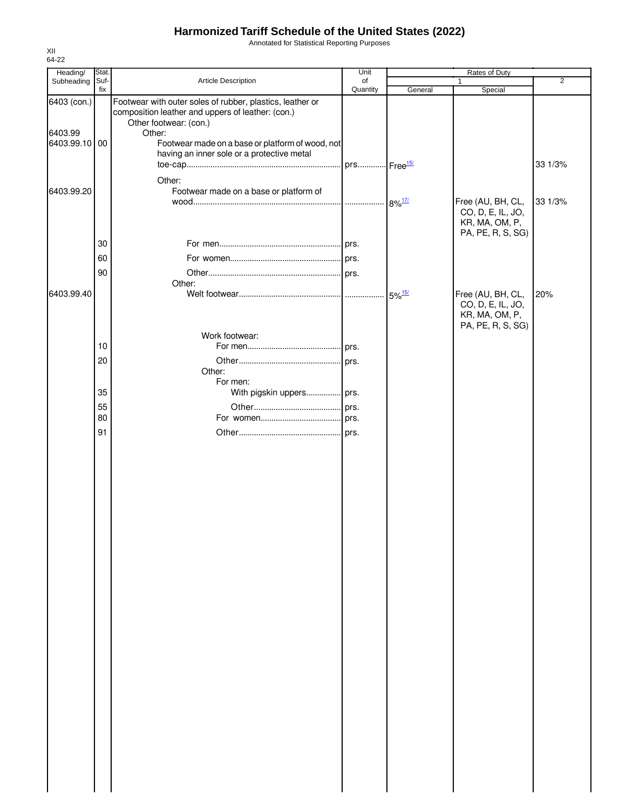Annotated for Statistical Reporting Purposes

| Heading/                                | Stat.       |                                                                                                                                                                                                                                                      | Unit           |                      | Rates of Duty                                                                 |                |
|-----------------------------------------|-------------|------------------------------------------------------------------------------------------------------------------------------------------------------------------------------------------------------------------------------------------------------|----------------|----------------------|-------------------------------------------------------------------------------|----------------|
| Subheading                              | Suf-<br>fix | Article Description                                                                                                                                                                                                                                  | of<br>Quantity | General              | $\mathbf{1}$<br>Special                                                       | $\overline{2}$ |
| 6403 (con.)<br>6403.99<br>6403.99.10 00 |             | Footwear with outer soles of rubber, plastics, leather or<br>composition leather and uppers of leather: (con.)<br>Other footwear: (con.)<br>Other:<br>Footwear made on a base or platform of wood, not<br>having an inner sole or a protective metal |                |                      |                                                                               |                |
|                                         |             |                                                                                                                                                                                                                                                      |                |                      |                                                                               | 33 1/3%        |
| 6403.99.20                              |             | Other:<br>Footwear made on a base or platform of                                                                                                                                                                                                     |                | $8\%$ <sup>17/</sup> | Free (AU, BH, CL,<br>CO, D, E, IL, JO,                                        | 33 1/3%        |
|                                         |             |                                                                                                                                                                                                                                                      |                |                      | KR, MA, OM, P,<br>PA, PE, R, S, SG)                                           |                |
|                                         | 30          |                                                                                                                                                                                                                                                      |                |                      |                                                                               |                |
|                                         | 60          |                                                                                                                                                                                                                                                      |                |                      |                                                                               |                |
|                                         | 90          |                                                                                                                                                                                                                                                      |                |                      |                                                                               |                |
| 6403.99.40                              |             | Other:                                                                                                                                                                                                                                               |                | $5\%$ <sup>15/</sup> | Free (AU, BH, CL,<br>CO, D, E, IL, JO,<br>KR, MA, OM, P,<br>PA, PE, R, S, SG) | 20%            |
|                                         |             | Work footwear:                                                                                                                                                                                                                                       |                |                      |                                                                               |                |
|                                         | 10          |                                                                                                                                                                                                                                                      |                |                      |                                                                               |                |
|                                         | 20          | Other:                                                                                                                                                                                                                                               |                |                      |                                                                               |                |
|                                         |             | For men:                                                                                                                                                                                                                                             |                |                      |                                                                               |                |
|                                         | 35          | With pigskin uppers prs.                                                                                                                                                                                                                             |                |                      |                                                                               |                |
|                                         | 55<br>80    |                                                                                                                                                                                                                                                      |                |                      |                                                                               |                |
|                                         | 91          |                                                                                                                                                                                                                                                      |                |                      |                                                                               |                |
|                                         |             |                                                                                                                                                                                                                                                      |                |                      |                                                                               |                |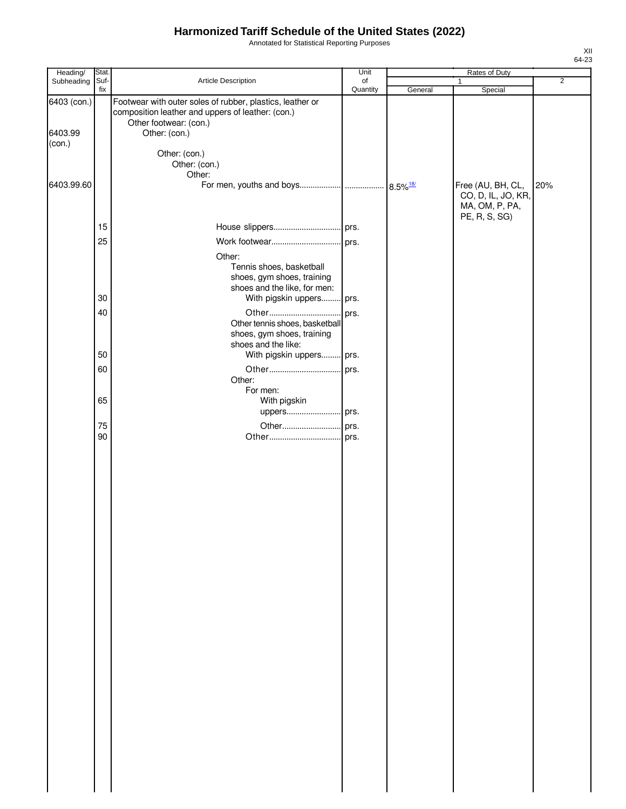Annotated for Statistical Reporting Purposes

| ۰, |  |
|----|--|

| Heading/               | Stat.       |                                                                                                                                                           | Unit           |         | Rates of Duty                                                              |                |
|------------------------|-------------|-----------------------------------------------------------------------------------------------------------------------------------------------------------|----------------|---------|----------------------------------------------------------------------------|----------------|
| Subheading             | Suf-<br>fix | Article Description                                                                                                                                       | of<br>Quantity | General | 1<br>Special                                                               | $\overline{2}$ |
| 6403 (con.)<br>6403.99 |             | Footwear with outer soles of rubber, plastics, leather or<br>composition leather and uppers of leather: (con.)<br>Other footwear: (con.)<br>Other: (con.) |                |         |                                                                            |                |
| (con.)                 |             | Other: (con.)<br>Other: (con.)                                                                                                                            |                |         |                                                                            |                |
| 6403.99.60             |             | Other:                                                                                                                                                    |                |         | Free (AU, BH, CL,<br>CO, D, IL, JO, KR,<br>MA, OM, P, PA,<br>PE, R, S, SG) | 20%            |
|                        | 15          |                                                                                                                                                           |                |         |                                                                            |                |
|                        | 25          | Work footwear                                                                                                                                             | prs.           |         |                                                                            |                |
|                        |             | Other:<br>Tennis shoes, basketball<br>shoes, gym shoes, training<br>shoes and the like, for men:                                                          |                |         |                                                                            |                |
|                        | 30          | With pigskin uppers prs.                                                                                                                                  |                |         |                                                                            |                |
|                        | 40          |                                                                                                                                                           |                |         |                                                                            |                |
|                        |             | Other tennis shoes, basketball<br>shoes, gym shoes, training<br>shoes and the like:                                                                       |                |         |                                                                            |                |
|                        | 50          | With pigskin uppers prs.                                                                                                                                  |                |         |                                                                            |                |
|                        | 60          | Other:<br>For men:                                                                                                                                        |                |         |                                                                            |                |
|                        | 65          | With pigskin                                                                                                                                              |                |         |                                                                            |                |
|                        |             |                                                                                                                                                           |                |         |                                                                            |                |
|                        | 75<br>90    |                                                                                                                                                           |                |         |                                                                            |                |
|                        |             |                                                                                                                                                           |                |         |                                                                            |                |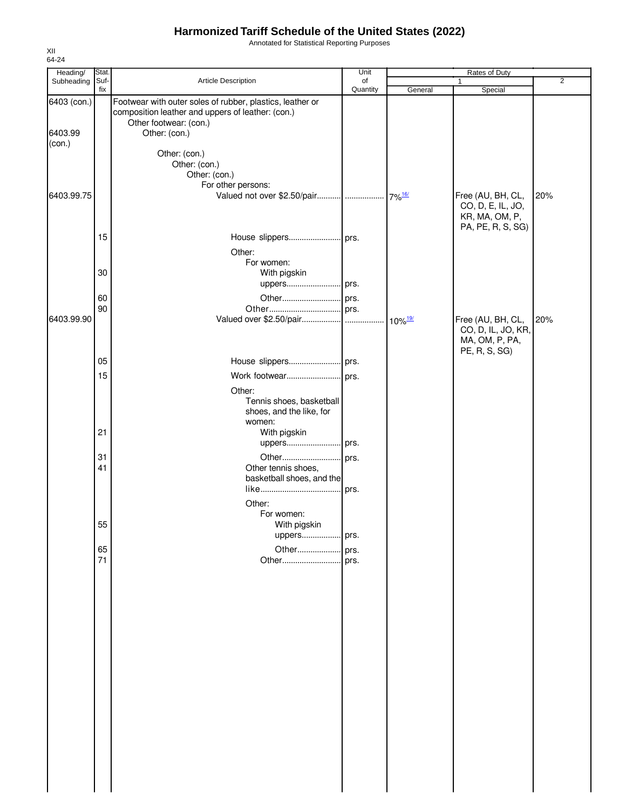Annotated for Statistical Reporting Purposes

| Heading/          | Stat.       |                                                                                                                                          | Unit           |                       | Rates of Duty                                                              |                |
|-------------------|-------------|------------------------------------------------------------------------------------------------------------------------------------------|----------------|-----------------------|----------------------------------------------------------------------------|----------------|
| Subheading        | Suf-<br>fix | Article Description                                                                                                                      | of<br>Quantity | General               | 1<br>Special                                                               | $\overline{2}$ |
| 6403 (con.)       |             | Footwear with outer soles of rubber, plastics, leather or<br>composition leather and uppers of leather: (con.)<br>Other footwear: (con.) |                |                       |                                                                            |                |
| 6403.99<br>(con.) |             | Other: (con.)<br>Other: (con.)                                                                                                           |                |                       |                                                                            |                |
|                   |             | Other: (con.)<br>Other: (con.)<br>For other persons:                                                                                     |                |                       |                                                                            |                |
| 6403.99.75        |             |                                                                                                                                          |                |                       | Free (AU, BH, CL,<br>CO, D, E, IL, JO,<br>KR, MA, OM, P,                   | 20%            |
|                   | 15          | Other:                                                                                                                                   |                |                       | PA, PE, R, S, SG)                                                          |                |
|                   | 30          | For women:<br>With pigskin                                                                                                               |                |                       |                                                                            |                |
|                   | 60<br>90    |                                                                                                                                          |                |                       |                                                                            |                |
| 6403.99.90        |             |                                                                                                                                          |                | $10\%$ <sup>19/</sup> | Free (AU, BH, CL,<br>CO, D, IL, JO, KR,<br>MA, OM, P, PA,<br>PE, R, S, SG) | 20%            |
|                   | 05          |                                                                                                                                          |                |                       |                                                                            |                |
|                   | 15          | Work footwear prs.                                                                                                                       |                |                       |                                                                            |                |
|                   | 21          | Other:<br>Tennis shoes, basketball<br>shoes, and the like, for<br>women:<br>With pigskin                                                 |                |                       |                                                                            |                |
|                   |             |                                                                                                                                          |                |                       |                                                                            |                |
|                   | 31<br>41    | Other<br>Other tennis shoes,<br>basketball shoes, and the<br>like                                                                        | . prs.<br>prs. |                       |                                                                            |                |
|                   | 55          | Other:<br>For women:<br>With pigskin                                                                                                     |                |                       |                                                                            |                |
|                   |             | uppers                                                                                                                                   | prs.           |                       |                                                                            |                |
|                   | 65<br>71    | Other<br>Other                                                                                                                           | prs.<br>prs.   |                       |                                                                            |                |
|                   |             |                                                                                                                                          |                |                       |                                                                            |                |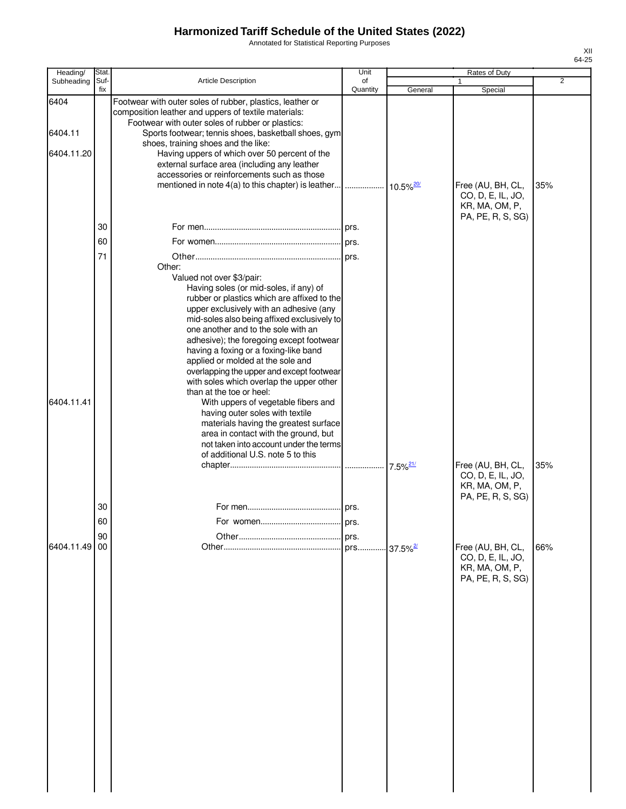Annotated for Statistical Reporting Purposes

| Suf-                                                                                                                                                                                                                                                                                                         | Unit<br>of                                                                                                                       |                                                                                                                                                                                                                                                                                                                                                                                                                       | Rates of Duty                                                                 | $\overline{2}$                         |
|--------------------------------------------------------------------------------------------------------------------------------------------------------------------------------------------------------------------------------------------------------------------------------------------------------------|----------------------------------------------------------------------------------------------------------------------------------|-----------------------------------------------------------------------------------------------------------------------------------------------------------------------------------------------------------------------------------------------------------------------------------------------------------------------------------------------------------------------------------------------------------------------|-------------------------------------------------------------------------------|----------------------------------------|
| <b>Article Description</b><br>fix                                                                                                                                                                                                                                                                            | Quantity                                                                                                                         | General                                                                                                                                                                                                                                                                                                                                                                                                               | 1<br>Special                                                                  |                                        |
| Footwear with outer soles of rubber, plastics, leather or<br>composition leather and uppers of textile materials:<br>Footwear with outer soles of rubber or plastics:                                                                                                                                        |                                                                                                                                  |                                                                                                                                                                                                                                                                                                                                                                                                                       |                                                                               |                                        |
| shoes, training shoes and the like:<br>Having uppers of which over 50 percent of the<br>external surface area (including any leather                                                                                                                                                                         |                                                                                                                                  |                                                                                                                                                                                                                                                                                                                                                                                                                       |                                                                               |                                        |
|                                                                                                                                                                                                                                                                                                              |                                                                                                                                  |                                                                                                                                                                                                                                                                                                                                                                                                                       | Free (AU, BH, CL,<br>CO, D, E, IL, JO,<br>KR, MA, OM, P,                      | 35%                                    |
| 30                                                                                                                                                                                                                                                                                                           |                                                                                                                                  |                                                                                                                                                                                                                                                                                                                                                                                                                       |                                                                               |                                        |
| 60                                                                                                                                                                                                                                                                                                           |                                                                                                                                  |                                                                                                                                                                                                                                                                                                                                                                                                                       |                                                                               |                                        |
| 71<br>Other:<br>Valued not over \$3/pair:<br>Having soles (or mid-soles, if any) of<br>one another and to the sole with an<br>having a foxing or a foxing-like band<br>applied or molded at the sole and<br>than at the toe or heel:<br>having outer soles with textile<br>of additional U.S. note 5 to this |                                                                                                                                  |                                                                                                                                                                                                                                                                                                                                                                                                                       | Free (AU, BH, CL,                                                             | 35%                                    |
| 30<br>60                                                                                                                                                                                                                                                                                                     |                                                                                                                                  |                                                                                                                                                                                                                                                                                                                                                                                                                       | KR, MA, OM, P,<br>PA, PE, R, S, SG)                                           |                                        |
| 00                                                                                                                                                                                                                                                                                                           | prs                                                                                                                              |                                                                                                                                                                                                                                                                                                                                                                                                                       | Free (AU, BH, CL,<br>CO, D, E, IL, JO,<br>KR, MA, OM, P,<br>PA, PE, R, S, SG) | 66%                                    |
|                                                                                                                                                                                                                                                                                                              | accessories or reinforcements such as those<br>With uppers of vegetable fibers and<br>area in contact with the ground, but<br>90 | Sports footwear; tennis shoes, basketball shoes, gym<br>rubber or plastics which are affixed to the<br>upper exclusively with an adhesive (any<br>mid-soles also being affixed exclusively to<br>adhesive); the foregoing except footwear<br>overlapping the upper and except footwear<br>with soles which overlap the upper other<br>materials having the greatest surface<br>not taken into account under the terms | $7.5\%$ <sup>21/</sup><br>$\cdot$ 37.5% $\frac{2}{3}$                         | PA, PE, R, S, SG)<br>CO, D, E, IL, JO, |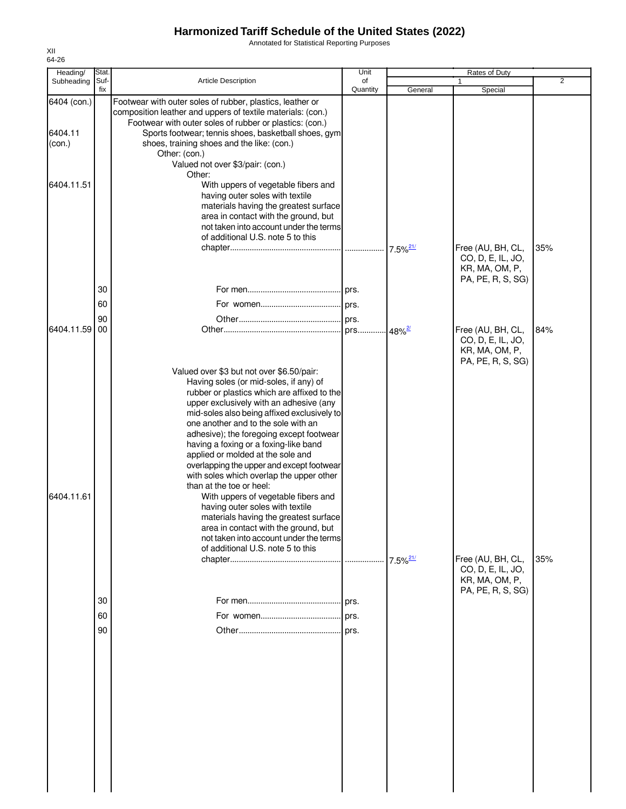Annotated for Statistical Reporting Purposes

| Heading/                         | Stat.       |                                                                                                                                                                                                                                                                                                                                                                                                                                                                                                                                                                                                                                                                                                                                                              | Unit           |                        | Rates of Duty                                                                 |                |
|----------------------------------|-------------|--------------------------------------------------------------------------------------------------------------------------------------------------------------------------------------------------------------------------------------------------------------------------------------------------------------------------------------------------------------------------------------------------------------------------------------------------------------------------------------------------------------------------------------------------------------------------------------------------------------------------------------------------------------------------------------------------------------------------------------------------------------|----------------|------------------------|-------------------------------------------------------------------------------|----------------|
| Subheading                       | Suf-<br>fix | <b>Article Description</b>                                                                                                                                                                                                                                                                                                                                                                                                                                                                                                                                                                                                                                                                                                                                   | of<br>Quantity | General                | Special                                                                       | $\overline{2}$ |
| 6404 (con.)<br>6404.11<br>(con.) |             | Footwear with outer soles of rubber, plastics, leather or<br>composition leather and uppers of textile materials: (con.)<br>Footwear with outer soles of rubber or plastics: (con.)<br>Sports footwear; tennis shoes, basketball shoes, gym<br>shoes, training shoes and the like: (con.)<br>Other: (con.)<br>Valued not over \$3/pair: (con.)<br>Other:                                                                                                                                                                                                                                                                                                                                                                                                     |                |                        |                                                                               |                |
| 6404.11.51                       |             | With uppers of vegetable fibers and<br>having outer soles with textile<br>materials having the greatest surface<br>area in contact with the ground, but<br>not taken into account under the terms<br>of additional U.S. note 5 to this                                                                                                                                                                                                                                                                                                                                                                                                                                                                                                                       |                | $7.5\%$ <sup>21/</sup> | Free (AU, BH, CL,<br>CO, D, E, IL, JO,<br>KR, MA, OM, P,                      | 35%            |
|                                  | 30          |                                                                                                                                                                                                                                                                                                                                                                                                                                                                                                                                                                                                                                                                                                                                                              |                |                        | PA, PE, R, S, SG)                                                             |                |
|                                  | 60          |                                                                                                                                                                                                                                                                                                                                                                                                                                                                                                                                                                                                                                                                                                                                                              |                |                        |                                                                               |                |
|                                  | 90          |                                                                                                                                                                                                                                                                                                                                                                                                                                                                                                                                                                                                                                                                                                                                                              |                |                        |                                                                               |                |
| 6404.11.59                       | 00          |                                                                                                                                                                                                                                                                                                                                                                                                                                                                                                                                                                                                                                                                                                                                                              |                |                        | Free (AU, BH, CL,<br>CO, D, E, IL, JO,<br>KR, MA, OM, P,<br>PA, PE, R, S, SG) | 84%            |
| 6404.11.61                       |             | Valued over \$3 but not over \$6.50/pair:<br>Having soles (or mid-soles, if any) of<br>rubber or plastics which are affixed to the<br>upper exclusively with an adhesive (any<br>mid-soles also being affixed exclusively to<br>one another and to the sole with an<br>adhesive); the foregoing except footwear<br>having a foxing or a foxing-like band<br>applied or molded at the sole and<br>overlapping the upper and except footwear<br>with soles which overlap the upper other<br>than at the toe or heel:<br>With uppers of vegetable fibers and<br>having outer soles with textile<br>materials having the greatest surface<br>area in contact with the ground, but<br>not taken into account under the terms<br>of additional U.S. note 5 to this |                | $7.5\%$ <sup>21/</sup> | Free (AU, BH, CL,                                                             | 35%            |
|                                  | 30          |                                                                                                                                                                                                                                                                                                                                                                                                                                                                                                                                                                                                                                                                                                                                                              |                |                        | CO, D, E, IL, JO,<br>KR, MA, OM, P,<br>PA, PE, R, S, SG)                      |                |
|                                  | 60          |                                                                                                                                                                                                                                                                                                                                                                                                                                                                                                                                                                                                                                                                                                                                                              |                |                        |                                                                               |                |
|                                  | 90          |                                                                                                                                                                                                                                                                                                                                                                                                                                                                                                                                                                                                                                                                                                                                                              |                |                        |                                                                               |                |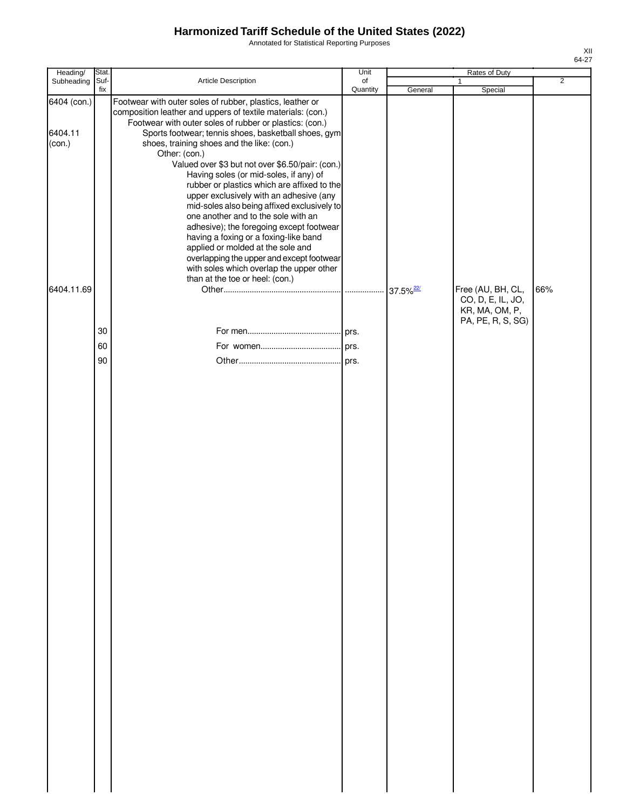Annotated for Statistical Reporting Purposes

| Heading/                         | Stat.       |                                                                                                                                                                                                                                                                                                                                                                                                                                                                                                                                                                                                                                                                                                                                                                                                                                                | Unit           |                      | Rates of Duty                                            |                |
|----------------------------------|-------------|------------------------------------------------------------------------------------------------------------------------------------------------------------------------------------------------------------------------------------------------------------------------------------------------------------------------------------------------------------------------------------------------------------------------------------------------------------------------------------------------------------------------------------------------------------------------------------------------------------------------------------------------------------------------------------------------------------------------------------------------------------------------------------------------------------------------------------------------|----------------|----------------------|----------------------------------------------------------|----------------|
| Subheading                       | Suf-<br>fix | Article Description                                                                                                                                                                                                                                                                                                                                                                                                                                                                                                                                                                                                                                                                                                                                                                                                                            | of<br>Quantity | General              | $\mathbf{1}$<br>Special                                  | $\overline{2}$ |
| 6404 (con.)<br>6404.11<br>(con.) |             | Footwear with outer soles of rubber, plastics, leather or<br>composition leather and uppers of textile materials: (con.)<br>Footwear with outer soles of rubber or plastics: (con.)<br>Sports footwear; tennis shoes, basketball shoes, gym<br>shoes, training shoes and the like: (con.)<br>Other: (con.)<br>Valued over \$3 but not over \$6.50/pair: (con.)<br>Having soles (or mid-soles, if any) of<br>rubber or plastics which are affixed to the<br>upper exclusively with an adhesive (any<br>mid-soles also being affixed exclusively to<br>one another and to the sole with an<br>adhesive); the foregoing except footwear<br>having a foxing or a foxing-like band<br>applied or molded at the sole and<br>overlapping the upper and except footwear<br>with soles which overlap the upper other<br>than at the toe or heel: (con.) |                |                      |                                                          |                |
| 6404.11.69                       |             |                                                                                                                                                                                                                                                                                                                                                                                                                                                                                                                                                                                                                                                                                                                                                                                                                                                |                | 37.5% <sup>22/</sup> | Free (AU, BH, CL,<br>CO, D, E, IL, JO,<br>KR, MA, OM, P, | 66%            |
|                                  | 30          |                                                                                                                                                                                                                                                                                                                                                                                                                                                                                                                                                                                                                                                                                                                                                                                                                                                |                |                      | PA, PE, R, S, SG)                                        |                |
|                                  | 60          |                                                                                                                                                                                                                                                                                                                                                                                                                                                                                                                                                                                                                                                                                                                                                                                                                                                |                |                      |                                                          |                |
|                                  | 90          |                                                                                                                                                                                                                                                                                                                                                                                                                                                                                                                                                                                                                                                                                                                                                                                                                                                |                |                      |                                                          |                |
|                                  |             |                                                                                                                                                                                                                                                                                                                                                                                                                                                                                                                                                                                                                                                                                                                                                                                                                                                |                |                      |                                                          |                |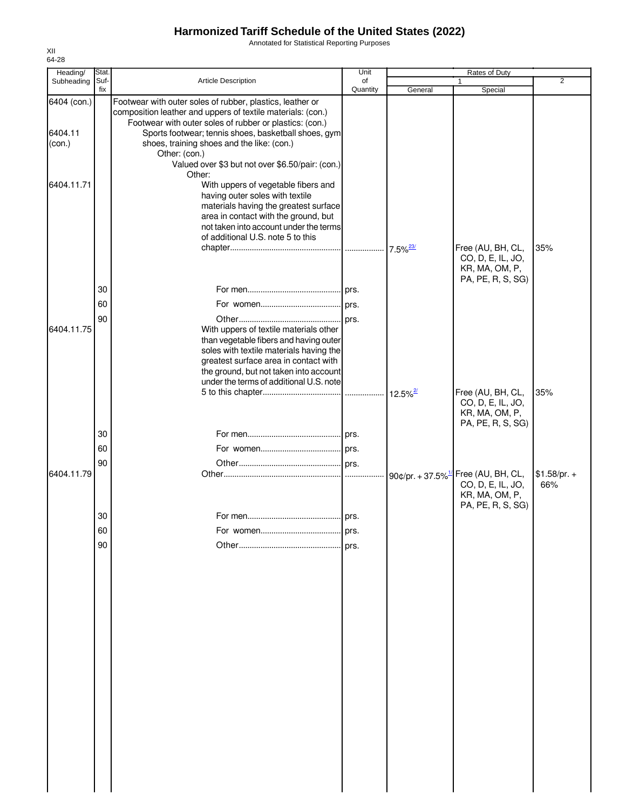Annotated for Statistical Reporting Purposes

| Heading/          | Stat.       |                                                                                                                                                                                                                                                           | Unit           |                        | Rates of Duty                                                                                               |                      |
|-------------------|-------------|-----------------------------------------------------------------------------------------------------------------------------------------------------------------------------------------------------------------------------------------------------------|----------------|------------------------|-------------------------------------------------------------------------------------------------------------|----------------------|
| Subheading        | Suf-<br>fix | <b>Article Description</b>                                                                                                                                                                                                                                | of<br>Quantity | General                | $\mathbf{1}$<br>Special                                                                                     | 2                    |
| 6404 (con.)       |             | Footwear with outer soles of rubber, plastics, leather or<br>composition leather and uppers of textile materials: (con.)<br>Footwear with outer soles of rubber or plastics: (con.)                                                                       |                |                        |                                                                                                             |                      |
| 6404.11<br>(con.) |             | Sports footwear; tennis shoes, basketball shoes, gym<br>shoes, training shoes and the like: (con.)<br>Other: (con.)<br>Valued over \$3 but not over \$6.50/pair: (con.)                                                                                   |                |                        |                                                                                                             |                      |
| 6404.11.71        |             | Other:<br>With uppers of vegetable fibers and<br>having outer soles with textile<br>materials having the greatest surface<br>area in contact with the ground, but<br>not taken into account under the terms<br>of additional U.S. note 5 to this          |                |                        | Free (AU, BH, CL,<br>CO, D, E, IL, JO,<br>KR, MA, OM, P,                                                    | 35%                  |
|                   |             |                                                                                                                                                                                                                                                           |                |                        | PA, PE, R, S, SG)                                                                                           |                      |
|                   | 30          |                                                                                                                                                                                                                                                           |                |                        |                                                                                                             |                      |
|                   | 60          |                                                                                                                                                                                                                                                           |                |                        |                                                                                                             |                      |
| 6404.11.75        | 90          | With uppers of textile materials other<br>than vegetable fibers and having outer<br>soles with textile materials having the<br>greatest surface area in contact with<br>the ground, but not taken into account<br>under the terms of additional U.S. note |                |                        |                                                                                                             |                      |
|                   |             |                                                                                                                                                                                                                                                           |                | $12.5\%$ <sup>2/</sup> | Free (AU, BH, CL,<br>CO, D, E, IL, JO,<br>KR, MA, OM, P,<br>PA, PE, R, S, SG)                               | 35%                  |
|                   | 30          |                                                                                                                                                                                                                                                           |                |                        |                                                                                                             |                      |
|                   | 60          |                                                                                                                                                                                                                                                           |                |                        |                                                                                                             |                      |
|                   | 90          |                                                                                                                                                                                                                                                           |                |                        |                                                                                                             |                      |
| 6404.11.79        |             |                                                                                                                                                                                                                                                           |                |                        | 90¢/pr. + 37.5% <sup>1/</sup> Free (AU, BH, CL,<br>CO, D, E, IL, JO,<br>KR, MA, OM, P,<br>PA, PE, R, S, SG) | $$1.58/pr. +$<br>66% |
|                   | 30          |                                                                                                                                                                                                                                                           |                |                        |                                                                                                             |                      |
|                   | 60          |                                                                                                                                                                                                                                                           | prs.           |                        |                                                                                                             |                      |
|                   | 90          |                                                                                                                                                                                                                                                           | prs.           |                        |                                                                                                             |                      |
|                   |             |                                                                                                                                                                                                                                                           |                |                        |                                                                                                             |                      |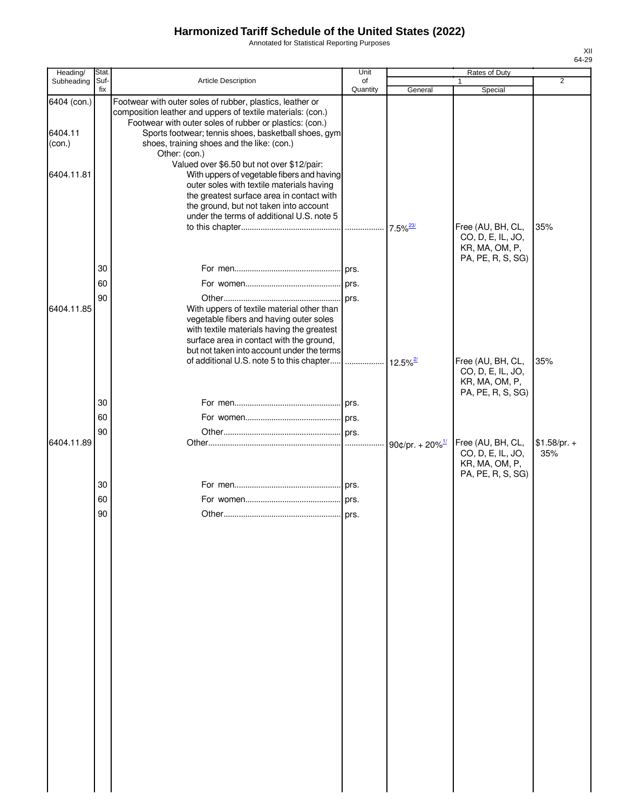Annotated for Statistical Reporting Purposes

| Heading/          | Stat        |                                                                                                                                                                                                                                                                           | Unit                |                                | Rates of Duty                                                                 |                      |
|-------------------|-------------|---------------------------------------------------------------------------------------------------------------------------------------------------------------------------------------------------------------------------------------------------------------------------|---------------------|--------------------------------|-------------------------------------------------------------------------------|----------------------|
| Subheading        | Suf-<br>fix | <b>Article Description</b>                                                                                                                                                                                                                                                | of<br>Quantity      | General                        | 1<br>Special                                                                  | $\overline{2}$       |
| 6404 (con.)       |             | Footwear with outer soles of rubber, plastics, leather or<br>composition leather and uppers of textile materials: (con.)<br>Footwear with outer soles of rubber or plastics: (con.)                                                                                       |                     |                                |                                                                               |                      |
| 6404.11<br>(con.) |             | Sports footwear; tennis shoes, basketball shoes, gym<br>shoes, training shoes and the like: (con.)<br>Other: (con.)                                                                                                                                                       |                     |                                |                                                                               |                      |
| 6404.11.81        |             | Valued over \$6.50 but not over \$12/pair:<br>With uppers of vegetable fibers and having<br>outer soles with textile materials having<br>the greatest surface area in contact with<br>the ground, but not taken into account<br>under the terms of additional U.S. note 5 |                     |                                |                                                                               |                      |
|                   |             |                                                                                                                                                                                                                                                                           |                     |                                | Free (AU, BH, CL,<br>CO, D, E, IL, JO,<br>KR, MA, OM, P,<br>PA, PE, R, S, SG) | 35%                  |
|                   | 30          |                                                                                                                                                                                                                                                                           |                     |                                |                                                                               |                      |
|                   | 60          |                                                                                                                                                                                                                                                                           |                     |                                |                                                                               |                      |
| 6404.11.85        | 90          | With uppers of textile material other than<br>vegetable fibers and having outer soles<br>with textile materials having the greatest<br>surface area in contact with the ground,                                                                                           |                     |                                |                                                                               |                      |
|                   |             | but not taken into account under the terms                                                                                                                                                                                                                                |                     |                                |                                                                               |                      |
|                   |             | of additional U.S. note 5 to this chapter                                                                                                                                                                                                                                 | 12.5% <sup>2/</sup> |                                | Free (AU, BH, CL,<br>CO, D, E, IL, JO,<br>KR, MA, OM, P,<br>PA, PE, R, S, SG) | 35%                  |
|                   | 30          |                                                                                                                                                                                                                                                                           |                     |                                |                                                                               |                      |
|                   | 60          |                                                                                                                                                                                                                                                                           |                     |                                |                                                                               |                      |
| 6404.11.89        | 90          |                                                                                                                                                                                                                                                                           |                     | 90¢/pr. + $20\%$ <sup>1/</sup> | Free (AU, BH, CL,<br>CO, D, E, IL, JO,<br>KR, MA, OM, P,<br>PA, PE, R, S, SG) | $$1.58/pr. +$<br>35% |
|                   | 30          |                                                                                                                                                                                                                                                                           |                     |                                |                                                                               |                      |
|                   | 60          |                                                                                                                                                                                                                                                                           |                     |                                |                                                                               |                      |
|                   | 90          |                                                                                                                                                                                                                                                                           |                     |                                |                                                                               |                      |
|                   |             |                                                                                                                                                                                                                                                                           |                     |                                |                                                                               |                      |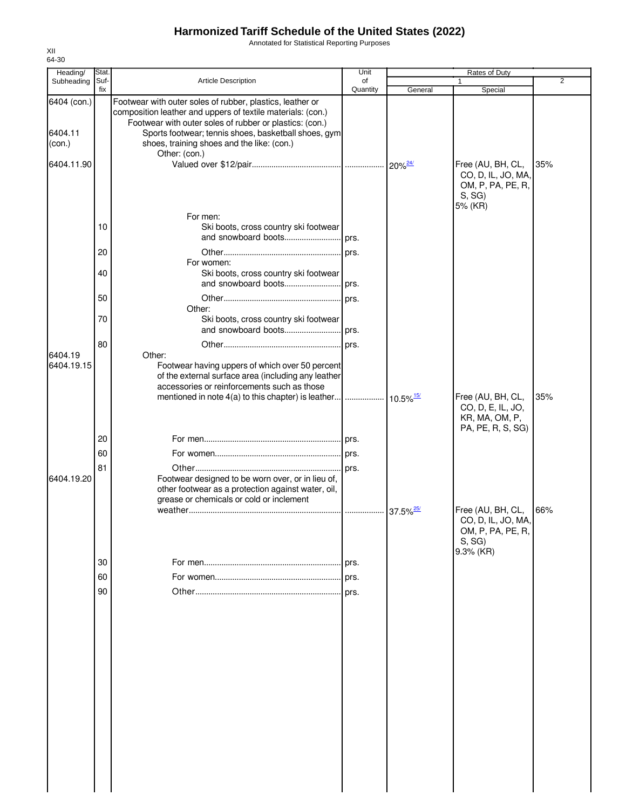Annotated for Statistical Reporting Purposes

| Heading/                         | Stat.       |                                                                                                                                                                                                                                                                                           | Unit           |         | Rates of Duty                                                                    |                |
|----------------------------------|-------------|-------------------------------------------------------------------------------------------------------------------------------------------------------------------------------------------------------------------------------------------------------------------------------------------|----------------|---------|----------------------------------------------------------------------------------|----------------|
| Subheading                       | Suf-<br>fix | <b>Article Description</b>                                                                                                                                                                                                                                                                | οf<br>Quantity | General | 1<br>Special                                                                     | $\overline{2}$ |
| 6404 (con.)<br>6404.11<br>(con.) |             | Footwear with outer soles of rubber, plastics, leather or<br>composition leather and uppers of textile materials: (con.)<br>Footwear with outer soles of rubber or plastics: (con.)<br>Sports footwear; tennis shoes, basketball shoes, gym<br>shoes, training shoes and the like: (con.) |                |         |                                                                                  |                |
| 6404.11.90                       |             | Other: (con.)                                                                                                                                                                                                                                                                             |                |         | Free (AU, BH, CL,<br>CO, D, IL, JO, MA,<br>OM, P, PA, PE, R,<br>S, SG<br>5% (KR) | 35%            |
|                                  | 10          | For men:<br>Ski boots, cross country ski footwear                                                                                                                                                                                                                                         |                |         |                                                                                  |                |
|                                  | 20          |                                                                                                                                                                                                                                                                                           |                |         |                                                                                  |                |
|                                  | 40          | For women:<br>Ski boots, cross country ski footwear                                                                                                                                                                                                                                       |                |         |                                                                                  |                |
|                                  |             |                                                                                                                                                                                                                                                                                           |                |         |                                                                                  |                |
|                                  | 50          |                                                                                                                                                                                                                                                                                           |                |         |                                                                                  |                |
|                                  | 70          | Other:<br>Ski boots, cross country ski footwear                                                                                                                                                                                                                                           |                |         |                                                                                  |                |
|                                  | 80          |                                                                                                                                                                                                                                                                                           |                |         |                                                                                  |                |
| 6404.19<br>6404.19.15            |             | Other:<br>Footwear having uppers of which over 50 percent<br>of the external surface area (including any leather<br>accessories or reinforcements such as those<br>mentioned in note 4(a) to this chapter) is leather                                                                     |                |         | Free (AU, BH, CL,<br>CO, D, E, IL, JO,<br>KR, MA, OM, P,                         | 35%            |
|                                  | 20          |                                                                                                                                                                                                                                                                                           |                |         | PA, PE, R, S, SG)                                                                |                |
|                                  |             |                                                                                                                                                                                                                                                                                           |                |         |                                                                                  |                |
|                                  | 60          |                                                                                                                                                                                                                                                                                           |                |         |                                                                                  |                |
| 6404.19.20                       | 81          | Footwear designed to be worn over, or in lieu of,<br>other footwear as a protection against water, oil,<br>grease or chemicals or cold or inclement                                                                                                                                       |                |         | Free (AU, BH, CL,                                                                | 66%            |
|                                  |             |                                                                                                                                                                                                                                                                                           |                |         | CO, D, IL, JO, MA,<br>OM, P, PA, PE, R,<br>S, SG<br>9.3% (KR)                    |                |
|                                  | 30          |                                                                                                                                                                                                                                                                                           | prs.           |         |                                                                                  |                |
|                                  | 60          |                                                                                                                                                                                                                                                                                           |                |         |                                                                                  |                |
|                                  | 90          |                                                                                                                                                                                                                                                                                           |                |         |                                                                                  |                |
|                                  |             |                                                                                                                                                                                                                                                                                           |                |         |                                                                                  |                |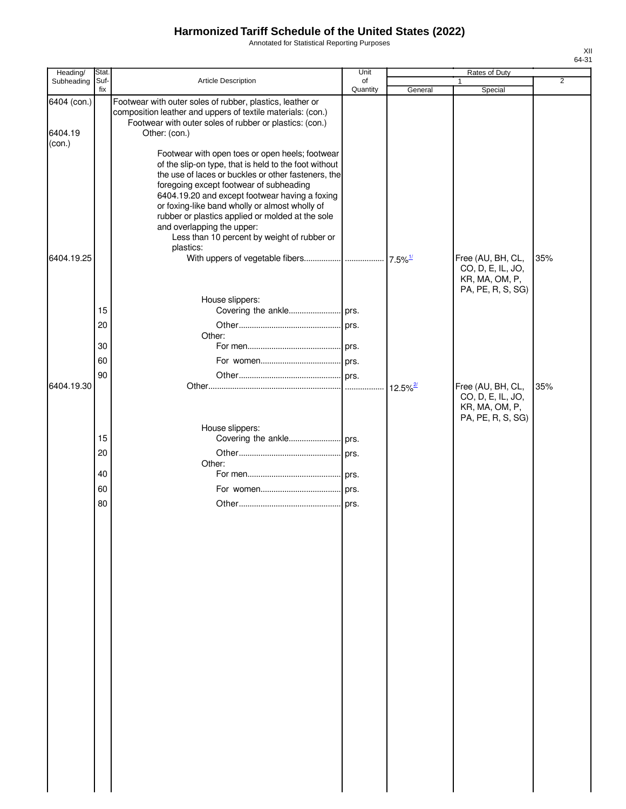Annotated for Statistical Reporting Purposes

| × |
|---|

| Heading/    | Stat.       |                                                                                                                                                                                                                                                                                                                                                                                                                                                              | Unit           |                        | Rates of Duty                                                                 |                |
|-------------|-------------|--------------------------------------------------------------------------------------------------------------------------------------------------------------------------------------------------------------------------------------------------------------------------------------------------------------------------------------------------------------------------------------------------------------------------------------------------------------|----------------|------------------------|-------------------------------------------------------------------------------|----------------|
| Subheading  | Suf-<br>fix | Article Description                                                                                                                                                                                                                                                                                                                                                                                                                                          | of<br>Quantity | General                | $\mathbf{1}$<br>Special                                                       | $\overline{2}$ |
| 6404 (con.) |             | Footwear with outer soles of rubber, plastics, leather or<br>composition leather and uppers of textile materials: (con.)<br>Footwear with outer soles of rubber or plastics: (con.)                                                                                                                                                                                                                                                                          |                |                        |                                                                               |                |
| 6404.19     |             | Other: (con.)                                                                                                                                                                                                                                                                                                                                                                                                                                                |                |                        |                                                                               |                |
| (con.)      |             | Footwear with open toes or open heels; footwear<br>of the slip-on type, that is held to the foot without<br>the use of laces or buckles or other fasteners, the<br>foregoing except footwear of subheading<br>6404.19.20 and except footwear having a foxing<br>or foxing-like band wholly or almost wholly of<br>rubber or plastics applied or molded at the sole<br>and overlapping the upper:<br>Less than 10 percent by weight of rubber or<br>plastics: |                |                        |                                                                               |                |
| 6404.19.25  |             |                                                                                                                                                                                                                                                                                                                                                                                                                                                              |                | $7.5\%$ <sup>1/</sup>  | Free (AU, BH, CL,<br>CO, D, E, IL, JO,<br>KR, MA, OM, P,<br>PA, PE, R, S, SG) | 35%            |
|             |             | House slippers:                                                                                                                                                                                                                                                                                                                                                                                                                                              |                |                        |                                                                               |                |
|             | 15          |                                                                                                                                                                                                                                                                                                                                                                                                                                                              |                |                        |                                                                               |                |
|             | 20          | Other:                                                                                                                                                                                                                                                                                                                                                                                                                                                       | prs.           |                        |                                                                               |                |
|             | 30          |                                                                                                                                                                                                                                                                                                                                                                                                                                                              |                |                        |                                                                               |                |
|             | 60          |                                                                                                                                                                                                                                                                                                                                                                                                                                                              |                |                        |                                                                               |                |
|             | 90          |                                                                                                                                                                                                                                                                                                                                                                                                                                                              |                |                        |                                                                               |                |
| 6404.19.30  |             |                                                                                                                                                                                                                                                                                                                                                                                                                                                              |                | $12.5\%$ <sup>2/</sup> | Free (AU, BH, CL,<br>CO, D, E, IL, JO,<br>KR, MA, OM, P,<br>PA, PE, R, S, SG) | 35%            |
|             |             | House slippers:                                                                                                                                                                                                                                                                                                                                                                                                                                              |                |                        |                                                                               |                |
|             | 15          |                                                                                                                                                                                                                                                                                                                                                                                                                                                              |                |                        |                                                                               |                |
|             | 20          | Other:                                                                                                                                                                                                                                                                                                                                                                                                                                                       |                |                        |                                                                               |                |
|             | 40          |                                                                                                                                                                                                                                                                                                                                                                                                                                                              |                |                        |                                                                               |                |
|             | 60          |                                                                                                                                                                                                                                                                                                                                                                                                                                                              |                |                        |                                                                               |                |
|             | 80          |                                                                                                                                                                                                                                                                                                                                                                                                                                                              |                |                        |                                                                               |                |
|             |             |                                                                                                                                                                                                                                                                                                                                                                                                                                                              |                |                        |                                                                               |                |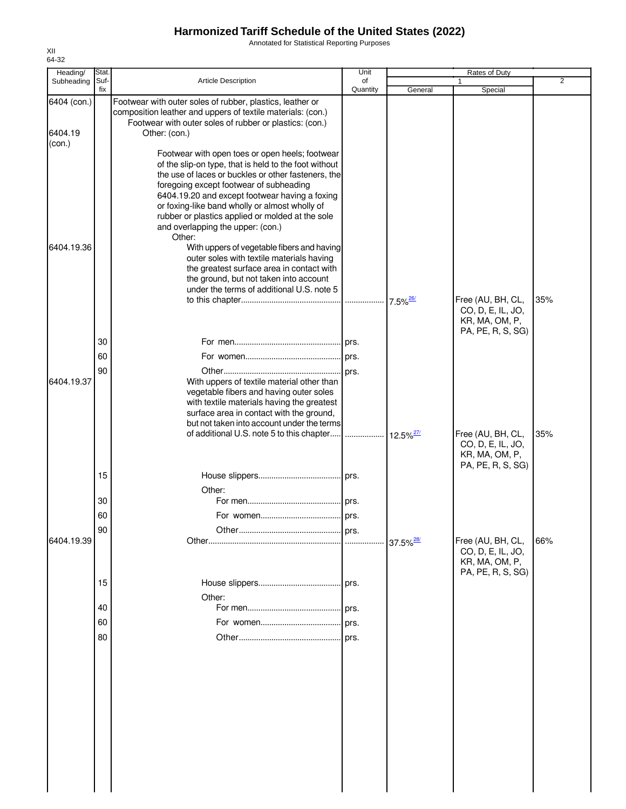Annotated for Statistical Reporting Purposes

|                           |                                                                                                                                                                                                                                                                                                                                                                                                                   | Unit             |                                                            | <b>Rates of Duty</b>                                         |                                                                                                                  |
|---------------------------|-------------------------------------------------------------------------------------------------------------------------------------------------------------------------------------------------------------------------------------------------------------------------------------------------------------------------------------------------------------------------------------------------------------------|------------------|------------------------------------------------------------|--------------------------------------------------------------|------------------------------------------------------------------------------------------------------------------|
| Suf-<br>fix               | <b>Article Description</b>                                                                                                                                                                                                                                                                                                                                                                                        | of<br>Quantity   |                                                            |                                                              | $\overline{2}$                                                                                                   |
|                           | Footwear with outer soles of rubber, plastics, leather or<br>composition leather and uppers of textile materials: (con.)<br>Footwear with outer soles of rubber or plastics: (con.)                                                                                                                                                                                                                               |                  |                                                            |                                                              |                                                                                                                  |
|                           | Other: (con.)                                                                                                                                                                                                                                                                                                                                                                                                     |                  |                                                            |                                                              |                                                                                                                  |
|                           | Footwear with open toes or open heels; footwear<br>of the slip-on type, that is held to the foot without<br>the use of laces or buckles or other fasteners, the<br>foregoing except footwear of subheading<br>6404.19.20 and except footwear having a foxing<br>or foxing-like band wholly or almost wholly of<br>rubber or plastics applied or molded at the sole<br>and overlapping the upper: (con.)<br>Other: |                  |                                                            |                                                              |                                                                                                                  |
|                           | With uppers of vegetable fibers and having<br>outer soles with textile materials having<br>the greatest surface area in contact with<br>the ground, but not taken into account<br>under the terms of additional U.S. note 5                                                                                                                                                                                       |                  |                                                            |                                                              |                                                                                                                  |
|                           |                                                                                                                                                                                                                                                                                                                                                                                                                   |                  |                                                            | CO, D, E, IL, JO,<br>KR, MA, OM, P,                          | 35%                                                                                                              |
| 30                        |                                                                                                                                                                                                                                                                                                                                                                                                                   |                  |                                                            |                                                              |                                                                                                                  |
| 60                        |                                                                                                                                                                                                                                                                                                                                                                                                                   |                  |                                                            |                                                              |                                                                                                                  |
| 90                        | With uppers of textile material other than<br>vegetable fibers and having outer soles<br>with textile materials having the greatest<br>surface area in contact with the ground,                                                                                                                                                                                                                                   |                  |                                                            |                                                              |                                                                                                                  |
|                           |                                                                                                                                                                                                                                                                                                                                                                                                                   |                  |                                                            | Free (AU, BH, CL,<br>CO, D, E, IL, JO,<br>KR, MA, OM, P,     | 35%                                                                                                              |
| 15                        |                                                                                                                                                                                                                                                                                                                                                                                                                   |                  |                                                            |                                                              |                                                                                                                  |
| 30                        |                                                                                                                                                                                                                                                                                                                                                                                                                   |                  |                                                            |                                                              |                                                                                                                  |
| 60                        |                                                                                                                                                                                                                                                                                                                                                                                                                   |                  |                                                            |                                                              |                                                                                                                  |
| 90                        |                                                                                                                                                                                                                                                                                                                                                                                                                   |                  |                                                            |                                                              |                                                                                                                  |
|                           |                                                                                                                                                                                                                                                                                                                                                                                                                   |                  |                                                            | CO, D, E, IL, JO,<br>KR, MA, OM, P,                          | 66%                                                                                                              |
| 15                        |                                                                                                                                                                                                                                                                                                                                                                                                                   |                  |                                                            |                                                              |                                                                                                                  |
| 40                        |                                                                                                                                                                                                                                                                                                                                                                                                                   |                  |                                                            |                                                              |                                                                                                                  |
| 60                        |                                                                                                                                                                                                                                                                                                                                                                                                                   |                  |                                                            |                                                              |                                                                                                                  |
| 80                        |                                                                                                                                                                                                                                                                                                                                                                                                                   |                  |                                                            |                                                              |                                                                                                                  |
|                           |                                                                                                                                                                                                                                                                                                                                                                                                                   |                  |                                                            |                                                              |                                                                                                                  |
| 6404 (con.)<br>6404.19.37 | 6404.19.36<br>6404.19.39                                                                                                                                                                                                                                                                                                                                                                                          | Other:<br>Other: | but not taken into account under the terms<br>prs.<br>prs. | General<br>$7.5\%$ <sup>26/</sup><br>$37.5\%$ <sup>28/</sup> | Special<br>Free (AU, BH, CL,<br>PA, PE, R, S, SG)<br>PA, PE, R, S, SG)<br>Free (AU, BH, CL,<br>PA, PE, R, S, SG) |

XII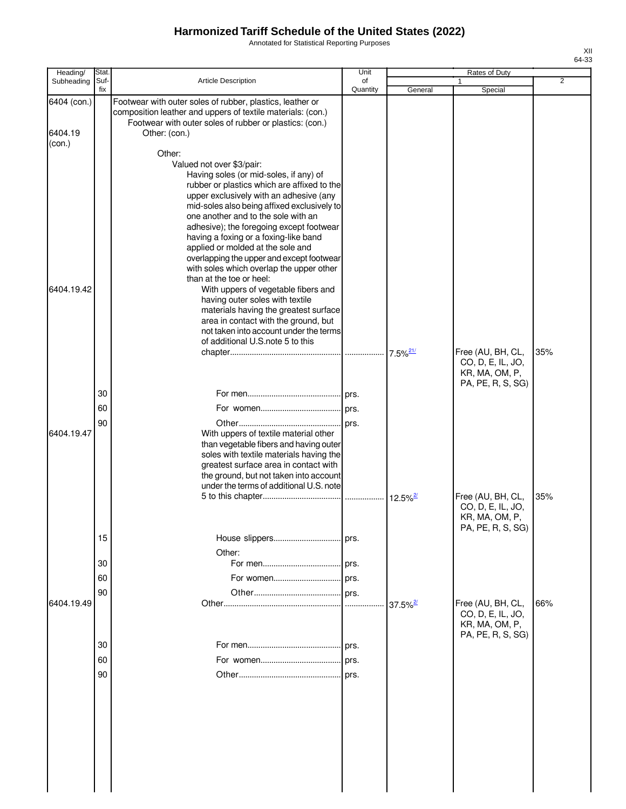Annotated for Statistical Reporting Purposes

| Heading/                         | <b>Stat</b> |                                                                                                                                                                                                                                                                                                                                                                                                                                                                        | Unit           |                        | Rates of Duty                                                                 |                |
|----------------------------------|-------------|------------------------------------------------------------------------------------------------------------------------------------------------------------------------------------------------------------------------------------------------------------------------------------------------------------------------------------------------------------------------------------------------------------------------------------------------------------------------|----------------|------------------------|-------------------------------------------------------------------------------|----------------|
| Subheading                       | Suf-<br>fix | <b>Article Description</b>                                                                                                                                                                                                                                                                                                                                                                                                                                             | of<br>Quantity | General                | Special                                                                       | $\overline{2}$ |
| 6404 (con.)<br>6404.19<br>(con.) |             | Footwear with outer soles of rubber, plastics, leather or<br>composition leather and uppers of textile materials: (con.)<br>Footwear with outer soles of rubber or plastics: (con.)<br>Other: (con.)                                                                                                                                                                                                                                                                   |                |                        |                                                                               |                |
|                                  |             | Other:                                                                                                                                                                                                                                                                                                                                                                                                                                                                 |                |                        |                                                                               |                |
|                                  |             | Valued not over \$3/pair:<br>Having soles (or mid-soles, if any) of<br>rubber or plastics which are affixed to the<br>upper exclusively with an adhesive (any<br>mid-soles also being affixed exclusively to<br>one another and to the sole with an<br>adhesive); the foregoing except footwear<br>having a foxing or a foxing-like band<br>applied or molded at the sole and<br>overlapping the upper and except footwear<br>with soles which overlap the upper other |                |                        |                                                                               |                |
| 6404.19.42                       |             | than at the toe or heel:<br>With uppers of vegetable fibers and<br>having outer soles with textile<br>materials having the greatest surface<br>area in contact with the ground, but<br>not taken into account under the terms<br>of additional U.S.note 5 to this                                                                                                                                                                                                      |                |                        |                                                                               |                |
|                                  |             |                                                                                                                                                                                                                                                                                                                                                                                                                                                                        |                | $7.5\%$ <sup>21/</sup> | Free (AU, BH, CL,<br>CO, D, E, IL, JO,<br>KR, MA, OM, P,<br>PA, PE, R, S, SG) | 35%            |
|                                  | 30<br>60    |                                                                                                                                                                                                                                                                                                                                                                                                                                                                        |                |                        |                                                                               |                |
|                                  | 90          |                                                                                                                                                                                                                                                                                                                                                                                                                                                                        |                |                        |                                                                               |                |
| 6404.19.47                       |             | With uppers of textile material other<br>than vegetable fibers and having outer<br>soles with textile materials having the<br>greatest surface area in contact with<br>the ground, but not taken into account<br>under the terms of additional U.S. note                                                                                                                                                                                                               |                |                        |                                                                               |                |
|                                  |             |                                                                                                                                                                                                                                                                                                                                                                                                                                                                        |                | $12.5\%$ <sup>27</sup> | Free (AU, BH, CL,<br>CO, D, E, IL, JO,<br>KR, MA, OM, P,<br>PA, PE, R, S, SG) | 35%            |
|                                  | 15          | Other:                                                                                                                                                                                                                                                                                                                                                                                                                                                                 |                |                        |                                                                               |                |
|                                  | 30          |                                                                                                                                                                                                                                                                                                                                                                                                                                                                        | prs.           |                        |                                                                               |                |
|                                  | 60          |                                                                                                                                                                                                                                                                                                                                                                                                                                                                        |                |                        |                                                                               |                |
| 6404.19.49                       | 90          |                                                                                                                                                                                                                                                                                                                                                                                                                                                                        | .              | $37.5\%$ <sup>2</sup>  | Free (AU, BH, CL,<br>CO, D, E, IL, JO,<br>KR, MA, OM, P,<br>PA, PE, R, S, SG) | 66%            |
|                                  | 30          |                                                                                                                                                                                                                                                                                                                                                                                                                                                                        |                |                        |                                                                               |                |
|                                  | 60          |                                                                                                                                                                                                                                                                                                                                                                                                                                                                        |                |                        |                                                                               |                |
|                                  | 90          |                                                                                                                                                                                                                                                                                                                                                                                                                                                                        |                |                        |                                                                               |                |
|                                  |             |                                                                                                                                                                                                                                                                                                                                                                                                                                                                        |                |                        |                                                                               |                |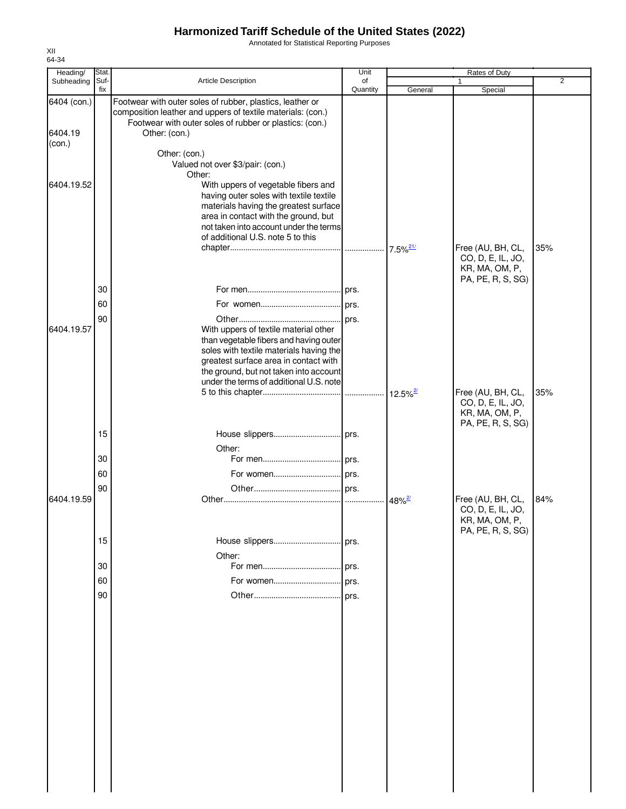Annotated for Statistical Reporting Purposes

| Heading/          | Stat.       |                                                                                                                                                                                                                                                | Unit           |                        | Rates of Duty                                                                 |                |
|-------------------|-------------|------------------------------------------------------------------------------------------------------------------------------------------------------------------------------------------------------------------------------------------------|----------------|------------------------|-------------------------------------------------------------------------------|----------------|
| Subheading        | Suf-<br>fix | Article Description                                                                                                                                                                                                                            | of<br>Quantity | General                | 1<br>Special                                                                  | $\overline{2}$ |
| 6404 (con.)       |             | Footwear with outer soles of rubber, plastics, leather or<br>composition leather and uppers of textile materials: (con.)<br>Footwear with outer soles of rubber or plastics: (con.)                                                            |                |                        |                                                                               |                |
| 6404.19<br>(con.) |             | Other: (con.)                                                                                                                                                                                                                                  |                |                        |                                                                               |                |
|                   |             | Other: (con.)<br>Valued not over \$3/pair: (con.)<br>Other:                                                                                                                                                                                    |                |                        |                                                                               |                |
| 6404.19.52        |             | With uppers of vegetable fibers and<br>having outer soles with textile textile<br>materials having the greatest surface<br>area in contact with the ground, but<br>not taken into account under the terms<br>of additional U.S. note 5 to this |                | $7.5\%$ <sup>21/</sup> | Free (AU, BH, CL,                                                             | 35%            |
|                   |             |                                                                                                                                                                                                                                                |                |                        | CO, D, E, IL, JO,<br>KR, MA, OM, P,                                           |                |
|                   | 30          |                                                                                                                                                                                                                                                |                |                        | PA, PE, R, S, SG)                                                             |                |
|                   | 60          |                                                                                                                                                                                                                                                |                |                        |                                                                               |                |
| 6404.19.57        | 90          | With uppers of textile material other<br>than vegetable fibers and having outer<br>soles with textile materials having the<br>greatest surface area in contact with<br>the ground, but not taken into account                                  |                |                        |                                                                               |                |
|                   |             | under the terms of additional U.S. note                                                                                                                                                                                                        |                |                        | Free (AU, BH, CL,                                                             | 35%            |
|                   |             |                                                                                                                                                                                                                                                |                |                        | CO, D, E, IL, JO,<br>KR, MA, OM, P,<br>PA, PE, R, S, SG)                      |                |
|                   | 15          |                                                                                                                                                                                                                                                |                |                        |                                                                               |                |
|                   | 30          | Other:                                                                                                                                                                                                                                         |                |                        |                                                                               |                |
|                   | 60          |                                                                                                                                                                                                                                                |                |                        |                                                                               |                |
|                   | 90          |                                                                                                                                                                                                                                                |                |                        |                                                                               |                |
| 6404.19.59        |             |                                                                                                                                                                                                                                                |                | $48\%$ <sup>2/</sup>   | Free (AU, BH, CL,<br>CO, D, E, IL, JO,<br>KR, MA, OM, P,<br>PA, PE, R, S, SG) | 84%            |
|                   | 15          |                                                                                                                                                                                                                                                |                |                        |                                                                               |                |
|                   | 30          | Other:                                                                                                                                                                                                                                         |                |                        |                                                                               |                |
|                   | 60          |                                                                                                                                                                                                                                                |                |                        |                                                                               |                |
|                   | 90          |                                                                                                                                                                                                                                                |                |                        |                                                                               |                |
|                   |             |                                                                                                                                                                                                                                                |                |                        |                                                                               |                |
|                   |             |                                                                                                                                                                                                                                                |                |                        |                                                                               |                |
|                   |             |                                                                                                                                                                                                                                                |                |                        |                                                                               |                |
|                   |             |                                                                                                                                                                                                                                                |                |                        |                                                                               |                |
|                   |             |                                                                                                                                                                                                                                                |                |                        |                                                                               |                |
|                   |             |                                                                                                                                                                                                                                                |                |                        |                                                                               |                |
|                   |             |                                                                                                                                                                                                                                                |                |                        |                                                                               |                |
|                   |             |                                                                                                                                                                                                                                                |                |                        |                                                                               |                |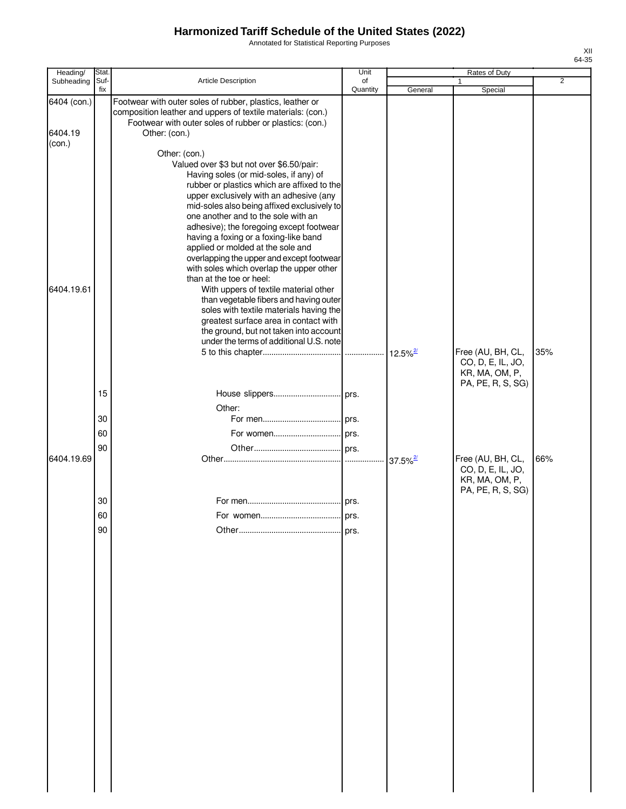Annotated for Statistical Reporting Purposes

| Heading/                         | Stat.       |                                                                                                                                                                                                                                                                                                                                                                                                                                                                                                                                                                                                                                                                                                                                                                                                 | Unit           |                        | Rates of Duty                                                                 |                |
|----------------------------------|-------------|-------------------------------------------------------------------------------------------------------------------------------------------------------------------------------------------------------------------------------------------------------------------------------------------------------------------------------------------------------------------------------------------------------------------------------------------------------------------------------------------------------------------------------------------------------------------------------------------------------------------------------------------------------------------------------------------------------------------------------------------------------------------------------------------------|----------------|------------------------|-------------------------------------------------------------------------------|----------------|
| Subheading                       | Suf-<br>fix | Article Description                                                                                                                                                                                                                                                                                                                                                                                                                                                                                                                                                                                                                                                                                                                                                                             | of<br>Quantity | General                | Special                                                                       | $\overline{2}$ |
| 6404 (con.)<br>6404.19<br>(con.) |             | Footwear with outer soles of rubber, plastics, leather or<br>composition leather and uppers of textile materials: (con.)<br>Footwear with outer soles of rubber or plastics: (con.)<br>Other: (con.)                                                                                                                                                                                                                                                                                                                                                                                                                                                                                                                                                                                            |                |                        |                                                                               |                |
| 6404.19.61                       |             | Other: (con.)<br>Valued over \$3 but not over \$6.50/pair:<br>Having soles (or mid-soles, if any) of<br>rubber or plastics which are affixed to the<br>upper exclusively with an adhesive (any<br>mid-soles also being affixed exclusively to<br>one another and to the sole with an<br>adhesive); the foregoing except footwear<br>having a foxing or a foxing-like band<br>applied or molded at the sole and<br>overlapping the upper and except footwear<br>with soles which overlap the upper other<br>than at the toe or heel:<br>With uppers of textile material other<br>than vegetable fibers and having outer<br>soles with textile materials having the<br>greatest surface area in contact with<br>the ground, but not taken into account<br>under the terms of additional U.S. note |                |                        | Free (AU, BH, CL,<br>CO, D, E, IL, JO,<br>KR, MA, OM, P,                      | 35%            |
|                                  | 15          |                                                                                                                                                                                                                                                                                                                                                                                                                                                                                                                                                                                                                                                                                                                                                                                                 |                |                        | PA, PE, R, S, SG)                                                             |                |
|                                  |             | Other:                                                                                                                                                                                                                                                                                                                                                                                                                                                                                                                                                                                                                                                                                                                                                                                          |                |                        |                                                                               |                |
|                                  | 30          |                                                                                                                                                                                                                                                                                                                                                                                                                                                                                                                                                                                                                                                                                                                                                                                                 |                |                        |                                                                               |                |
|                                  | 60          |                                                                                                                                                                                                                                                                                                                                                                                                                                                                                                                                                                                                                                                                                                                                                                                                 |                |                        |                                                                               |                |
|                                  | 90          |                                                                                                                                                                                                                                                                                                                                                                                                                                                                                                                                                                                                                                                                                                                                                                                                 |                |                        |                                                                               |                |
| 6404.19.69                       |             |                                                                                                                                                                                                                                                                                                                                                                                                                                                                                                                                                                                                                                                                                                                                                                                                 |                | $37.5\%$ <sup>2/</sup> | Free (AU, BH, CL,<br>CO, D, E, IL, JO,<br>KR, MA, OM, P,<br>PA, PE, R, S, SG) | 66%            |
|                                  | 30          |                                                                                                                                                                                                                                                                                                                                                                                                                                                                                                                                                                                                                                                                                                                                                                                                 |                |                        |                                                                               |                |
|                                  | 60          |                                                                                                                                                                                                                                                                                                                                                                                                                                                                                                                                                                                                                                                                                                                                                                                                 |                |                        |                                                                               |                |
|                                  | 90          |                                                                                                                                                                                                                                                                                                                                                                                                                                                                                                                                                                                                                                                                                                                                                                                                 | prs.           |                        |                                                                               |                |
|                                  |             |                                                                                                                                                                                                                                                                                                                                                                                                                                                                                                                                                                                                                                                                                                                                                                                                 |                |                        |                                                                               |                |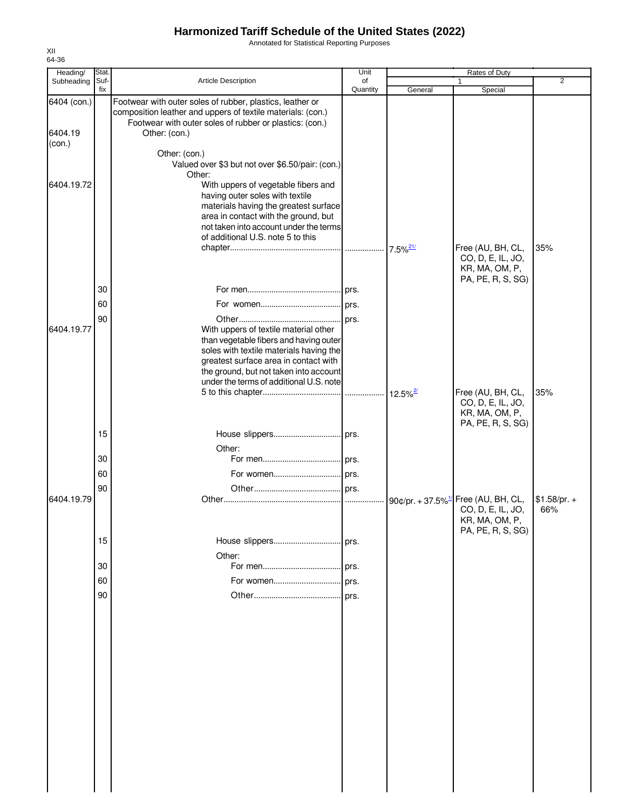Annotated for Statistical Reporting Purposes

| Heading/          | Stat.       |                                                                                                                                                                                                                                        | Unit           |                        | Rates of Duty                                                                                               |                      |
|-------------------|-------------|----------------------------------------------------------------------------------------------------------------------------------------------------------------------------------------------------------------------------------------|----------------|------------------------|-------------------------------------------------------------------------------------------------------------|----------------------|
| Subheading        | Suf-<br>fix | Article Description                                                                                                                                                                                                                    | of<br>Quantity | General                | 1<br>Special                                                                                                | $\overline{2}$       |
| 6404 (con.)       |             | Footwear with outer soles of rubber, plastics, leather or<br>composition leather and uppers of textile materials: (con.)<br>Footwear with outer soles of rubber or plastics: (con.)                                                    |                |                        |                                                                                                             |                      |
| 6404.19<br>(con.) |             | Other: (con.)                                                                                                                                                                                                                          |                |                        |                                                                                                             |                      |
|                   |             | Other: (con.)<br>Valued over \$3 but not over \$6.50/pair: (con.)<br>Other:                                                                                                                                                            |                |                        |                                                                                                             |                      |
| 6404.19.72        |             | With uppers of vegetable fibers and<br>having outer soles with textile<br>materials having the greatest surface<br>area in contact with the ground, but<br>not taken into account under the terms<br>of additional U.S. note 5 to this |                | $7.5\%$ <sup>21/</sup> | Free (AU, BH, CL,                                                                                           | 35%                  |
|                   |             |                                                                                                                                                                                                                                        |                |                        | CO, D, E, IL, JO,<br>KR, MA, OM, P,<br>PA, PE, R, S, SG)                                                    |                      |
|                   | 30          |                                                                                                                                                                                                                                        |                |                        |                                                                                                             |                      |
|                   | 60          |                                                                                                                                                                                                                                        |                |                        |                                                                                                             |                      |
| 6404.19.77        | 90          | With uppers of textile material other<br>than vegetable fibers and having outer<br>soles with textile materials having the<br>greatest surface area in contact with<br>the ground, but not taken into account                          |                |                        |                                                                                                             |                      |
|                   |             | under the terms of additional U.S. note                                                                                                                                                                                                |                |                        | Free (AU, BH, CL,                                                                                           | 35%                  |
|                   |             |                                                                                                                                                                                                                                        |                |                        | CO, D, E, IL, JO,<br>KR, MA, OM, P,<br>PA, PE, R, S, SG)                                                    |                      |
|                   | 15          |                                                                                                                                                                                                                                        |                |                        |                                                                                                             |                      |
|                   | 30          | Other:                                                                                                                                                                                                                                 |                |                        |                                                                                                             |                      |
|                   | 60          |                                                                                                                                                                                                                                        |                |                        |                                                                                                             |                      |
|                   | 90          |                                                                                                                                                                                                                                        |                |                        |                                                                                                             |                      |
| 6404.19.79        |             |                                                                                                                                                                                                                                        |                |                        | 90¢/pr. + 37.5% <sup>1/</sup> Free (AU, BH, CL,<br>CO, D, E, IL, JO,<br>KR, MA, OM, P,<br>PA, PE, R, S, SG) | $$1.58/pr. +$<br>66% |
|                   | 15          | Other:                                                                                                                                                                                                                                 |                |                        |                                                                                                             |                      |
|                   | 30          |                                                                                                                                                                                                                                        | . ors.         |                        |                                                                                                             |                      |
|                   | 60          |                                                                                                                                                                                                                                        |                |                        |                                                                                                             |                      |
|                   | 90          |                                                                                                                                                                                                                                        |                |                        |                                                                                                             |                      |
|                   |             |                                                                                                                                                                                                                                        |                |                        |                                                                                                             |                      |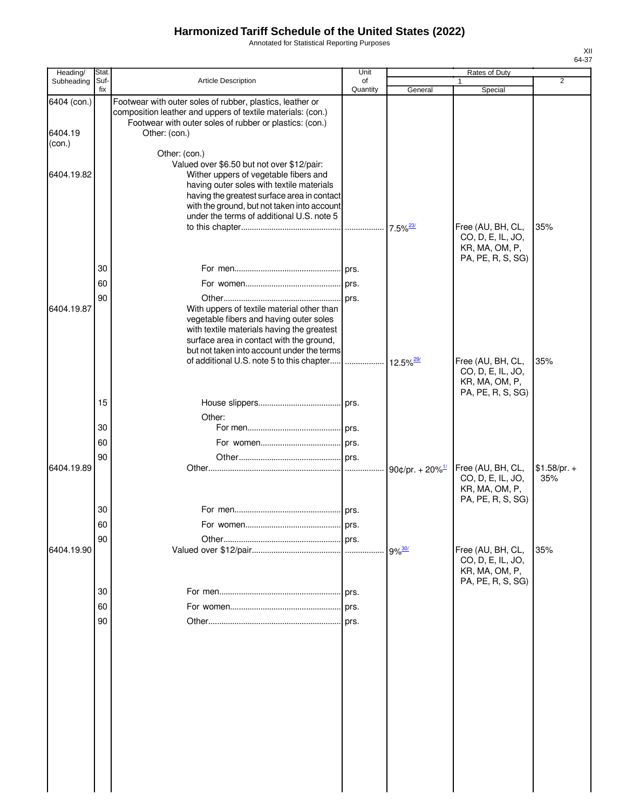Annotated for Statistical Reporting Purposes

| Heading/          | Stat.       |                                                                                                                                                                                                                                                                             | Unit           |                      | Rates of Duty                                                                 |                      |
|-------------------|-------------|-----------------------------------------------------------------------------------------------------------------------------------------------------------------------------------------------------------------------------------------------------------------------------|----------------|----------------------|-------------------------------------------------------------------------------|----------------------|
| Subheading        | Suf-<br>fix | <b>Article Description</b>                                                                                                                                                                                                                                                  | of<br>Quantity | General              | 1<br>Special                                                                  | $\overline{2}$       |
| 6404 (con.)       |             | Footwear with outer soles of rubber, plastics, leather or<br>composition leather and uppers of textile materials: (con.)<br>Footwear with outer soles of rubber or plastics: (con.)                                                                                         |                |                      |                                                                               |                      |
| 6404.19<br>(con.) |             | Other: (con.)<br>Other: (con.)                                                                                                                                                                                                                                              |                |                      |                                                                               |                      |
| 6404.19.82        |             | Valued over \$6.50 but not over \$12/pair:<br>Wither uppers of vegetable fibers and<br>having outer soles with textile materials<br>having the greatest surface area in contact<br>with the ground, but not taken into account<br>under the terms of additional U.S. note 5 |                |                      |                                                                               |                      |
|                   |             |                                                                                                                                                                                                                                                                             |                |                      | Free (AU, BH, CL,<br>CO, D, E, IL, JO,<br>KR, MA, OM, P,<br>PA, PE, R, S, SG) | 35%                  |
|                   | 30          |                                                                                                                                                                                                                                                                             |                |                      |                                                                               |                      |
|                   | 60          |                                                                                                                                                                                                                                                                             |                |                      |                                                                               |                      |
| 6404.19.87        | 90          | With uppers of textile material other than<br>vegetable fibers and having outer soles<br>with textile materials having the greatest<br>surface area in contact with the ground,<br>but not taken into account under the terms                                               |                |                      |                                                                               |                      |
|                   |             |                                                                                                                                                                                                                                                                             |                |                      | Free (AU, BH, CL,<br>CO, D, E, IL, JO,<br>KR, MA, OM, P,<br>PA, PE, R, S, SG) | 35%                  |
|                   | 15          |                                                                                                                                                                                                                                                                             |                |                      |                                                                               |                      |
|                   | 30          | Other:                                                                                                                                                                                                                                                                      |                |                      |                                                                               |                      |
|                   | 60          |                                                                                                                                                                                                                                                                             |                |                      |                                                                               |                      |
|                   | 90          |                                                                                                                                                                                                                                                                             |                |                      |                                                                               |                      |
| 6404.19.89        |             |                                                                                                                                                                                                                                                                             |                |                      | Free (AU, BH, CL,<br>CO, D, E, IL, JO,<br>KR, MA, OM, P,<br>PA, PE, R, S, SG) | $$1.58/pr. +$<br>35% |
|                   | 30          |                                                                                                                                                                                                                                                                             |                |                      |                                                                               |                      |
|                   | 60          |                                                                                                                                                                                                                                                                             | prs.           |                      |                                                                               |                      |
| 6404.19.90        | 90          |                                                                                                                                                                                                                                                                             |                | $9\%$ <sup>30/</sup> | Free (AU, BH, CL,<br>CO, D, E, IL, JO,<br>KR, MA, OM, P,                      | 35%                  |
|                   |             |                                                                                                                                                                                                                                                                             |                |                      | PA, PE, R, S, SG)                                                             |                      |
|                   | 30          |                                                                                                                                                                                                                                                                             |                |                      |                                                                               |                      |
|                   | 60          |                                                                                                                                                                                                                                                                             |                |                      |                                                                               |                      |
|                   | 90          |                                                                                                                                                                                                                                                                             |                |                      |                                                                               |                      |
|                   |             |                                                                                                                                                                                                                                                                             |                |                      |                                                                               |                      |
|                   |             |                                                                                                                                                                                                                                                                             |                |                      |                                                                               |                      |
|                   |             |                                                                                                                                                                                                                                                                             |                |                      |                                                                               |                      |
|                   |             |                                                                                                                                                                                                                                                                             |                |                      |                                                                               |                      |
|                   |             |                                                                                                                                                                                                                                                                             |                |                      |                                                                               |                      |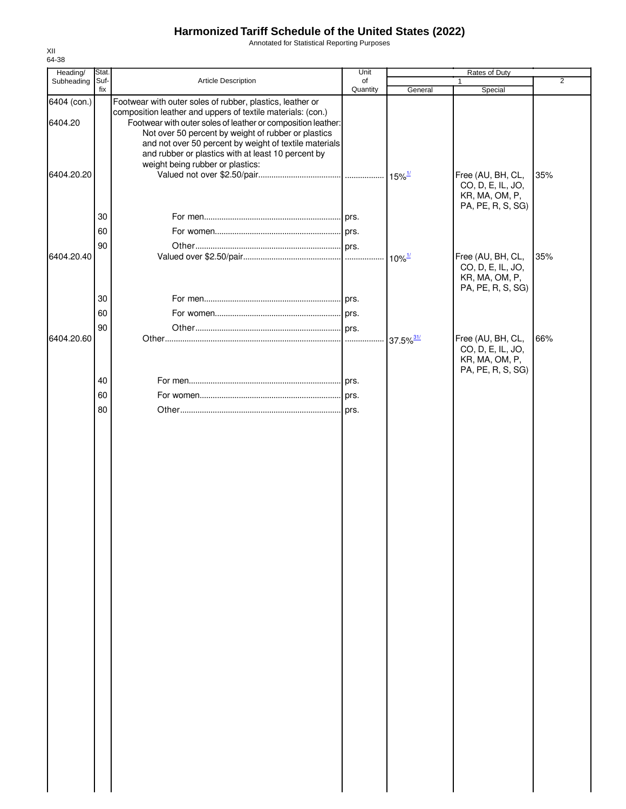Annotated for Statistical Reporting Purposes

| Heading/               | Stat.       |                                                                                                                                                                                                                                                                                                                                                                                                     | Unit           | Rates of Duty           |                                                                               |     |  |
|------------------------|-------------|-----------------------------------------------------------------------------------------------------------------------------------------------------------------------------------------------------------------------------------------------------------------------------------------------------------------------------------------------------------------------------------------------------|----------------|-------------------------|-------------------------------------------------------------------------------|-----|--|
| Subheading             | Suf-<br>fix | Article Description                                                                                                                                                                                                                                                                                                                                                                                 | of<br>Quantity | General                 | Special                                                                       | 2   |  |
| 6404 (con.)<br>6404.20 |             | Footwear with outer soles of rubber, plastics, leather or<br>composition leather and uppers of textile materials: (con.)<br>Footwear with outer soles of leather or composition leather:<br>Not over 50 percent by weight of rubber or plastics<br>and not over 50 percent by weight of textile materials<br>and rubber or plastics with at least 10 percent by<br>weight being rubber or plastics: |                |                         |                                                                               |     |  |
| 6404.20.20             | 30          |                                                                                                                                                                                                                                                                                                                                                                                                     |                | $15\%$ <sup>1/</sup>    | Free (AU, BH, CL,<br>CO, D, E, IL, JO,<br>KR, MA, OM, P,<br>PA, PE, R, S, SG) | 35% |  |
|                        | 60          |                                                                                                                                                                                                                                                                                                                                                                                                     |                |                         |                                                                               |     |  |
|                        | 90          |                                                                                                                                                                                                                                                                                                                                                                                                     |                |                         |                                                                               |     |  |
| 6404.20.40             |             |                                                                                                                                                                                                                                                                                                                                                                                                     |                | $10\%$ <sup>1/</sup>    | Free (AU, BH, CL,<br>CO, D, E, IL, JO,<br>KR, MA, OM, P,<br>PA, PE, R, S, SG) | 35% |  |
|                        | 30          |                                                                                                                                                                                                                                                                                                                                                                                                     |                |                         |                                                                               |     |  |
|                        | 60          |                                                                                                                                                                                                                                                                                                                                                                                                     |                |                         |                                                                               |     |  |
|                        | 90          |                                                                                                                                                                                                                                                                                                                                                                                                     |                |                         |                                                                               |     |  |
| 6404.20.60             |             |                                                                                                                                                                                                                                                                                                                                                                                                     |                | $37.5\%$ <sup>31/</sup> | Free (AU, BH, CL,<br>CO, D, E, IL, JO,<br>KR, MA, OM, P,<br>PA, PE, R, S, SG) | 66% |  |
|                        | 40          |                                                                                                                                                                                                                                                                                                                                                                                                     |                |                         |                                                                               |     |  |
|                        | 60          |                                                                                                                                                                                                                                                                                                                                                                                                     |                |                         |                                                                               |     |  |
|                        | 80          |                                                                                                                                                                                                                                                                                                                                                                                                     |                |                         |                                                                               |     |  |
|                        |             |                                                                                                                                                                                                                                                                                                                                                                                                     |                |                         |                                                                               |     |  |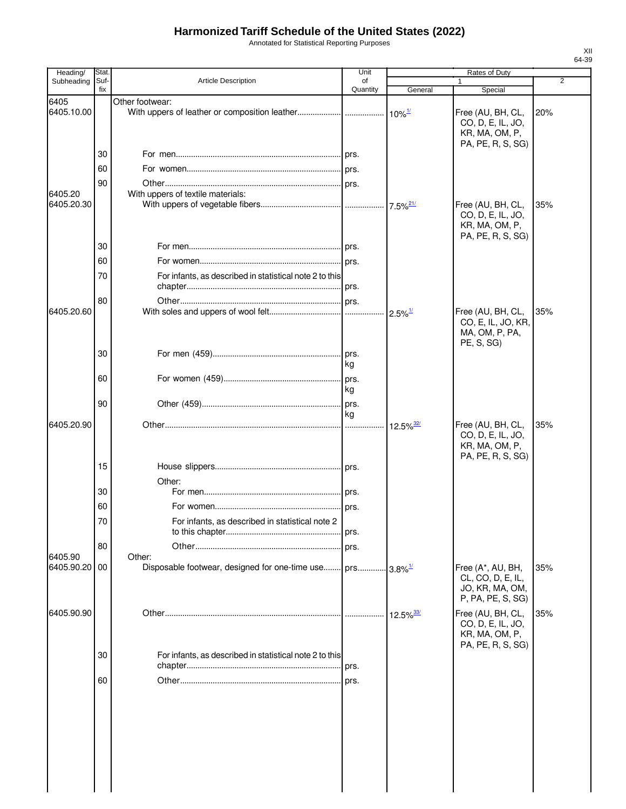Annotated for Statistical Reporting Purposes

| Heading/              | <b>Stat</b> |                                                              | Unit           |                         | Rates of Duty                                                                  |     |
|-----------------------|-------------|--------------------------------------------------------------|----------------|-------------------------|--------------------------------------------------------------------------------|-----|
| Subheading            | Suf-<br>fix | <b>Article Description</b>                                   | of<br>Quantity | General                 | Special                                                                        | 2   |
| 6405<br>6405.10.00    |             | Other footwear:                                              |                | $10\%$ <sup>1/</sup>    | Free (AU, BH, CL,<br>CO, D, E, IL, JO,<br>KR, MA, OM, P,<br>PA, PE, R, S, SG)  | 20% |
|                       | 30          |                                                              |                |                         |                                                                                |     |
|                       | 60          |                                                              |                |                         |                                                                                |     |
| 6405.20<br>6405.20.30 | 90          | With uppers of textile materials:                            |                | $7.5\%$ <sup>21/</sup>  | Free (AU, BH, CL,<br>CO, D, E, IL, JO,<br>KR, MA, OM, P,                       | 35% |
|                       |             |                                                              |                |                         | PA, PE, R, S, SG)                                                              |     |
|                       | 30          |                                                              |                |                         |                                                                                |     |
|                       | 60          |                                                              |                |                         |                                                                                |     |
|                       | 70          | For infants, as described in statistical note 2 to this      |                |                         |                                                                                |     |
|                       | 80          |                                                              |                |                         |                                                                                |     |
| 6405.20.60            |             |                                                              |                | $2.5\%$ <sup>1/</sup>   | Free (AU, BH, CL,<br>CO, E, IL, JO, KR,<br>MA, OM, P, PA,<br>PE, S, SG)        | 35% |
|                       | 30          |                                                              | prs.<br>kg     |                         |                                                                                |     |
|                       | 60          |                                                              | prs.<br>kg     |                         |                                                                                |     |
|                       | 90          |                                                              | . prs.<br>kg   |                         |                                                                                |     |
| 6405.20.90            |             |                                                              | .              | $12.5\%$ <sup>32/</sup> | Free (AU, BH, CL,<br>CO, D, E, IL, JO,<br>KR, MA, OM, P,                       | 35% |
|                       | 15          |                                                              |                |                         | PA, PE, R, S, SG)                                                              |     |
|                       |             | Other:                                                       |                |                         |                                                                                |     |
|                       | 30          |                                                              |                |                         |                                                                                |     |
|                       | 60          |                                                              |                |                         |                                                                                |     |
|                       | 70          | For infants, as described in statistical note 2              |                |                         |                                                                                |     |
|                       | 80          |                                                              |                |                         |                                                                                |     |
| 6405.90<br>6405.90.20 | 00          | Other:<br>Disposable footwear, designed for one-time use prs |                | $3.8\%$ <sup>1/</sup>   | Free (A*, AU, BH,<br>CL, CO, D, E, IL,<br>JO, KR, MA, OM,<br>P, PA, PE, S, SG) | 35% |
| 6405.90.90            |             |                                                              |                | $12.5\%$ <sup>33/</sup> | Free (AU, BH, CL,<br>CO, D, E, IL, JO,<br>KR, MA, OM, P,<br>PA, PE, R, S, SG)  | 35% |
|                       | 30          | For infants, as described in statistical note 2 to this      |                |                         |                                                                                |     |
|                       | 60          |                                                              |                |                         |                                                                                |     |
|                       |             |                                                              |                |                         |                                                                                |     |
|                       |             |                                                              |                |                         |                                                                                |     |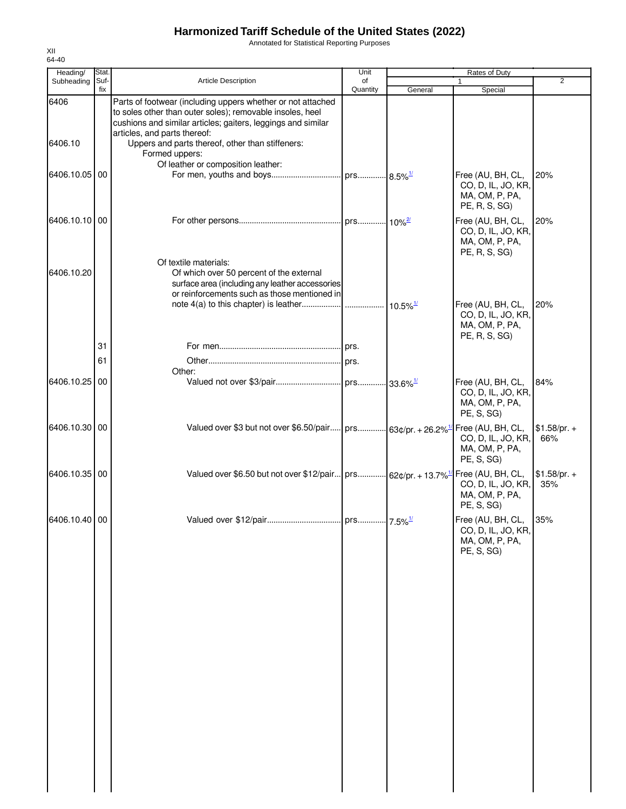Annotated for Statistical Reporting Purposes

| Heading/        | Stat.       |                                                                                                                                                                                                                                                                              | Unit           |         | Rates of Duty                                                              |                      |
|-----------------|-------------|------------------------------------------------------------------------------------------------------------------------------------------------------------------------------------------------------------------------------------------------------------------------------|----------------|---------|----------------------------------------------------------------------------|----------------------|
| Subheading      | Suf-<br>fix | <b>Article Description</b>                                                                                                                                                                                                                                                   | of<br>Quantity | General | 1<br>Special                                                               | $\overline{2}$       |
| 6406<br>6406.10 |             | Parts of footwear (including uppers whether or not attached<br>to soles other than outer soles); removable insoles, heel<br>cushions and similar articles; gaiters, leggings and similar<br>articles, and parts thereof:<br>Uppers and parts thereof, other than stiffeners: |                |         |                                                                            |                      |
| 6406.10.05 00   |             | Formed uppers:<br>Of leather or composition leather:                                                                                                                                                                                                                         |                |         | Free (AU, BH, CL,                                                          | 20%                  |
|                 |             |                                                                                                                                                                                                                                                                              |                |         | CO, D, IL, JO, KR,<br>MA, OM, P, PA,<br>PE, R, S, SG)                      |                      |
| 6406.10.10 00   |             |                                                                                                                                                                                                                                                                              |                |         | Free (AU, BH, CL,<br>CO, D, IL, JO, KR,<br>MA, OM, P, PA,<br>PE, R, S, SG) | 20%                  |
| 6406.10.20      |             | Of textile materials:<br>Of which over 50 percent of the external<br>surface area (including any leather accessories<br>or reinforcements such as those mentioned in                                                                                                         |                |         |                                                                            |                      |
|                 |             |                                                                                                                                                                                                                                                                              |                |         | Free (AU, BH, CL,<br>CO, D, IL, JO, KR,<br>MA, OM, P, PA,<br>PE, R, S, SG) | 20%                  |
|                 | 31          |                                                                                                                                                                                                                                                                              |                |         |                                                                            |                      |
|                 | 61          |                                                                                                                                                                                                                                                                              |                |         |                                                                            |                      |
| 6406.10.25      | 00          | Other:                                                                                                                                                                                                                                                                       |                |         | Free (AU, BH, CL,<br>CO, D, IL, JO, KR,<br>MA, OM, P, PA,<br>PE, S, SG)    | 84%                  |
| 6406.10.30 00   |             | Valued over \$3 but not over \$6.50/pair prs $63¢/pr. + 26.2\%$ <sup>1/</sup> Free (AU, BH, CL,                                                                                                                                                                              |                |         | CO, D, IL, JO, KR,<br>MA, OM, P, PA,<br>PE, S, SG)                         | $$1.58/pr. +$<br>66% |
| 6406.10.35 00   |             | Valued over \$6.50 but not over \$12/pair prs 62¢/pr. + 13.7% <sup>1/</sup> Free (AU, BH, CL,                                                                                                                                                                                |                |         | CO, D, IL, JO, KR,<br>MA, OM, P, PA,<br>PE, S, SG)                         | $$1.58/pr. +$<br>35% |
| 6406.10.40 00   |             |                                                                                                                                                                                                                                                                              |                |         | Free (AU, BH, CL,<br>CO, D, IL, JO, KR,<br>MA, OM, P, PA,<br>PE, S, SG)    | 35%                  |
|                 |             |                                                                                                                                                                                                                                                                              |                |         |                                                                            |                      |
|                 |             |                                                                                                                                                                                                                                                                              |                |         |                                                                            |                      |
|                 |             |                                                                                                                                                                                                                                                                              |                |         |                                                                            |                      |
|                 |             |                                                                                                                                                                                                                                                                              |                |         |                                                                            |                      |
|                 |             |                                                                                                                                                                                                                                                                              |                |         |                                                                            |                      |
|                 |             |                                                                                                                                                                                                                                                                              |                |         |                                                                            |                      |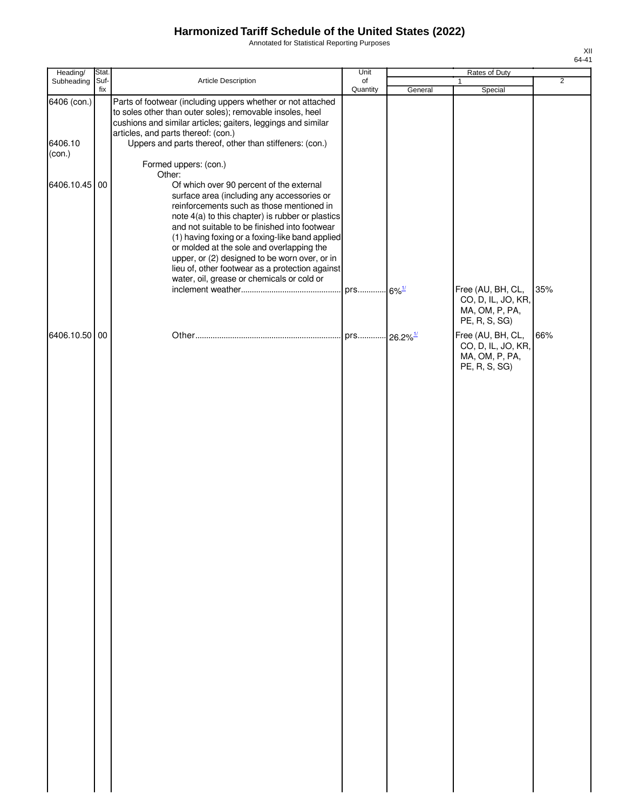Annotated for Statistical Reporting Purposes

| Heading/                         | Stat.       |                                                                                                                                                                                                                                                                                                                                                                                                                                                                                                      | Unit                 |         | Rates of Duty                                                                               |                |
|----------------------------------|-------------|------------------------------------------------------------------------------------------------------------------------------------------------------------------------------------------------------------------------------------------------------------------------------------------------------------------------------------------------------------------------------------------------------------------------------------------------------------------------------------------------------|----------------------|---------|---------------------------------------------------------------------------------------------|----------------|
| Subheading                       | Suf-<br>fix | Article Description                                                                                                                                                                                                                                                                                                                                                                                                                                                                                  | of<br>Quantity       | General | Special                                                                                     | $\overline{2}$ |
| 6406 (con.)<br>6406.10<br>(con.) |             | Parts of footwear (including uppers whether or not attached<br>to soles other than outer soles); removable insoles, heel<br>cushions and similar articles; gaiters, leggings and similar<br>articles, and parts thereof: (con.)<br>Uppers and parts thereof, other than stiffeners: (con.)<br>Formed uppers: (con.)                                                                                                                                                                                  |                      |         |                                                                                             |                |
| 6406.10.45 00                    |             | Other:<br>Of which over 90 percent of the external<br>surface area (including any accessories or<br>reinforcements such as those mentioned in<br>note 4(a) to this chapter) is rubber or plastics<br>and not suitable to be finished into footwear<br>(1) having foxing or a foxing-like band applied<br>or molded at the sole and overlapping the<br>upper, or (2) designed to be worn over, or in<br>lieu of, other footwear as a protection against<br>water, oil, grease or chemicals or cold or | prs 6% <sup>1/</sup> |         | Free (AU, BH, CL,<br>CO, D, IL, JO, KR,<br>MA, OM, P, PA,                                   | 35%            |
| 6406.10.50 00                    |             |                                                                                                                                                                                                                                                                                                                                                                                                                                                                                                      |                      |         | PE, R, S, SG)<br>Free (AU, BH, CL,<br>CO, D, IL, JO, KR,<br>MA, OM, P, PA,<br>PE, R, S, SG) | 66%            |
|                                  |             |                                                                                                                                                                                                                                                                                                                                                                                                                                                                                                      |                      |         |                                                                                             |                |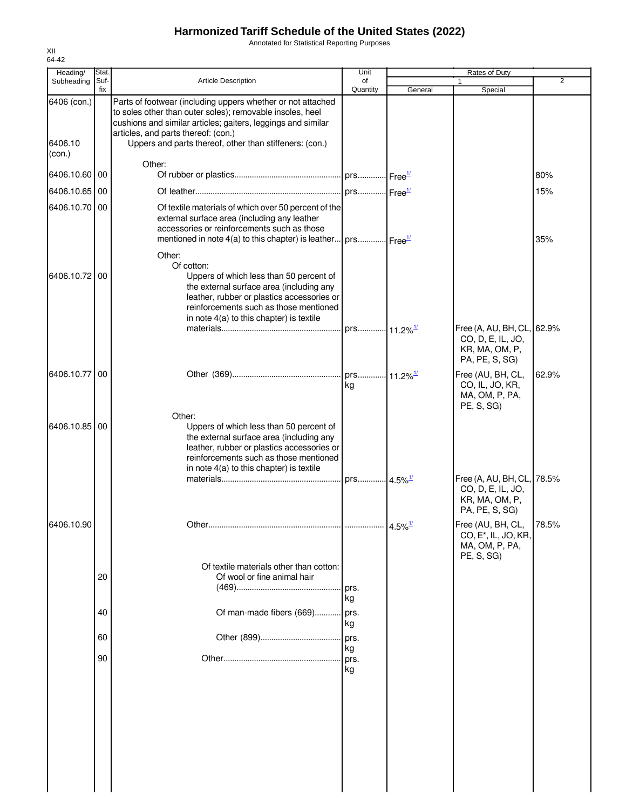Annotated for Statistical Reporting Purposes

| Heading/                         | Stat.       |                                                                                                                                                                                                                                                                                            | Unit                    |         | Rates of Duty                                                                         |                |
|----------------------------------|-------------|--------------------------------------------------------------------------------------------------------------------------------------------------------------------------------------------------------------------------------------------------------------------------------------------|-------------------------|---------|---------------------------------------------------------------------------------------|----------------|
| Subheading                       | Suf-<br>fix | Article Description                                                                                                                                                                                                                                                                        | of<br>Quantity          | General | 1<br>Special                                                                          | $\overline{2}$ |
| 6406 (con.)<br>6406.10<br>(con.) |             | Parts of footwear (including uppers whether or not attached<br>to soles other than outer soles); removable insoles, heel<br>cushions and similar articles; gaiters, leggings and similar<br>articles, and parts thereof: (con.)<br>Uppers and parts thereof, other than stiffeners: (con.) |                         |         |                                                                                       |                |
| 6406.10.60 00                    |             | Other:                                                                                                                                                                                                                                                                                     |                         |         |                                                                                       | 80%            |
| 6406.10.65                       | 00          |                                                                                                                                                                                                                                                                                            |                         |         |                                                                                       | 15%            |
| 6406.10.70 00                    |             | Of textile materials of which over 50 percent of the                                                                                                                                                                                                                                       |                         |         |                                                                                       |                |
|                                  |             | external surface area (including any leather<br>accessories or reinforcements such as those<br>mentioned in note 4(a) to this chapter) is leather                                                                                                                                          | prs Free <sup>1/</sup>  |         |                                                                                       | 35%            |
| 6406.10.72                       | 00          | Other:<br>Of cotton:<br>Uppers of which less than 50 percent of<br>the external surface area (including any<br>leather, rubber or plastics accessories or<br>reinforcements such as those mentioned<br>in note 4(a) to this chapter) is textile                                            |                         |         |                                                                                       |                |
|                                  |             |                                                                                                                                                                                                                                                                                            | prs 11.2% <sup>1/</sup> |         | Free (A, AU, BH, CL, 62.9%<br>CO, D, E, IL, JO,<br>KR, MA, OM, P,<br>PA, PE, S, SG)   |                |
| 6406.10.77                       | 00          |                                                                                                                                                                                                                                                                                            | kg                      |         | Free (AU, BH, CL,<br>CO, IL, JO, KR,<br>MA, OM, P, PA,<br>PE, S, SG)                  | 62.9%          |
| 6406.10.85 00                    |             | Other:<br>Uppers of which less than 50 percent of<br>the external surface area (including any<br>leather, rubber or plastics accessories or<br>reinforcements such as those mentioned<br>in note 4(a) to this chapter) is textile                                                          | prs 4.5% <sup>1/</sup>  |         | Free (A, AU, BH, CL, 78.5%                                                            |                |
|                                  |             |                                                                                                                                                                                                                                                                                            |                         |         | CO, D, E, IL, JO,<br>KR, MA, OM, P,<br>PA, PE, S, SG)                                 |                |
| 6406.10.90                       |             |                                                                                                                                                                                                                                                                                            |                         |         | Free (AU, BH, CL,<br>CO, E <sup>*</sup> , IL, JO, KR,<br>MA, OM, P, PA,<br>PE, S, SG) | 78.5%          |
|                                  | 20          | Of textile materials other than cotton:<br>Of wool or fine animal hair                                                                                                                                                                                                                     | prs.<br>kg              |         |                                                                                       |                |
|                                  | 40          | Of man-made fibers (669)                                                                                                                                                                                                                                                                   | prs.<br>kg              |         |                                                                                       |                |
|                                  | 60          |                                                                                                                                                                                                                                                                                            | prs.<br>kg              |         |                                                                                       |                |
|                                  | 90          |                                                                                                                                                                                                                                                                                            | prs.<br>kg              |         |                                                                                       |                |
|                                  |             |                                                                                                                                                                                                                                                                                            |                         |         |                                                                                       |                |
|                                  |             |                                                                                                                                                                                                                                                                                            |                         |         |                                                                                       |                |
|                                  |             |                                                                                                                                                                                                                                                                                            |                         |         |                                                                                       |                |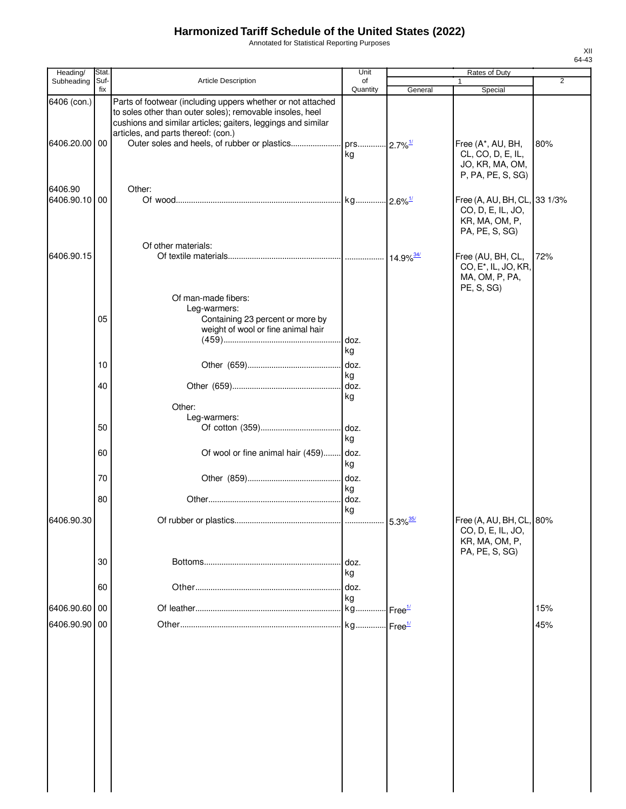Annotated for Statistical Reporting Purposes

| Heading/                     | Stat.       |                                                                                                                                                                                                                                 | Unit           |                         | Rates of Duty                                                                         |                |
|------------------------------|-------------|---------------------------------------------------------------------------------------------------------------------------------------------------------------------------------------------------------------------------------|----------------|-------------------------|---------------------------------------------------------------------------------------|----------------|
| Subheading                   | Suf-<br>fix | <b>Article Description</b>                                                                                                                                                                                                      | of<br>Quantity | General                 | 1<br>Special                                                                          | $\overline{2}$ |
| 6406 (con.)<br>6406.20.00 00 |             | Parts of footwear (including uppers whether or not attached<br>to soles other than outer soles); removable insoles, heel<br>cushions and similar articles; gaiters, leggings and similar<br>articles, and parts thereof: (con.) | kg             |                         | Free (A*, AU, BH,<br>CL, CO, D, E, IL,<br>JO, KR, MA, OM,<br>P, PA, PE, S, SG)        | 80%            |
| 6406.90<br>6406.90.10 00     |             | Other:                                                                                                                                                                                                                          |                |                         | Free (A, AU, BH, CL, 33 1/3%<br>CO, D, E, IL, JO,<br>KR, MA, OM, P,<br>PA, PE, S, SG) |                |
| 6406.90.15                   |             | Of other materials:<br>Of man-made fibers:<br>Leg-warmers:                                                                                                                                                                      |                | $14.9\%$ <sup>34/</sup> | Free (AU, BH, CL,<br>CO, E <sup>*</sup> , IL, JO, KR,<br>MA, OM, P, PA,<br>PE, S, SG) | 72%            |
|                              | 05          | Containing 23 percent or more by<br>weight of wool or fine animal hair                                                                                                                                                          | doz.<br>kg     |                         |                                                                                       |                |
|                              | 10          |                                                                                                                                                                                                                                 | doz.<br>kg     |                         |                                                                                       |                |
|                              | 40          | Other:                                                                                                                                                                                                                          | kg             |                         |                                                                                       |                |
|                              | 50          | Leg-warmers:                                                                                                                                                                                                                    | doz.<br>kg     |                         |                                                                                       |                |
|                              | 60          | Of wool or fine animal hair (459)                                                                                                                                                                                               | doz.<br>kg     |                         |                                                                                       |                |
|                              | 70          |                                                                                                                                                                                                                                 | kg             |                         |                                                                                       |                |
|                              | 80          |                                                                                                                                                                                                                                 | doz.<br>kg     |                         |                                                                                       |                |
| 6406.90.30                   |             |                                                                                                                                                                                                                                 |                | $5.3\%$ <sup>35/</sup>  | Free (A, AU, BH, CL, 80%<br>CO, D, E, IL, JO,<br>KR, MA, OM, P,<br>PA, PE, S, SG)     |                |
|                              | 30          |                                                                                                                                                                                                                                 | doz.<br>kg     |                         |                                                                                       |                |
|                              | 60          |                                                                                                                                                                                                                                 | doz.<br>kg     |                         |                                                                                       |                |
| 6406.90.60                   | 00          |                                                                                                                                                                                                                                 | kg             | Free <sup>1/</sup>      |                                                                                       | 15%            |
| 6406.90.90                   | 00          |                                                                                                                                                                                                                                 |                |                         |                                                                                       | 45%            |
|                              |             |                                                                                                                                                                                                                                 |                |                         |                                                                                       |                |